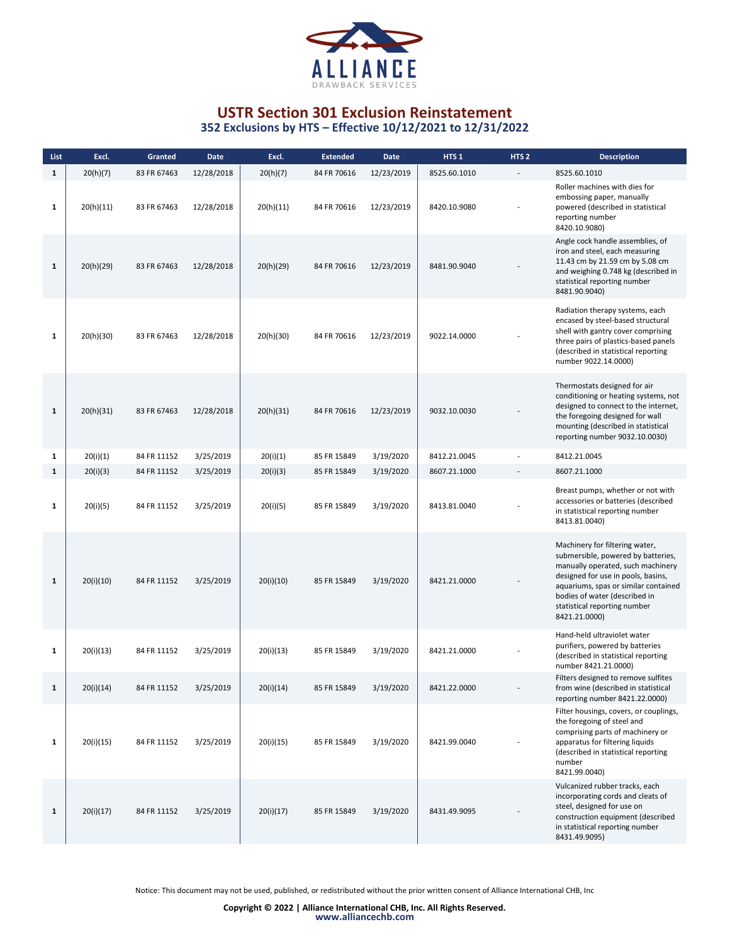

| List         | Excl.     | Granted     | Date       | Excl.     | <b>Extended</b> | <b>Date</b> | HTS <sub>1</sub> | HTS <sub>2</sub> | <b>Description</b>                                                                                                                                                                                                                                                        |
|--------------|-----------|-------------|------------|-----------|-----------------|-------------|------------------|------------------|---------------------------------------------------------------------------------------------------------------------------------------------------------------------------------------------------------------------------------------------------------------------------|
| $\mathbf{1}$ | 20(h)(7)  | 83 FR 67463 | 12/28/2018 | 20(h)(7)  | 84 FR 70616     | 12/23/2019  | 8525.60.1010     |                  | 8525.60.1010                                                                                                                                                                                                                                                              |
| $\mathbf{1}$ | 20(h)(11) | 83 FR 67463 | 12/28/2018 | 20(h)(11) | 84 FR 70616     | 12/23/2019  | 8420.10.9080     |                  | Roller machines with dies for<br>embossing paper, manually<br>powered (described in statistical<br>reporting number<br>8420.10.9080)                                                                                                                                      |
| $\mathbf{1}$ | 20(h)(29) | 83 FR 67463 | 12/28/2018 | 20(h)(29) | 84 FR 70616     | 12/23/2019  | 8481.90.9040     |                  | Angle cock handle assemblies, of<br>iron and steel, each measuring<br>11.43 cm by 21.59 cm by 5.08 cm<br>and weighing 0.748 kg (described in<br>statistical reporting number<br>8481.90.9040)                                                                             |
| $\mathbf{1}$ | 20(h)(30) | 83 FR 67463 | 12/28/2018 | 20(h)(30) | 84 FR 70616     | 12/23/2019  | 9022.14.0000     |                  | Radiation therapy systems, each<br>encased by steel-based structural<br>shell with gantry cover comprising<br>three pairs of plastics-based panels<br>(described in statistical reporting<br>number 9022.14.0000)                                                         |
| $\mathbf{1}$ | 20(h)(31) | 83 FR 67463 | 12/28/2018 | 20(h)(31) | 84 FR 70616     | 12/23/2019  | 9032.10.0030     |                  | Thermostats designed for air<br>conditioning or heating systems, not<br>designed to connect to the internet,<br>the foregoing designed for wall<br>mounting (described in statistical<br>reporting number 9032.10.0030)                                                   |
| 1            | 20(i)(1)  | 84 FR 11152 | 3/25/2019  | 20(i)(1)  | 85 FR 15849     | 3/19/2020   | 8412.21.0045     |                  | 8412.21.0045                                                                                                                                                                                                                                                              |
| $\mathbf{1}$ | 20(i)(3)  | 84 FR 11152 | 3/25/2019  | 20(i)(3)  | 85 FR 15849     | 3/19/2020   | 8607.21.1000     |                  | 8607.21.1000                                                                                                                                                                                                                                                              |
| $\mathbf{1}$ | 20(i)(5)  | 84 FR 11152 | 3/25/2019  | 20(i)(5)  | 85 FR 15849     | 3/19/2020   | 8413.81.0040     |                  | Breast pumps, whether or not with<br>accessories or batteries (described<br>in statistical reporting number<br>8413.81.0040)                                                                                                                                              |
| $\mathbf{1}$ | 20(i)(10) | 84 FR 11152 | 3/25/2019  | 20(i)(10) | 85 FR 15849     | 3/19/2020   | 8421.21.0000     |                  | Machinery for filtering water,<br>submersible, powered by batteries,<br>manually operated, such machinery<br>designed for use in pools, basins,<br>aquariums, spas or similar contained<br>bodies of water (described in<br>statistical reporting number<br>8421.21.0000) |
| $\mathbf{1}$ | 20(i)(13) | 84 FR 11152 | 3/25/2019  | 20(i)(13) | 85 FR 15849     | 3/19/2020   | 8421.21.0000     |                  | Hand-held ultraviolet water<br>purifiers, powered by batteries<br>(described in statistical reporting<br>number 8421.21.0000)                                                                                                                                             |
| 1            | 20(i)(14) | 84 FR 11152 | 3/25/2019  | 20(i)(14) | 85 FR 15849     | 3/19/2020   | 8421.22.0000     |                  | Filters designed to remove sulfites<br>from wine (described in statistical<br>reporting number 8421.22.0000)                                                                                                                                                              |
| $\mathbf{1}$ | 20(i)(15) | 84 FR 11152 | 3/25/2019  | 20(i)(15) | 85 FR 15849     | 3/19/2020   | 8421.99.0040     |                  | Filter housings, covers, or couplings,<br>the foregoing of steel and<br>comprising parts of machinery or<br>apparatus for filtering liquids<br>(described in statistical reporting<br>number<br>8421.99.0040)                                                             |
| $\mathbf{1}$ | 20(i)(17) | 84 FR 11152 | 3/25/2019  | 20(i)(17) | 85 FR 15849     | 3/19/2020   | 8431.49.9095     |                  | Vulcanized rubber tracks, each<br>incorporating cords and cleats of<br>steel, designed for use on<br>construction equipment (described<br>in statistical reporting number<br>8431.49.9095)                                                                                |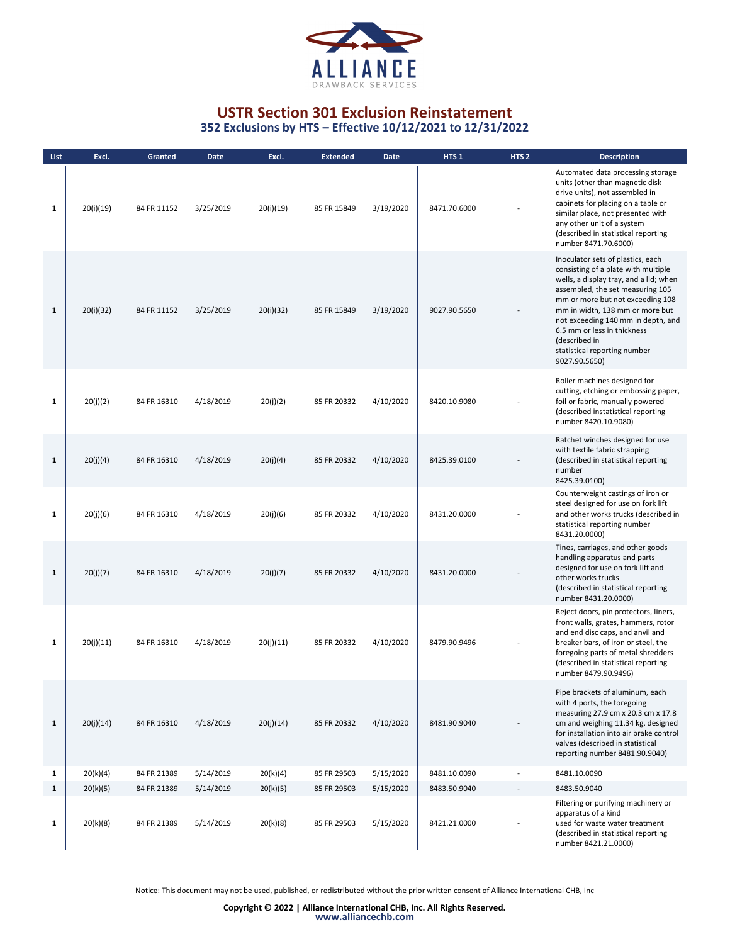

| List         | Excl.     | Granted     | Date      | Excl.     | <b>Extended</b> | <b>Date</b> | HTS <sub>1</sub> | HTS <sub>2</sub> | <b>Description</b>                                                                                                                                                                                                                                                                                                                                                   |
|--------------|-----------|-------------|-----------|-----------|-----------------|-------------|------------------|------------------|----------------------------------------------------------------------------------------------------------------------------------------------------------------------------------------------------------------------------------------------------------------------------------------------------------------------------------------------------------------------|
| $\mathbf{1}$ | 20(i)(19) | 84 FR 11152 | 3/25/2019 | 20(i)(19) | 85 FR 15849     | 3/19/2020   | 8471.70.6000     |                  | Automated data processing storage<br>units (other than magnetic disk<br>drive units), not assembled in<br>cabinets for placing on a table or<br>similar place, not presented with<br>any other unit of a system<br>(described in statistical reporting<br>number 8471.70.6000)                                                                                       |
| $\mathbf{1}$ | 20(i)(32) | 84 FR 11152 | 3/25/2019 | 20(i)(32) | 85 FR 15849     | 3/19/2020   | 9027.90.5650     |                  | Inoculator sets of plastics, each<br>consisting of a plate with multiple<br>wells, a display tray, and a lid; when<br>assembled, the set measuring 105<br>mm or more but not exceeding 108<br>mm in width, 138 mm or more but<br>not exceeding 140 mm in depth, and<br>6.5 mm or less in thickness<br>(described in<br>statistical reporting number<br>9027.90.5650) |
| 1            | 20(j)(2)  | 84 FR 16310 | 4/18/2019 | 20(j)(2)  | 85 FR 20332     | 4/10/2020   | 8420.10.9080     |                  | Roller machines designed for<br>cutting, etching or embossing paper,<br>foil or fabric, manually powered<br>(described instatistical reporting<br>number 8420.10.9080)                                                                                                                                                                                               |
| $\mathbf{1}$ | 20(j)(4)  | 84 FR 16310 | 4/18/2019 | 20(j)(4)  | 85 FR 20332     | 4/10/2020   | 8425.39.0100     |                  | Ratchet winches designed for use<br>with textile fabric strapping<br>(described in statistical reporting<br>number<br>8425.39.0100)                                                                                                                                                                                                                                  |
| 1            | 20(j)(6)  | 84 FR 16310 | 4/18/2019 | 20(j)(6)  | 85 FR 20332     | 4/10/2020   | 8431.20.0000     |                  | Counterweight castings of iron or<br>steel designed for use on fork lift<br>and other works trucks (described in<br>statistical reporting number<br>8431.20.0000)                                                                                                                                                                                                    |
| $\mathbf{1}$ | 20(j)(7)  | 84 FR 16310 | 4/18/2019 | 20(j)(7)  | 85 FR 20332     | 4/10/2020   | 8431.20.0000     |                  | Tines, carriages, and other goods<br>handling apparatus and parts<br>designed for use on fork lift and<br>other works trucks<br>(described in statistical reporting<br>number 8431.20.0000)                                                                                                                                                                          |
| $\mathbf{1}$ | 20(j)(11) | 84 FR 16310 | 4/18/2019 | 20(j)(11) | 85 FR 20332     | 4/10/2020   | 8479.90.9496     |                  | Reject doors, pin protectors, liners,<br>front walls, grates, hammers, rotor<br>and end disc caps, and anvil and<br>breaker bars, of iron or steel, the<br>foregoing parts of metal shredders<br>(described in statistical reporting<br>number 8479.90.9496)                                                                                                         |
| $\mathbf{1}$ | 20(j)(14) | 84 FR 16310 | 4/18/2019 | 20(j)(14) | 85 FR 20332     | 4/10/2020   | 8481.90.9040     |                  | Pipe brackets of aluminum, each<br>with 4 ports, the foregoing<br>measuring 27.9 cm x 20.3 cm x 17.8<br>cm and weighing 11.34 kg, designed<br>for installation into air brake control<br>valves (described in statistical<br>reporting number 8481.90.9040)                                                                                                          |
| $\mathbf{1}$ | 20(k)(4)  | 84 FR 21389 | 5/14/2019 | 20(k)(4)  | 85 FR 29503     | 5/15/2020   | 8481.10.0090     |                  | 8481.10.0090                                                                                                                                                                                                                                                                                                                                                         |
| $\mathbf{1}$ | 20(k)(5)  | 84 FR 21389 | 5/14/2019 | 20(k)(5)  | 85 FR 29503     | 5/15/2020   | 8483.50.9040     |                  | 8483.50.9040                                                                                                                                                                                                                                                                                                                                                         |
| 1            | 20(k)(8)  | 84 FR 21389 | 5/14/2019 | 20(k)(8)  | 85 FR 29503     | 5/15/2020   | 8421.21.0000     |                  | Filtering or purifying machinery or<br>apparatus of a kind<br>used for waste water treatment<br>(described in statistical reporting<br>number 8421.21.0000)                                                                                                                                                                                                          |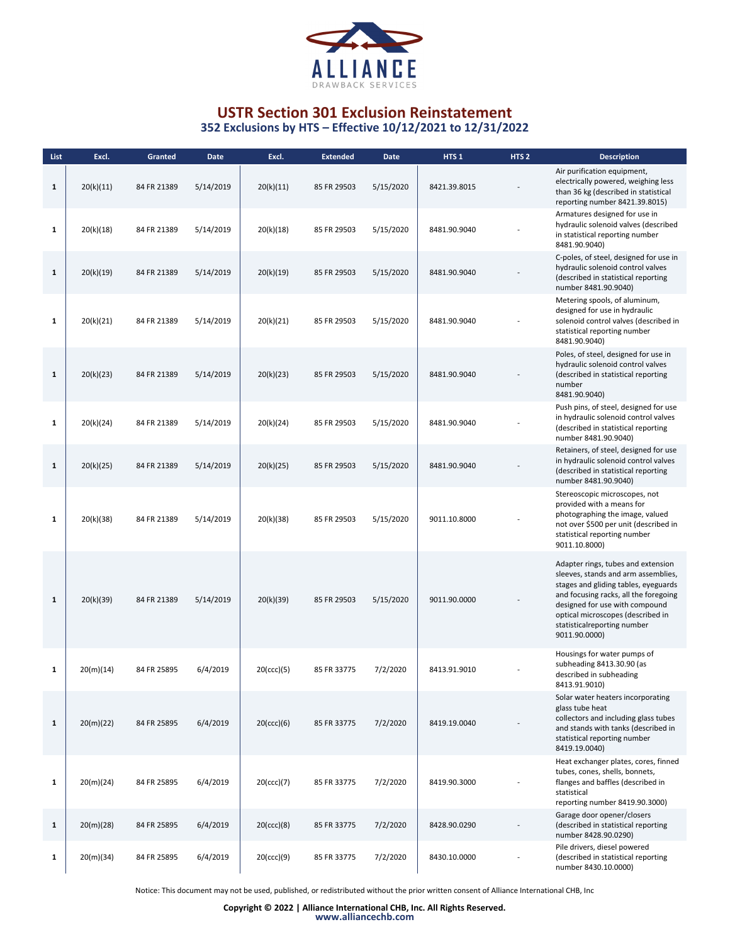

| List         | Excl.     | <b>Granted</b> | <b>Date</b> | Excl.      | <b>Extended</b> | <b>Date</b> | HTS <sub>1</sub> | HTS <sub>2</sub> | <b>Description</b>                                                                                                                                                                                                                                                                |
|--------------|-----------|----------------|-------------|------------|-----------------|-------------|------------------|------------------|-----------------------------------------------------------------------------------------------------------------------------------------------------------------------------------------------------------------------------------------------------------------------------------|
| 1            | 20(k)(11) | 84 FR 21389    | 5/14/2019   | 20(k)(11)  | 85 FR 29503     | 5/15/2020   | 8421.39.8015     |                  | Air purification equipment,<br>electrically powered, weighing less<br>than 36 kg (described in statistical<br>reporting number 8421.39.8015)                                                                                                                                      |
| 1            | 20(k)(18) | 84 FR 21389    | 5/14/2019   | 20(k)(18)  | 85 FR 29503     | 5/15/2020   | 8481.90.9040     |                  | Armatures designed for use in<br>hydraulic solenoid valves (described<br>in statistical reporting number<br>8481.90.9040)                                                                                                                                                         |
| $\mathbf{1}$ | 20(k)(19) | 84 FR 21389    | 5/14/2019   | 20(k)(19)  | 85 FR 29503     | 5/15/2020   | 8481.90.9040     |                  | C-poles, of steel, designed for use in<br>hydraulic solenoid control valves<br>(described in statistical reporting<br>number 8481.90.9040)                                                                                                                                        |
| 1            | 20(k)(21) | 84 FR 21389    | 5/14/2019   | 20(k)(21)  | 85 FR 29503     | 5/15/2020   | 8481.90.9040     |                  | Metering spools, of aluminum,<br>designed for use in hydraulic<br>solenoid control valves (described in<br>statistical reporting number<br>8481.90.9040)                                                                                                                          |
| $\mathbf{1}$ | 20(k)(23) | 84 FR 21389    | 5/14/2019   | 20(k)(23)  | 85 FR 29503     | 5/15/2020   | 8481.90.9040     |                  | Poles, of steel, designed for use in<br>hydraulic solenoid control valves<br>(described in statistical reporting<br>number<br>8481.90.9040)                                                                                                                                       |
| 1            | 20(k)(24) | 84 FR 21389    | 5/14/2019   | 20(k)(24)  | 85 FR 29503     | 5/15/2020   | 8481.90.9040     |                  | Push pins, of steel, designed for use<br>in hydraulic solenoid control valves<br>(described in statistical reporting<br>number 8481.90.9040)                                                                                                                                      |
| $\mathbf{1}$ | 20(k)(25) | 84 FR 21389    | 5/14/2019   | 20(k)(25)  | 85 FR 29503     | 5/15/2020   | 8481.90.9040     |                  | Retainers, of steel, designed for use<br>in hydraulic solenoid control valves<br>(described in statistical reporting<br>number 8481.90.9040)                                                                                                                                      |
| 1            | 20(k)(38) | 84 FR 21389    | 5/14/2019   | 20(k)(38)  | 85 FR 29503     | 5/15/2020   | 9011.10.8000     |                  | Stereoscopic microscopes, not<br>provided with a means for<br>photographing the image, valued<br>not over \$500 per unit (described in<br>statistical reporting number<br>9011.10.8000)                                                                                           |
| $\mathbf{1}$ | 20(k)(39) | 84 FR 21389    | 5/14/2019   | 20(k)(39)  | 85 FR 29503     | 5/15/2020   | 9011.90.0000     |                  | Adapter rings, tubes and extension<br>sleeves, stands and arm assemblies,<br>stages and gliding tables, eyeguards<br>and focusing racks, all the foregoing<br>designed for use with compound<br>optical microscopes (described in<br>statisticalreporting number<br>9011.90.0000) |
| 1            | 20(m)(14) | 84 FR 25895    | 6/4/2019    | 20(ccc)(5) | 85 FR 33775     | 7/2/2020    | 8413.91.9010     |                  | Housings for water pumps of<br>subheading 8413.30.90 (as<br>described in subheading<br>8413.91.9010)                                                                                                                                                                              |
| 1            | 20(m)(22) | 84 FR 25895    | 6/4/2019    | 20(cc)(6)  | 85 FR 33775     | 7/2/2020    | 8419.19.0040     |                  | Solar water heaters incorporating<br>glass tube heat<br>collectors and including glass tubes<br>and stands with tanks (described in<br>statistical reporting number<br>8419.19.0040)                                                                                              |
| 1            | 20(m)(24) | 84 FR 25895    | 6/4/2019    | 20(ccc)(7) | 85 FR 33775     | 7/2/2020    | 8419.90.3000     |                  | Heat exchanger plates, cores, finned<br>tubes, cones, shells, bonnets,<br>flanges and baffles (described in<br>statistical<br>reporting number 8419.90.3000)                                                                                                                      |
| $\mathbf{1}$ | 20(m)(28) | 84 FR 25895    | 6/4/2019    | 20(ccc)(8) | 85 FR 33775     | 7/2/2020    | 8428.90.0290     |                  | Garage door opener/closers<br>(described in statistical reporting<br>number 8428.90.0290)                                                                                                                                                                                         |
| 1            | 20(m)(34) | 84 FR 25895    | 6/4/2019    | 20(ccc)(9) | 85 FR 33775     | 7/2/2020    | 8430.10.0000     |                  | Pile drivers, diesel powered<br>(described in statistical reporting<br>number 8430.10.0000)                                                                                                                                                                                       |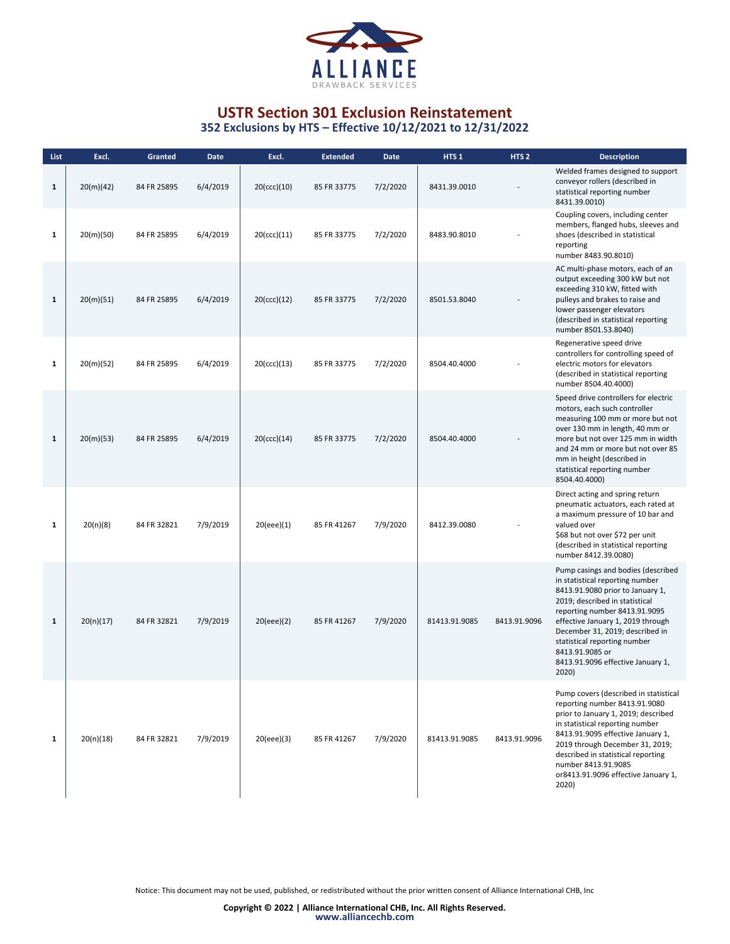

| List         | Excl.     | Granted     | <b>Date</b> | Excl.       | <b>Extended</b> | <b>Date</b> | HTS <sub>1</sub> | HTS <sub>2</sub> | <b>Description</b>                                                                                                                                                                                                                                                                                                                                    |
|--------------|-----------|-------------|-------------|-------------|-----------------|-------------|------------------|------------------|-------------------------------------------------------------------------------------------------------------------------------------------------------------------------------------------------------------------------------------------------------------------------------------------------------------------------------------------------------|
| $\mathbf{1}$ | 20(m)(42) | 84 FR 25895 | 6/4/2019    | 20(ccc)(10) | 85 FR 33775     | 7/2/2020    | 8431.39.0010     |                  | Welded frames designed to support<br>conveyor rollers (described in<br>statistical reporting number<br>8431.39.0010)                                                                                                                                                                                                                                  |
| $\mathbf{1}$ | 20(m)(50) | 84 FR 25895 | 6/4/2019    | 20(ccc)(11) | 85 FR 33775     | 7/2/2020    | 8483.90.8010     |                  | Coupling covers, including center<br>members, flanged hubs, sleeves and<br>shoes (described in statistical<br>reporting<br>number 8483.90.8010)                                                                                                                                                                                                       |
| $\mathbf{1}$ | 20(m)(51) | 84 FR 25895 | 6/4/2019    | 20(ccc)(12) | 85 FR 33775     | 7/2/2020    | 8501.53.8040     |                  | AC multi-phase motors, each of an<br>output exceeding 300 kW but not<br>exceeding 310 kW, fitted with<br>pulleys and brakes to raise and<br>lower passenger elevators<br>(described in statistical reporting<br>number 8501.53.8040)                                                                                                                  |
| $\mathbf{1}$ | 20(m)(52) | 84 FR 25895 | 6/4/2019    | 20(ccc)(13) | 85 FR 33775     | 7/2/2020    | 8504.40.4000     |                  | Regenerative speed drive<br>controllers for controlling speed of<br>electric motors for elevators<br>(described in statistical reporting<br>number 8504.40.4000)                                                                                                                                                                                      |
| $\mathbf{1}$ | 20(m)(53) | 84 FR 25895 | 6/4/2019    | 20(ccc)(14) | 85 FR 33775     | 7/2/2020    | 8504.40.4000     |                  | Speed drive controllers for electric<br>motors, each such controller<br>measuring 100 mm or more but not<br>over 130 mm in length, 40 mm or<br>more but not over 125 mm in width<br>and 24 mm or more but not over 85<br>mm in height (described in<br>statistical reporting number<br>8504.40.4000)                                                  |
| 1            | 20(n)(8)  | 84 FR 32821 | 7/9/2019    | 20(eee)(1)  | 85 FR 41267     | 7/9/2020    | 8412.39.0080     |                  | Direct acting and spring return<br>pneumatic actuators, each rated at<br>a maximum pressure of 10 bar and<br>valued over<br>\$68 but not over \$72 per unit<br>(described in statistical reporting<br>number 8412.39.0080)                                                                                                                            |
| $\mathbf{1}$ | 20(n)(17) | 84 FR 32821 | 7/9/2019    | 20(eee)(2)  | 85 FR 41267     | 7/9/2020    | 81413.91.9085    | 8413.91.9096     | Pump casings and bodies (described<br>in statistical reporting number<br>8413.91.9080 prior to January 1,<br>2019; described in statistical<br>reporting number 8413.91.9095<br>effective January 1, 2019 through<br>December 31, 2019; described in<br>statistical reporting number<br>8413.91.9085 or<br>8413.91.9096 effective January 1,<br>2020) |
| $\mathbf{1}$ | 20(n)(18) | 84 FR 32821 | 7/9/2019    | 20(eee)(3)  | 85 FR 41267     | 7/9/2020    | 81413.91.9085    | 8413.91.9096     | Pump covers (described in statistical<br>reporting number 8413.91.9080<br>prior to January 1, 2019; described<br>in statistical reporting number<br>8413.91.9095 effective January 1,<br>2019 through December 31, 2019;<br>described in statistical reporting<br>number 8413.91.9085<br>or8413.91.9096 effective January 1,<br>2020)                 |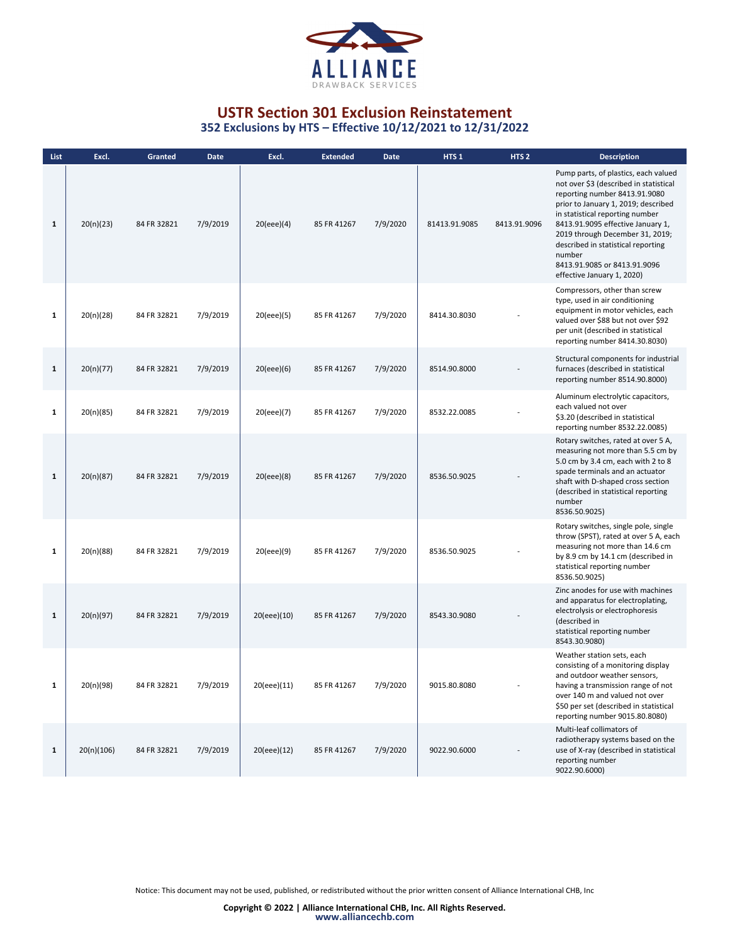

**352 Exclusions by HTS – Effective 10/12/2021 to 12/31/2022**

| List         | Excl.      | Granted     | <b>Date</b> | Excl.       | <b>Extended</b> | Date     | HTS <sub>1</sub> | HTS <sub>2</sub> | <b>Description</b>                                                                                                                                                                                                                                                                                                                                                              |
|--------------|------------|-------------|-------------|-------------|-----------------|----------|------------------|------------------|---------------------------------------------------------------------------------------------------------------------------------------------------------------------------------------------------------------------------------------------------------------------------------------------------------------------------------------------------------------------------------|
| $\mathbf{1}$ | 20(n)(23)  | 84 FR 32821 | 7/9/2019    | 20(eee)(4)  | 85 FR 41267     | 7/9/2020 | 81413.91.9085    | 8413.91.9096     | Pump parts, of plastics, each valued<br>not over \$3 (described in statistical<br>reporting number 8413.91.9080<br>prior to January 1, 2019; described<br>in statistical reporting number<br>8413.91.9095 effective January 1,<br>2019 through December 31, 2019;<br>described in statistical reporting<br>number<br>8413.91.9085 or 8413.91.9096<br>effective January 1, 2020) |
| $\mathbf{1}$ | 20(n)(28)  | 84 FR 32821 | 7/9/2019    | 20(eee)(5)  | 85 FR 41267     | 7/9/2020 | 8414.30.8030     |                  | Compressors, other than screw<br>type, used in air conditioning<br>equipment in motor vehicles, each<br>valued over \$88 but not over \$92<br>per unit (described in statistical<br>reporting number 8414.30.8030)                                                                                                                                                              |
| $\mathbf 1$  | 20(n)(77)  | 84 FR 32821 | 7/9/2019    | 20(eee)(6)  | 85 FR 41267     | 7/9/2020 | 8514.90.8000     |                  | Structural components for industrial<br>furnaces (described in statistical<br>reporting number 8514.90.8000)                                                                                                                                                                                                                                                                    |
| $\mathbf{1}$ | 20(n)(85)  | 84 FR 32821 | 7/9/2019    | 20(eee)(7)  | 85 FR 41267     | 7/9/2020 | 8532.22.0085     |                  | Aluminum electrolytic capacitors,<br>each valued not over<br>\$3.20 (described in statistical<br>reporting number 8532.22.0085)                                                                                                                                                                                                                                                 |
| $\mathbf{1}$ | 20(n)(87)  | 84 FR 32821 | 7/9/2019    | 20(eee)(8)  | 85 FR 41267     | 7/9/2020 | 8536.50.9025     |                  | Rotary switches, rated at over 5 A,<br>measuring not more than 5.5 cm by<br>5.0 cm by 3.4 cm, each with 2 to 8<br>spade terminals and an actuator<br>shaft with D-shaped cross section<br>(described in statistical reporting<br>number<br>8536.50.9025)                                                                                                                        |
| $\mathbf{1}$ | 20(n)(88)  | 84 FR 32821 | 7/9/2019    | 20(eee)(9)  | 85 FR 41267     | 7/9/2020 | 8536.50.9025     |                  | Rotary switches, single pole, single<br>throw (SPST), rated at over 5 A, each<br>measuring not more than 14.6 cm<br>by 8.9 cm by 14.1 cm (described in<br>statistical reporting number<br>8536.50.9025)                                                                                                                                                                         |
| $\mathbf{1}$ | 20(n)(97)  | 84 FR 32821 | 7/9/2019    | 20(eee)(10) | 85 FR 41267     | 7/9/2020 | 8543.30.9080     |                  | Zinc anodes for use with machines<br>and apparatus for electroplating,<br>electrolysis or electrophoresis<br>(described in<br>statistical reporting number<br>8543.30.9080)                                                                                                                                                                                                     |
|              | 20(n)(98)  | 84 FR 32821 | 7/9/2019    | 20(eee)(11) | 85 FR 41267     | 7/9/2020 | 9015.80.8080     |                  | Weather station sets, each<br>consisting of a monitoring display<br>and outdoor weather sensors,<br>having a transmission range of not<br>over 140 m and valued not over<br>\$50 per set (described in statistical<br>reporting number 9015.80.8080)                                                                                                                            |
| $\mathbf{1}$ | 20(n)(106) | 84 FR 32821 | 7/9/2019    | 20(eee)(12) | 85 FR 41267     | 7/9/2020 | 9022.90.6000     |                  | Multi-leaf collimators of<br>radiotherapy systems based on the<br>use of X-ray (described in statistical<br>reporting number<br>9022.90.6000)                                                                                                                                                                                                                                   |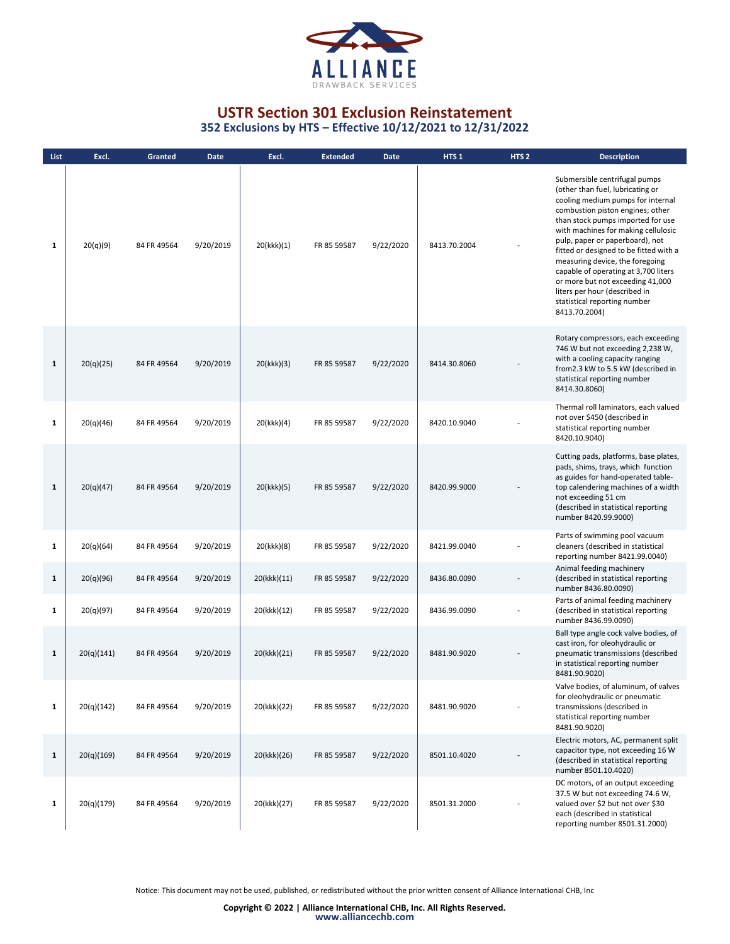

**352 Exclusions by HTS – Effective 10/12/2021 to 12/31/2022**

| List         | Excl.      | Granted     | <b>Date</b> | Excl.       | <b>Extended</b> | <b>Date</b> | HTS <sub>1</sub> | HTS <sub>2</sub> | <b>Description</b>                                                                                                                                                                                                                                                                                                                                                                                                                                                                                   |
|--------------|------------|-------------|-------------|-------------|-----------------|-------------|------------------|------------------|------------------------------------------------------------------------------------------------------------------------------------------------------------------------------------------------------------------------------------------------------------------------------------------------------------------------------------------------------------------------------------------------------------------------------------------------------------------------------------------------------|
| 1            | 20(q)(9)   | 84 FR 49564 | 9/20/2019   | 20(kkk)(1)  | FR 85 59587     | 9/22/2020   | 8413.70.2004     |                  | Submersible centrifugal pumps<br>(other than fuel, lubricating or<br>cooling medium pumps for internal<br>combustion piston engines; other<br>than stock pumps imported for use<br>with machines for making cellulosic<br>pulp, paper or paperboard), not<br>fitted or designed to be fitted with a<br>measuring device, the foregoing<br>capable of operating at 3,700 liters<br>or more but not exceeding 41,000<br>liters per hour (described in<br>statistical reporting number<br>8413.70.2004) |
| $\mathbf{1}$ | 20(q)(25)  | 84 FR 49564 | 9/20/2019   | 20(kkk)(3)  | FR 85 59587     | 9/22/2020   | 8414.30.8060     |                  | Rotary compressors, each exceeding<br>746 W but not exceeding 2,238 W,<br>with a cooling capacity ranging<br>from2.3 kW to 5.5 kW (described in<br>statistical reporting number<br>8414.30.8060)                                                                                                                                                                                                                                                                                                     |
| 1            | 20(q)(46)  | 84 FR 49564 | 9/20/2019   | 20(kkk)(4)  | FR 85 59587     | 9/22/2020   | 8420.10.9040     |                  | Thermal roll laminators, each valued<br>not over \$450 (described in<br>statistical reporting number<br>8420.10.9040)                                                                                                                                                                                                                                                                                                                                                                                |
| $\mathbf{1}$ | 20(q)(47)  | 84 FR 49564 | 9/20/2019   | 20(kkk)(5)  | FR 85 59587     | 9/22/2020   | 8420.99.9000     |                  | Cutting pads, platforms, base plates,<br>pads, shims, trays, which function<br>as guides for hand-operated table-<br>top calendering machines of a width<br>not exceeding 51 cm<br>(described in statistical reporting<br>number 8420.99.9000)                                                                                                                                                                                                                                                       |
| $\mathbf{1}$ | 20(q)(64)  | 84 FR 49564 | 9/20/2019   | 20(kkk)(8)  | FR 85 59587     | 9/22/2020   | 8421.99.0040     |                  | Parts of swimming pool vacuum<br>cleaners (described in statistical<br>reporting number 8421.99.0040)                                                                                                                                                                                                                                                                                                                                                                                                |
| $\mathbf{1}$ | 20(q)(96)  | 84 FR 49564 | 9/20/2019   | 20(kkk)(11) | FR 85 59587     | 9/22/2020   | 8436.80.0090     |                  | Animal feeding machinery<br>(described in statistical reporting<br>number 8436.80.0090)                                                                                                                                                                                                                                                                                                                                                                                                              |
| $\mathbf{1}$ | 20(q)(97)  | 84 FR 49564 | 9/20/2019   | 20(kkk)(12) | FR 85 59587     | 9/22/2020   | 8436.99.0090     |                  | Parts of animal feeding machinery<br>(described in statistical reporting<br>number 8436.99.0090)                                                                                                                                                                                                                                                                                                                                                                                                     |
| $\mathbf{1}$ | 20(q)(141) | 84 FR 49564 | 9/20/2019   | 20(kkk)(21) | FR 85 59587     | 9/22/2020   | 8481.90.9020     |                  | Ball type angle cock valve bodies, of<br>cast iron, for oleohydraulic or<br>pneumatic transmissions (described<br>in statistical reporting number<br>8481.90.9020)                                                                                                                                                                                                                                                                                                                                   |
| $\mathbf{1}$ | 20(q)(142) | 84 FR 49564 | 9/20/2019   | 20(kkk)(22) | FR 85 59587     | 9/22/2020   | 8481.90.9020     |                  | Valve bodies, of aluminum, of valves<br>for oleohydraulic or pneumatic<br>transmissions (described in<br>statistical reporting number<br>8481.90.9020)                                                                                                                                                                                                                                                                                                                                               |
| $\mathbf{1}$ | 20(q)(169) | 84 FR 49564 | 9/20/2019   | 20(kkk)(26) | FR 85 59587     | 9/22/2020   | 8501.10.4020     |                  | Electric motors, AC, permanent split<br>capacitor type, not exceeding 16 W<br>(described in statistical reporting<br>number 8501.10.4020)                                                                                                                                                                                                                                                                                                                                                            |
| $\mathbf{1}$ | 20(q)(179) | 84 FR 49564 | 9/20/2019   | 20(kkk)(27) | FR 85 59587     | 9/22/2020   | 8501.31.2000     |                  | DC motors, of an output exceeding<br>37.5 W but not exceeding 74.6 W,<br>valued over \$2 but not over \$30<br>each (described in statistical<br>reporting number 8501.31.2000)                                                                                                                                                                                                                                                                                                                       |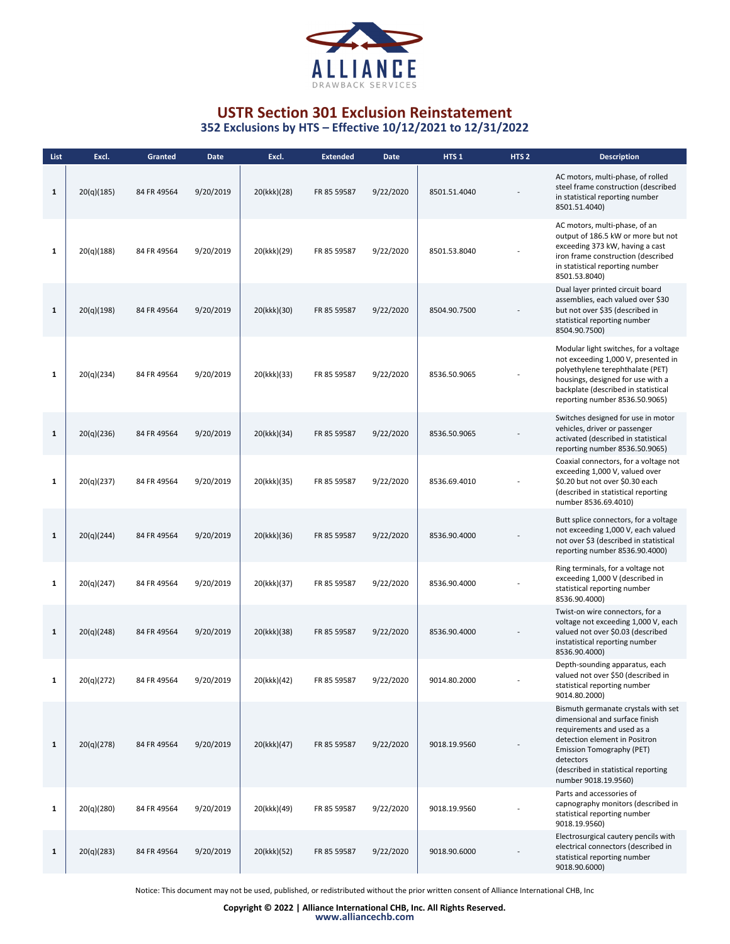

**352 Exclusions by HTS – Effective 10/12/2021 to 12/31/2022**

| List         | Excl.      | Granted     | <b>Date</b> | Excl.       | <b>Extended</b> | <b>Date</b> | HTS <sub>1</sub> | HTS <sub>2</sub> | <b>Description</b>                                                                                                                                                                                                                            |
|--------------|------------|-------------|-------------|-------------|-----------------|-------------|------------------|------------------|-----------------------------------------------------------------------------------------------------------------------------------------------------------------------------------------------------------------------------------------------|
| $\mathbf{1}$ | 20(q)(185) | 84 FR 49564 | 9/20/2019   | 20(kkk)(28) | FR 85 59587     | 9/22/2020   | 8501.51.4040     |                  | AC motors, multi-phase, of rolled<br>steel frame construction (described<br>in statistical reporting number<br>8501.51.4040)                                                                                                                  |
| $\mathbf{1}$ | 20(q)(188) | 84 FR 49564 | 9/20/2019   | 20(kkk)(29) | FR 85 59587     | 9/22/2020   | 8501.53.8040     |                  | AC motors, multi-phase, of an<br>output of 186.5 kW or more but not<br>exceeding 373 kW, having a cast<br>iron frame construction (described<br>in statistical reporting number<br>8501.53.8040)                                              |
| $\mathbf{1}$ | 20(q)(198) | 84 FR 49564 | 9/20/2019   | 20(kkk)(30) | FR 85 59587     | 9/22/2020   | 8504.90.7500     |                  | Dual layer printed circuit board<br>assemblies, each valued over \$30<br>but not over \$35 (described in<br>statistical reporting number<br>8504.90.7500)                                                                                     |
| 1            | 20(q)(234) | 84 FR 49564 | 9/20/2019   | 20(kkk)(33) | FR 85 59587     | 9/22/2020   | 8536.50.9065     |                  | Modular light switches, for a voltage<br>not exceeding 1,000 V, presented in<br>polyethylene terephthalate (PET)<br>housings, designed for use with a<br>backplate (described in statistical<br>reporting number 8536.50.9065)                |
| $\mathbf{1}$ | 20(q)(236) | 84 FR 49564 | 9/20/2019   | 20(kkk)(34) | FR 85 59587     | 9/22/2020   | 8536.50.9065     |                  | Switches designed for use in motor<br>vehicles, driver or passenger<br>activated (described in statistical<br>reporting number 8536.50.9065)                                                                                                  |
| 1            | 20(q)(237) | 84 FR 49564 | 9/20/2019   | 20(kkk)(35) | FR 85 59587     | 9/22/2020   | 8536.69.4010     |                  | Coaxial connectors, for a voltage not<br>exceeding 1,000 V, valued over<br>\$0.20 but not over \$0.30 each<br>(described in statistical reporting<br>number 8536.69.4010)                                                                     |
| $\mathbf{1}$ | 20(q)(244) | 84 FR 49564 | 9/20/2019   | 20(kkk)(36) | FR 85 59587     | 9/22/2020   | 8536.90.4000     |                  | Butt splice connectors, for a voltage<br>not exceeding 1,000 V, each valued<br>not over \$3 (described in statistical<br>reporting number 8536.90.4000)                                                                                       |
| $\mathbf{1}$ | 20(q)(247) | 84 FR 49564 | 9/20/2019   | 20(kkk)(37) | FR 85 59587     | 9/22/2020   | 8536.90.4000     |                  | Ring terminals, for a voltage not<br>exceeding 1,000 V (described in<br>statistical reporting number<br>8536.90.4000)                                                                                                                         |
| $\mathbf{1}$ | 20(q)(248) | 84 FR 49564 | 9/20/2019   | 20(kkk)(38) | FR 85 59587     | 9/22/2020   | 8536.90.4000     |                  | Twist-on wire connectors, for a<br>voltage not exceeding 1,000 V, each<br>valued not over \$0.03 (described<br>instatistical reporting number<br>8536.90.4000)                                                                                |
| 1            | 20(q)(272) | 84 FR 49564 | 9/20/2019   | 20(kkk)(42) | FR 85 59587     | 9/22/2020   | 9014.80.2000     |                  | Depth-sounding apparatus, each<br>valued not over \$50 (described in<br>statistical reporting number<br>9014.80.2000)                                                                                                                         |
| $\mathbf{1}$ | 20(q)(278) | 84 FR 49564 | 9/20/2019   | 20(kkk)(47) | FR 85 59587     | 9/22/2020   | 9018.19.9560     |                  | Bismuth germanate crystals with set<br>dimensional and surface finish<br>requirements and used as a<br>detection element in Positron<br>Emission Tomography (PET)<br>detectors<br>(described in statistical reporting<br>number 9018.19.9560) |
| $\mathbf{1}$ | 20(q)(280) | 84 FR 49564 | 9/20/2019   | 20(kkk)(49) | FR 85 59587     | 9/22/2020   | 9018.19.9560     |                  | Parts and accessories of<br>capnography monitors (described in<br>statistical reporting number<br>9018.19.9560)                                                                                                                               |
| $\mathbf{1}$ | 20(q)(283) | 84 FR 49564 | 9/20/2019   | 20(kkk)(52) | FR 85 59587     | 9/22/2020   | 9018.90.6000     |                  | Electrosurgical cautery pencils with<br>electrical connectors (described in<br>statistical reporting number<br>9018.90.6000)                                                                                                                  |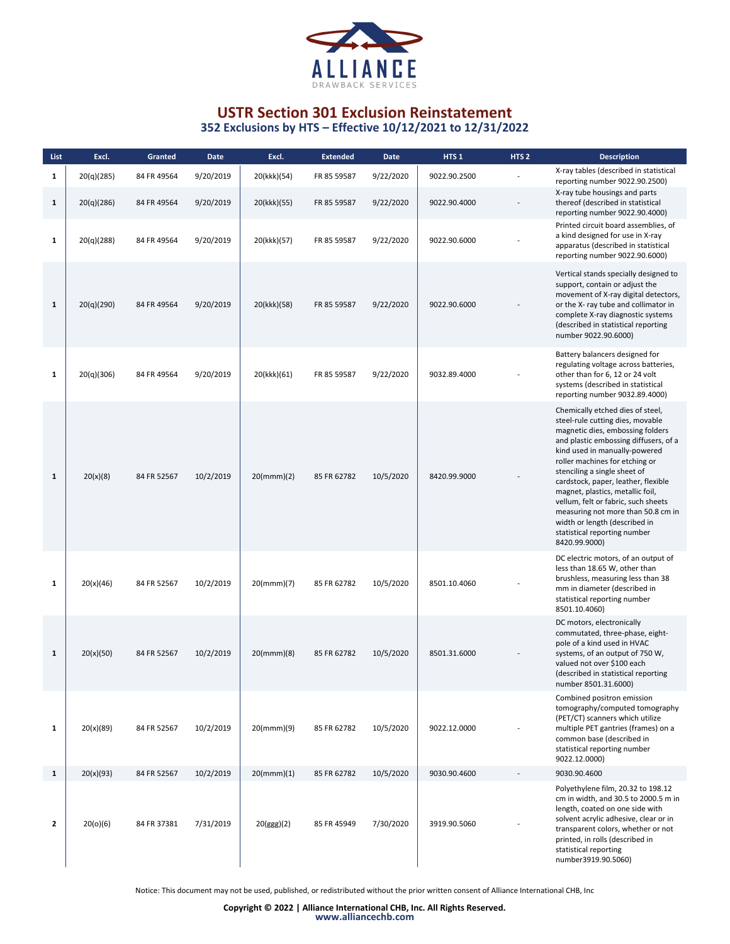

| List         | Excl.      | Granted     | <b>Date</b> | Excl.         | <b>Extended</b> | Date      | HTS <sub>1</sub> | HTS <sub>2</sub> | <b>Description</b>                                                                                                                                                                                                                                                                                                                                                                                                                                                                             |
|--------------|------------|-------------|-------------|---------------|-----------------|-----------|------------------|------------------|------------------------------------------------------------------------------------------------------------------------------------------------------------------------------------------------------------------------------------------------------------------------------------------------------------------------------------------------------------------------------------------------------------------------------------------------------------------------------------------------|
| $\mathbf{1}$ | 20(q)(285) | 84 FR 49564 | 9/20/2019   | 20(kkk)(54)   | FR 85 59587     | 9/22/2020 | 9022.90.2500     |                  | X-ray tables (described in statistical<br>reporting number 9022.90.2500)                                                                                                                                                                                                                                                                                                                                                                                                                       |
| $\mathbf{1}$ | 20(q)(286) | 84 FR 49564 | 9/20/2019   | 20(kkk)(55)   | FR 85 59587     | 9/22/2020 | 9022.90.4000     |                  | X-ray tube housings and parts<br>thereof (described in statistical<br>reporting number 9022.90.4000)                                                                                                                                                                                                                                                                                                                                                                                           |
| $\mathbf{1}$ | 20(q)(288) | 84 FR 49564 | 9/20/2019   | 20(kkk)(57)   | FR 85 59587     | 9/22/2020 | 9022.90.6000     |                  | Printed circuit board assemblies, of<br>a kind designed for use in X-ray<br>apparatus (described in statistical<br>reporting number 9022.90.6000)                                                                                                                                                                                                                                                                                                                                              |
| $\mathbf{1}$ | 20(q)(290) | 84 FR 49564 | 9/20/2019   | 20(kkk)(58)   | FR 85 59587     | 9/22/2020 | 9022.90.6000     |                  | Vertical stands specially designed to<br>support, contain or adjust the<br>movement of X-ray digital detectors,<br>or the X- ray tube and collimator in<br>complete X-ray diagnostic systems<br>(described in statistical reporting<br>number 9022.90.6000)                                                                                                                                                                                                                                    |
| 1            | 20(q)(306) | 84 FR 49564 | 9/20/2019   | 20(kkk)(61)   | FR 85 59587     | 9/22/2020 | 9032.89.4000     |                  | Battery balancers designed for<br>regulating voltage across batteries,<br>other than for 6, 12 or 24 volt<br>systems (described in statistical<br>reporting number 9032.89.4000)                                                                                                                                                                                                                                                                                                               |
| $\mathbf{1}$ | 20(x)(8)   | 84 FR 52567 | 10/2/2019   | $20$ (mmm)(2) | 85 FR 62782     | 10/5/2020 | 8420.99.9000     |                  | Chemically etched dies of steel,<br>steel-rule cutting dies, movable<br>magnetic dies, embossing folders<br>and plastic embossing diffusers, of a<br>kind used in manually-powered<br>roller machines for etching or<br>stenciling a single sheet of<br>cardstock, paper, leather, flexible<br>magnet, plastics, metallic foil,<br>vellum, felt or fabric, such sheets<br>measuring not more than 50.8 cm in<br>width or length (described in<br>statistical reporting number<br>8420.99.9000) |
| 1            | 20(x)(46)  | 84 FR 52567 | 10/2/2019   | $20$ (mmm)(7) | 85 FR 62782     | 10/5/2020 | 8501.10.4060     |                  | DC electric motors, of an output of<br>less than 18.65 W, other than<br>brushless, measuring less than 38<br>mm in diameter (described in<br>statistical reporting number<br>8501.10.4060)                                                                                                                                                                                                                                                                                                     |
| $\mathbf{1}$ | 20(x)(50)  | 84 FR 52567 | 10/2/2019   | 20 (mmm)(8)   | 85 FR 62782     | 10/5/2020 | 8501.31.6000     |                  | DC motors, electronically<br>commutated, three-phase, eight-<br>pole of a kind used in HVAC<br>systems, of an output of 750 W,<br>valued not over \$100 each<br>(described in statistical reporting<br>number 8501.31.6000)                                                                                                                                                                                                                                                                    |
| $\mathbf{1}$ | 20(x)(89)  | 84 FR 52567 | 10/2/2019   | 20(mmm)(9)    | 85 FR 62782     | 10/5/2020 | 9022.12.0000     |                  | Combined positron emission<br>tomography/computed tomography<br>(PET/CT) scanners which utilize<br>multiple PET gantries (frames) on a<br>common base (described in<br>statistical reporting number<br>9022.12.0000)                                                                                                                                                                                                                                                                           |
| $\mathbf{1}$ | 20(x)(93)  | 84 FR 52567 | 10/2/2019   | 20(mmm)(1)    | 85 FR 62782     | 10/5/2020 | 9030.90.4600     |                  | 9030.90.4600                                                                                                                                                                                                                                                                                                                                                                                                                                                                                   |
| $\mathbf{z}$ | 20(o)(6)   | 84 FR 37381 | 7/31/2019   | 20(ggg)(2)    | 85 FR 45949     | 7/30/2020 | 3919.90.5060     |                  | Polyethylene film, 20.32 to 198.12<br>cm in width, and 30.5 to 2000.5 m in<br>length, coated on one side with<br>solvent acrylic adhesive, clear or in<br>transparent colors, whether or not<br>printed, in rolls (described in<br>statistical reporting<br>number3919.90.5060)                                                                                                                                                                                                                |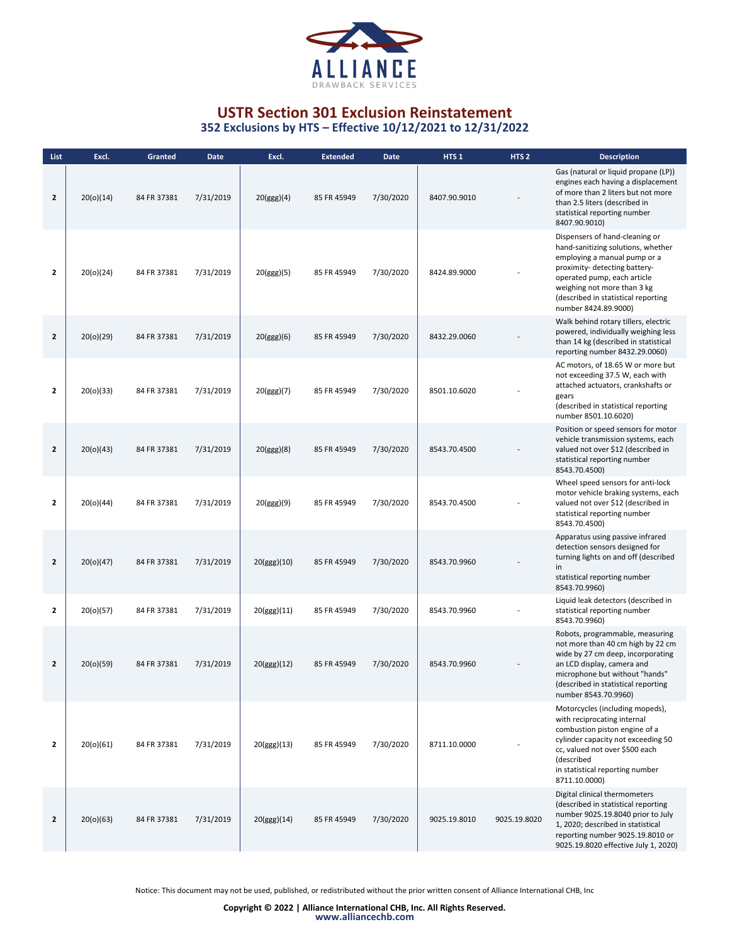

| List           | Excl.     | Granted     | <b>Date</b> | Excl.       | <b>Extended</b> | <b>Date</b> | HTS <sub>1</sub> | HTS <sub>2</sub> | <b>Description</b>                                                                                                                                                                                                                                                 |
|----------------|-----------|-------------|-------------|-------------|-----------------|-------------|------------------|------------------|--------------------------------------------------------------------------------------------------------------------------------------------------------------------------------------------------------------------------------------------------------------------|
| $\overline{2}$ | 20(0)(14) | 84 FR 37381 | 7/31/2019   | 20(ggg)(4)  | 85 FR 45949     | 7/30/2020   | 8407.90.9010     |                  | Gas (natural or liquid propane (LP))<br>engines each having a displacement<br>of more than 2 liters but not more<br>than 2.5 liters (described in<br>statistical reporting number<br>8407.90.9010)                                                                 |
| $\mathbf{2}$   | 20(o)(24) | 84 FR 37381 | 7/31/2019   | 20(ggg)(5)  | 85 FR 45949     | 7/30/2020   | 8424.89.9000     |                  | Dispensers of hand-cleaning or<br>hand-sanitizing solutions, whether<br>employing a manual pump or a<br>proximity- detecting battery-<br>operated pump, each article<br>weighing not more than 3 kg<br>(described in statistical reporting<br>number 8424.89.9000) |
| $\mathbf{2}$   | 20(o)(29) | 84 FR 37381 | 7/31/2019   | 20(ggg)(6)  | 85 FR 45949     | 7/30/2020   | 8432.29.0060     |                  | Walk behind rotary tillers, electric<br>powered, individually weighing less<br>than 14 kg (described in statistical<br>reporting number 8432.29.0060)                                                                                                              |
| $\mathbf{2}$   | 20(o)(33) | 84 FR 37381 | 7/31/2019   | 20(ggg)(7)  | 85 FR 45949     | 7/30/2020   | 8501.10.6020     |                  | AC motors, of 18.65 W or more but<br>not exceeding 37.5 W, each with<br>attached actuators, crankshafts or<br>gears<br>(described in statistical reporting<br>number 8501.10.6020)                                                                                 |
| $\mathbf{2}$   | 20(o)(43) | 84 FR 37381 | 7/31/2019   | 20(ggg)(8)  | 85 FR 45949     | 7/30/2020   | 8543.70.4500     |                  | Position or speed sensors for motor<br>vehicle transmission systems, each<br>valued not over \$12 (described in<br>statistical reporting number<br>8543.70.4500)                                                                                                   |
| $\mathbf{2}$   | 20(o)(44) | 84 FR 37381 | 7/31/2019   | 20(ggg)(9)  | 85 FR 45949     | 7/30/2020   | 8543.70.4500     |                  | Wheel speed sensors for anti-lock<br>motor vehicle braking systems, each<br>valued not over \$12 (described in<br>statistical reporting number<br>8543.70.4500)                                                                                                    |
| $\mathbf{2}$   | 20(o)(47) | 84 FR 37381 | 7/31/2019   | 20(ggg)(10) | 85 FR 45949     | 7/30/2020   | 8543.70.9960     |                  | Apparatus using passive infrared<br>detection sensors designed for<br>turning lights on and off (described<br>in<br>statistical reporting number<br>8543.70.9960)                                                                                                  |
| $\mathbf{2}$   | 20(o)(57) | 84 FR 37381 | 7/31/2019   | 20(ggg)(11) | 85 FR 45949     | 7/30/2020   | 8543.70.9960     |                  | Liquid leak detectors (described in<br>statistical reporting number<br>8543.70.9960)                                                                                                                                                                               |
| 2              | 20(o)(59) | 84 FR 37381 | 7/31/2019   | 20(ggg)(12) | 85 FR 45949     | 7/30/2020   | 8543.70.9960     |                  | Robots, programmable, measuring<br>not more than 40 cm high by 22 cm<br>wide by 27 cm deep, incorporating<br>an LCD display, camera and<br>microphone but without "hands"<br>(described in statistical reporting<br>number 8543.70.9960)                           |
| $\mathbf{2}$   | 20(0)(61) | 84 FR 37381 | 7/31/2019   | 20(ggg)(13) | 85 FR 45949     | 7/30/2020   | 8711.10.0000     |                  | Motorcycles (including mopeds),<br>with reciprocating internal<br>combustion piston engine of a<br>cylinder capacity not exceeding 50<br>cc, valued not over \$500 each<br>(described<br>in statistical reporting number<br>8711.10.0000)                          |
| $\mathbf{2}$   | 20(o)(63) | 84 FR 37381 | 7/31/2019   | 20(ggg)(14) | 85 FR 45949     | 7/30/2020   | 9025.19.8010     | 9025.19.8020     | Digital clinical thermometers<br>(described in statistical reporting<br>number 9025.19.8040 prior to July<br>1, 2020; described in statistical<br>reporting number 9025.19.8010 or<br>9025.19.8020 effective July 1, 2020)                                         |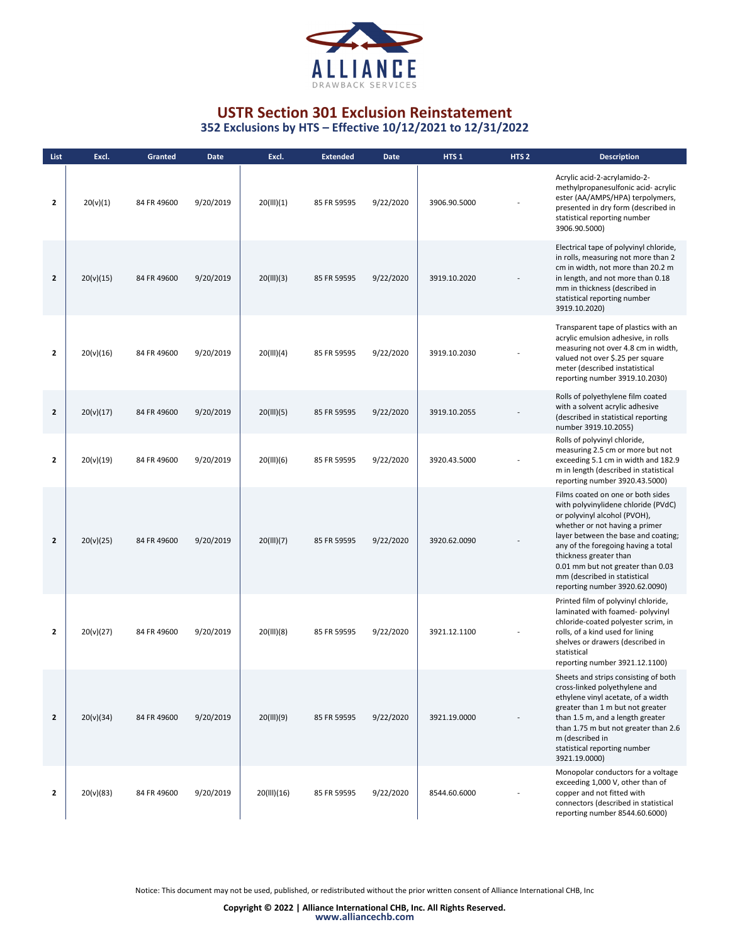

**352 Exclusions by HTS – Effective 10/12/2021 to 12/31/2022**

| List           | Excl.     | Granted     | <b>Date</b> | Excl.       | <b>Extended</b> | <b>Date</b> | HTS <sub>1</sub> | HTS <sub>2</sub> | <b>Description</b>                                                                                                                                                                                                                                                                                                                                        |
|----------------|-----------|-------------|-------------|-------------|-----------------|-------------|------------------|------------------|-----------------------------------------------------------------------------------------------------------------------------------------------------------------------------------------------------------------------------------------------------------------------------------------------------------------------------------------------------------|
| $\overline{2}$ | 20(v)(1)  | 84 FR 49600 | 9/20/2019   | 20(III)(1)  | 85 FR 59595     | 9/22/2020   | 3906.90.5000     |                  | Acrylic acid-2-acrylamido-2-<br>methylpropanesulfonic acid- acrylic<br>ester (AA/AMPS/HPA) terpolymers,<br>presented in dry form (described in<br>statistical reporting number<br>3906.90.5000)                                                                                                                                                           |
| $\overline{2}$ | 20(v)(15) | 84 FR 49600 | 9/20/2019   | 20(III)(3)  | 85 FR 59595     | 9/22/2020   | 3919.10.2020     |                  | Electrical tape of polyvinyl chloride,<br>in rolls, measuring not more than 2<br>cm in width, not more than 20.2 m<br>in length, and not more than 0.18<br>mm in thickness (described in<br>statistical reporting number<br>3919.10.2020)                                                                                                                 |
| $\mathbf{2}$   | 20(v)(16) | 84 FR 49600 | 9/20/2019   | 20(III)(4)  | 85 FR 59595     | 9/22/2020   | 3919.10.2030     |                  | Transparent tape of plastics with an<br>acrylic emulsion adhesive, in rolls<br>measuring not over 4.8 cm in width,<br>valued not over \$.25 per square<br>meter (described instatistical<br>reporting number 3919.10.2030)                                                                                                                                |
| $\overline{2}$ | 20(v)(17) | 84 FR 49600 | 9/20/2019   | 20(11)(5)   | 85 FR 59595     | 9/22/2020   | 3919.10.2055     |                  | Rolls of polyethylene film coated<br>with a solvent acrylic adhesive<br>(described in statistical reporting<br>number 3919.10.2055)                                                                                                                                                                                                                       |
| $\overline{2}$ | 20(v)(19) | 84 FR 49600 | 9/20/2019   | 20(III)(6)  | 85 FR 59595     | 9/22/2020   | 3920.43.5000     |                  | Rolls of polyvinyl chloride,<br>measuring 2.5 cm or more but not<br>exceeding 5.1 cm in width and 182.9<br>m in length (described in statistical<br>reporting number 3920.43.5000)                                                                                                                                                                        |
| $\overline{2}$ | 20(v)(25) | 84 FR 49600 | 9/20/2019   | 20(III)(7)  | 85 FR 59595     | 9/22/2020   | 3920.62.0090     |                  | Films coated on one or both sides<br>with polyvinylidene chloride (PVdC)<br>or polyvinyl alcohol (PVOH),<br>whether or not having a primer<br>layer between the base and coating;<br>any of the foregoing having a total<br>thickness greater than<br>0.01 mm but not greater than 0.03<br>mm (described in statistical<br>reporting number 3920.62.0090) |
| $\overline{2}$ | 20(v)(27) | 84 FR 49600 | 9/20/2019   | 20(III)(8)  | 85 FR 59595     | 9/22/2020   | 3921.12.1100     |                  | Printed film of polyvinyl chloride,<br>laminated with foamed- polyvinyl<br>chloride-coated polyester scrim, in<br>rolls, of a kind used for lining<br>shelves or drawers (described in<br>statistical<br>reporting number 3921.12.1100)                                                                                                                   |
| $\mathbf{2}$   | 20(v)(34) | 84 FR 49600 | 9/20/2019   | 20(III)(9)  | 85 FR 59595     | 9/22/2020   | 3921.19.0000     |                  | Sheets and strips consisting of both<br>cross-linked polyethylene and<br>ethylene vinyl acetate, of a width<br>greater than 1 m but not greater<br>than 1.5 m, and a length greater<br>than 1.75 m but not greater than 2.6<br>m (described in<br>statistical reporting number<br>3921.19.0000)                                                           |
| $\mathbf{2}$   | 20(v)(83) | 84 FR 49600 | 9/20/2019   | 20(III)(16) | 85 FR 59595     | 9/22/2020   | 8544.60.6000     |                  | Monopolar conductors for a voltage<br>exceeding 1,000 V, other than of<br>copper and not fitted with<br>connectors (described in statistical<br>reporting number 8544.60.6000)                                                                                                                                                                            |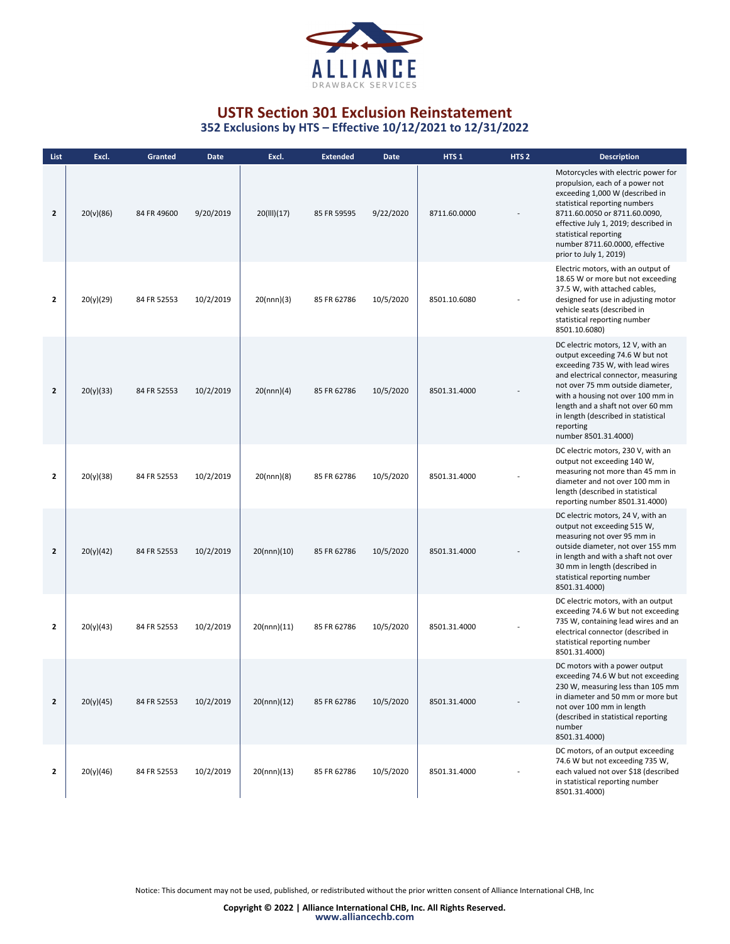

**352 Exclusions by HTS – Effective 10/12/2021 to 12/31/2022**

| List         | Excl.     | Granted     | Date      | Excl.       | <b>Extended</b> | <b>Date</b> | HTS <sub>1</sub> | HTS <sub>2</sub> | <b>Description</b>                                                                                                                                                                                                                                                                                                                        |
|--------------|-----------|-------------|-----------|-------------|-----------------|-------------|------------------|------------------|-------------------------------------------------------------------------------------------------------------------------------------------------------------------------------------------------------------------------------------------------------------------------------------------------------------------------------------------|
| $\mathbf{z}$ | 20(v)(86) | 84 FR 49600 | 9/20/2019 | 20(III)(17) | 85 FR 59595     | 9/22/2020   | 8711.60.0000     |                  | Motorcycles with electric power for<br>propulsion, each of a power not<br>exceeding 1,000 W (described in<br>statistical reporting numbers<br>8711.60.0050 or 8711.60.0090,<br>effective July 1, 2019; described in<br>statistical reporting<br>number 8711.60.0000, effective<br>prior to July 1, 2019)                                  |
| 2            | 20(y)(29) | 84 FR 52553 | 10/2/2019 | 20(nnn)(3)  | 85 FR 62786     | 10/5/2020   | 8501.10.6080     |                  | Electric motors, with an output of<br>18.65 W or more but not exceeding<br>37.5 W, with attached cables,<br>designed for use in adjusting motor<br>vehicle seats (described in<br>statistical reporting number<br>8501.10.6080)                                                                                                           |
| $\mathbf{z}$ | 20(y)(33) | 84 FR 52553 | 10/2/2019 | 20(nnn)(4)  | 85 FR 62786     | 10/5/2020   | 8501.31.4000     |                  | DC electric motors, 12 V, with an<br>output exceeding 74.6 W but not<br>exceeding 735 W, with lead wires<br>and electrical connector, measuring<br>not over 75 mm outside diameter,<br>with a housing not over 100 mm in<br>length and a shaft not over 60 mm<br>in length (described in statistical<br>reporting<br>number 8501.31.4000) |
| $\mathbf{z}$ | 20(y)(38) | 84 FR 52553 | 10/2/2019 | 20(nnn)(8)  | 85 FR 62786     | 10/5/2020   | 8501.31.4000     |                  | DC electric motors, 230 V, with an<br>output not exceeding 140 W,<br>measuring not more than 45 mm in<br>diameter and not over 100 mm in<br>length (described in statistical<br>reporting number 8501.31.4000)                                                                                                                            |
| $\mathbf{z}$ | 20(y)(42) | 84 FR 52553 | 10/2/2019 | 20(nnn)(10) | 85 FR 62786     | 10/5/2020   | 8501.31.4000     |                  | DC electric motors, 24 V, with an<br>output not exceeding 515 W,<br>measuring not over 95 mm in<br>outside diameter, not over 155 mm<br>in length and with a shaft not over<br>30 mm in length (described in<br>statistical reporting number<br>8501.31.4000)                                                                             |
| 2            | 20(y)(43) | 84 FR 52553 | 10/2/2019 | 20(nnn)(11) | 85 FR 62786     | 10/5/2020   | 8501.31.4000     |                  | DC electric motors, with an output<br>exceeding 74.6 W but not exceeding<br>735 W, containing lead wires and an<br>electrical connector (described in<br>statistical reporting number<br>8501.31.4000)                                                                                                                                    |
| $\mathbf{z}$ | 20(y)(45) | 84 FR 52553 | 10/2/2019 | 20(nnn)(12) | 85 FR 62786     | 10/5/2020   | 8501.31.4000     |                  | DC motors with a power output<br>exceeding 74.6 W but not exceeding<br>230 W, measuring less than 105 mm<br>in diameter and 50 mm or more but<br>not over 100 mm in length<br>(described in statistical reporting<br>number<br>8501.31.4000)                                                                                              |
| $\mathbf{2}$ | 20(y)(46) | 84 FR 52553 | 10/2/2019 | 20(nnn)(13) | 85 FR 62786     | 10/5/2020   | 8501.31.4000     |                  | DC motors, of an output exceeding<br>74.6 W but not exceeding 735 W,<br>each valued not over \$18 (described<br>in statistical reporting number<br>8501.31.4000)                                                                                                                                                                          |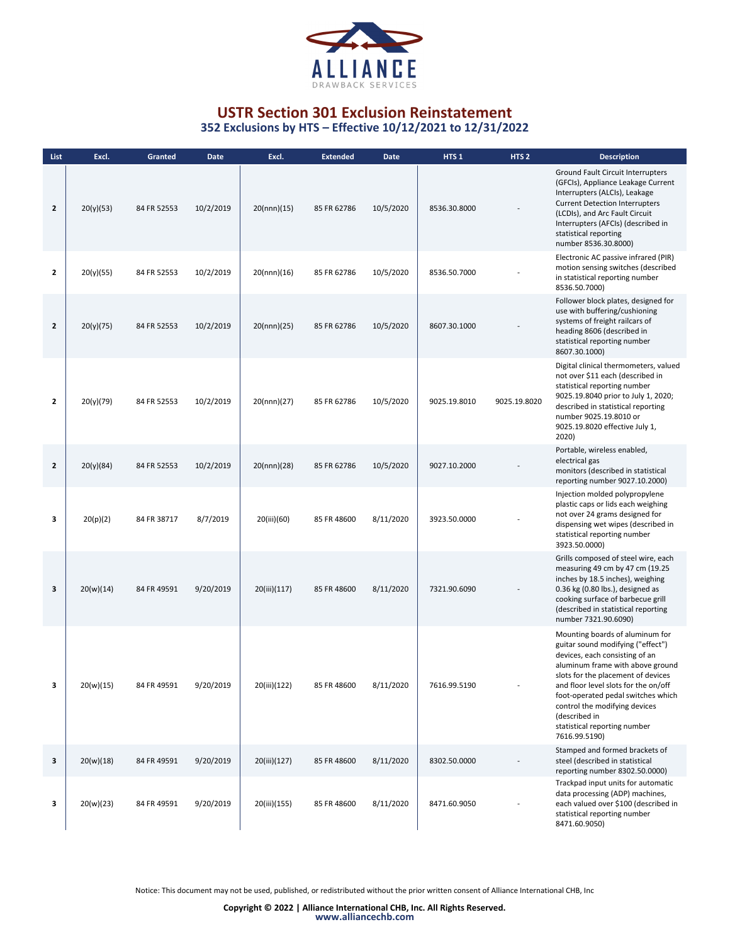

| List           | Excl.     | Granted     | Date      | Excl.        | <b>Extended</b> | Date      | HTS <sub>1</sub> | HTS <sub>2</sub> | <b>Description</b>                                                                                                                                                                                                                                                                                                                                                |
|----------------|-----------|-------------|-----------|--------------|-----------------|-----------|------------------|------------------|-------------------------------------------------------------------------------------------------------------------------------------------------------------------------------------------------------------------------------------------------------------------------------------------------------------------------------------------------------------------|
| $\mathbf{z}$   | 20(y)(53) | 84 FR 52553 | 10/2/2019 | 20(nnn)(15)  | 85 FR 62786     | 10/5/2020 | 8536.30.8000     |                  | Ground Fault Circuit Interrupters<br>(GFCIs), Appliance Leakage Current<br>Interrupters (ALCIs), Leakage<br><b>Current Detection Interrupters</b><br>(LCDIs), and Arc Fault Circuit<br>Interrupters (AFCIs) (described in<br>statistical reporting<br>number 8536.30.8000)                                                                                        |
| $\mathbf{2}$   | 20(y)(55) | 84 FR 52553 | 10/2/2019 | 20(nnn)(16)  | 85 FR 62786     | 10/5/2020 | 8536.50.7000     |                  | Electronic AC passive infrared (PIR)<br>motion sensing switches (described<br>in statistical reporting number<br>8536.50.7000)                                                                                                                                                                                                                                    |
| $\mathbf{2}$   | 20(y)(75) | 84 FR 52553 | 10/2/2019 | 20(nnn)(25)  | 85 FR 62786     | 10/5/2020 | 8607.30.1000     |                  | Follower block plates, designed for<br>use with buffering/cushioning<br>systems of freight railcars of<br>heading 8606 (described in<br>statistical reporting number<br>8607.30.1000)                                                                                                                                                                             |
| $\overline{2}$ | 20(y)(79) | 84 FR 52553 | 10/2/2019 | 20(nnn)(27)  | 85 FR 62786     | 10/5/2020 | 9025.19.8010     | 9025.19.8020     | Digital clinical thermometers, valued<br>not over \$11 each (described in<br>statistical reporting number<br>9025.19.8040 prior to July 1, 2020;<br>described in statistical reporting<br>number 9025.19.8010 or<br>9025.19.8020 effective July 1,<br>2020)                                                                                                       |
| $\mathbf{2}$   | 20(y)(84) | 84 FR 52553 | 10/2/2019 | 20(nnn)(28)  | 85 FR 62786     | 10/5/2020 | 9027.10.2000     |                  | Portable, wireless enabled,<br>electrical gas<br>monitors (described in statistical<br>reporting number 9027.10.2000)                                                                                                                                                                                                                                             |
| з              | 20(p)(2)  | 84 FR 38717 | 8/7/2019  | 20(iii)(60)  | 85 FR 48600     | 8/11/2020 | 3923.50.0000     |                  | Injection molded polypropylene<br>plastic caps or lids each weighing<br>not over 24 grams designed for<br>dispensing wet wipes (described in<br>statistical reporting number<br>3923.50.0000)                                                                                                                                                                     |
| 3              | 20(w)(14) | 84 FR 49591 | 9/20/2019 | 20(iii)(117) | 85 FR 48600     | 8/11/2020 | 7321.90.6090     |                  | Grills composed of steel wire, each<br>measuring 49 cm by 47 cm (19.25<br>inches by 18.5 inches), weighing<br>0.36 kg (0.80 lbs.), designed as<br>cooking surface of barbecue grill<br>(described in statistical reporting<br>number 7321.90.6090)                                                                                                                |
|                | 20(w)(15) | 84 FR 49591 | 9/20/2019 | 20(iii)(122) | 85 FR 48600     | 8/11/2020 | 7616.99.5190     |                  | Mounting boards of aluminum for<br>guitar sound modifying ("effect")<br>devices, each consisting of an<br>aluminum frame with above ground<br>slots for the placement of devices<br>and floor level slots for the on/off<br>foot-operated pedal switches which<br>control the modifying devices<br>(described in<br>statistical reporting number<br>7616.99.5190) |
| 3              | 20(w)(18) | 84 FR 49591 | 9/20/2019 | 20(iii)(127) | 85 FR 48600     | 8/11/2020 | 8302.50.0000     |                  | Stamped and formed brackets of<br>steel (described in statistical<br>reporting number 8302.50.0000)                                                                                                                                                                                                                                                               |
| 3              | 20(w)(23) | 84 FR 49591 | 9/20/2019 | 20(iii)(155) | 85 FR 48600     | 8/11/2020 | 8471.60.9050     |                  | Trackpad input units for automatic<br>data processing (ADP) machines,<br>each valued over \$100 (described in<br>statistical reporting number<br>8471.60.9050)                                                                                                                                                                                                    |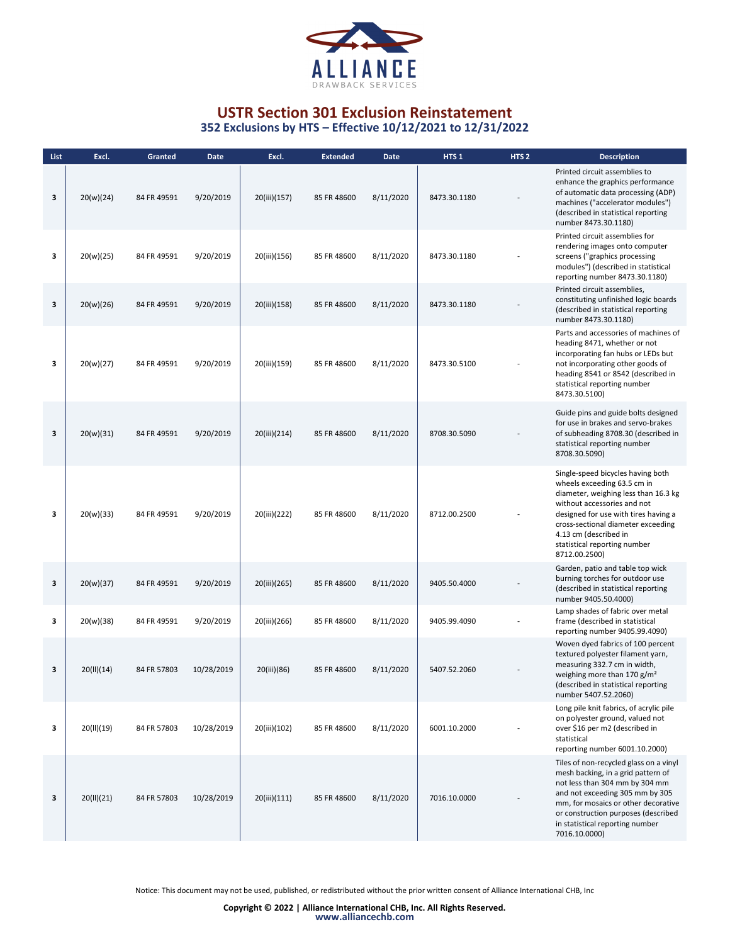

| List | Excl.      | Granted     | <b>Date</b> | Excl.        | <b>Extended</b> | <b>Date</b> | HTS <sub>1</sub> | HTS <sub>2</sub> | <b>Description</b>                                                                                                                                                                                                                                                                              |
|------|------------|-------------|-------------|--------------|-----------------|-------------|------------------|------------------|-------------------------------------------------------------------------------------------------------------------------------------------------------------------------------------------------------------------------------------------------------------------------------------------------|
| 3    | 20(w)(24)  | 84 FR 49591 | 9/20/2019   | 20(iii)(157) | 85 FR 48600     | 8/11/2020   | 8473.30.1180     |                  | Printed circuit assemblies to<br>enhance the graphics performance<br>of automatic data processing (ADP)<br>machines ("accelerator modules")<br>(described in statistical reporting<br>number 8473.30.1180)                                                                                      |
| 3    | 20(w)(25)  | 84 FR 49591 | 9/20/2019   | 20(iii)(156) | 85 FR 48600     | 8/11/2020   | 8473.30.1180     |                  | Printed circuit assemblies for<br>rendering images onto computer<br>screens ("graphics processing<br>modules") (described in statistical<br>reporting number 8473.30.1180)                                                                                                                      |
| 3    | 20(w)(26)  | 84 FR 49591 | 9/20/2019   | 20(iii)(158) | 85 FR 48600     | 8/11/2020   | 8473.30.1180     |                  | Printed circuit assemblies,<br>constituting unfinished logic boards<br>(described in statistical reporting<br>number 8473.30.1180)                                                                                                                                                              |
| з    | 20(w)(27)  | 84 FR 49591 | 9/20/2019   | 20(iii)(159) | 85 FR 48600     | 8/11/2020   | 8473.30.5100     |                  | Parts and accessories of machines of<br>heading 8471, whether or not<br>incorporating fan hubs or LEDs but<br>not incorporating other goods of<br>heading 8541 or 8542 (described in<br>statistical reporting number<br>8473.30.5100)                                                           |
| 3    | 20(w)(31)  | 84 FR 49591 | 9/20/2019   | 20(iii)(214) | 85 FR 48600     | 8/11/2020   | 8708.30.5090     |                  | Guide pins and guide bolts designed<br>for use in brakes and servo-brakes<br>of subheading 8708.30 (described in<br>statistical reporting number<br>8708.30.5090)                                                                                                                               |
| 3    | 20(w)(33)  | 84 FR 49591 | 9/20/2019   | 20(iii)(222) | 85 FR 48600     | 8/11/2020   | 8712.00.2500     |                  | Single-speed bicycles having both<br>wheels exceeding 63.5 cm in<br>diameter, weighing less than 16.3 kg<br>without accessories and not<br>designed for use with tires having a<br>cross-sectional diameter exceeding<br>4.13 cm (described in<br>statistical reporting number<br>8712.00.2500) |
| 3    | 20(w)(37)  | 84 FR 49591 | 9/20/2019   | 20(iii)(265) | 85 FR 48600     | 8/11/2020   | 9405.50.4000     |                  | Garden, patio and table top wick<br>burning torches for outdoor use<br>(described in statistical reporting<br>number 9405.50.4000)                                                                                                                                                              |
| 3    | 20(w)(38)  | 84 FR 49591 | 9/20/2019   | 20(iii)(266) | 85 FR 48600     | 8/11/2020   | 9405.99.4090     |                  | Lamp shades of fabric over metal<br>frame (described in statistical<br>reporting number 9405.99.4090)                                                                                                                                                                                           |
| 3    | 20(11)(14) | 84 FR 57803 | 10/28/2019  | 20(iii)(86)  | 85 FR 48600     | 8/11/2020   | 5407.52.2060     |                  | Woven dyed fabrics of 100 percent<br>textured polyester filament yarn,<br>measuring 332.7 cm in width,<br>weighing more than 170 $g/m2$<br>(described in statistical reporting<br>number 5407.52.2060)                                                                                          |
| з    | 20(II)(19) | 84 FR 57803 | 10/28/2019  | 20(iii)(102) | 85 FR 48600     | 8/11/2020   | 6001.10.2000     |                  | Long pile knit fabrics, of acrylic pile<br>on polyester ground, valued not<br>over \$16 per m2 (described in<br>statistical<br>reporting number 6001.10.2000)                                                                                                                                   |
| 3    | 20(11)(21) | 84 FR 57803 | 10/28/2019  | 20(iii)(111) | 85 FR 48600     | 8/11/2020   | 7016.10.0000     |                  | Tiles of non-recycled glass on a vinyl<br>mesh backing, in a grid pattern of<br>not less than 304 mm by 304 mm<br>and not exceeding 305 mm by 305<br>mm, for mosaics or other decorative<br>or construction purposes (described<br>in statistical reporting number<br>7016.10.0000)             |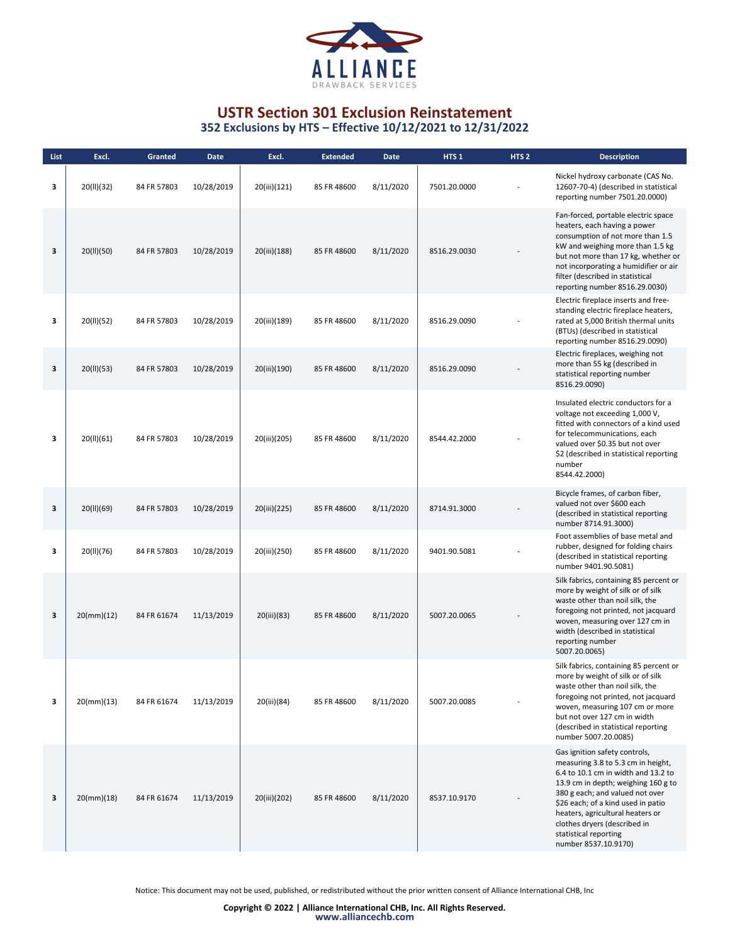

| List | Excl.                    | Granted     | <b>Date</b> | Excl.        | <b>Extended</b> | <b>Date</b> | HTS <sub>1</sub> | HTS <sub>2</sub> | <b>Description</b>                                                                                                                                                                                                                                                                                                                              |
|------|--------------------------|-------------|-------------|--------------|-----------------|-------------|------------------|------------------|-------------------------------------------------------------------------------------------------------------------------------------------------------------------------------------------------------------------------------------------------------------------------------------------------------------------------------------------------|
| 3    | 20(II)(32)               | 84 FR 57803 | 10/28/2019  | 20(iii)(121) | 85 FR 48600     | 8/11/2020   | 7501.20.0000     |                  | Nickel hydroxy carbonate (CAS No.<br>12607-70-4) (described in statistical<br>reporting number 7501.20.0000)                                                                                                                                                                                                                                    |
| 3    | 20(II)(50)               | 84 FR 57803 | 10/28/2019  | 20(iii)(188) | 85 FR 48600     | 8/11/2020   | 8516.29.0030     |                  | Fan-forced, portable electric space<br>heaters, each having a power<br>consumption of not more than 1.5<br>kW and weighing more than 1.5 kg<br>but not more than 17 kg, whether or<br>not incorporating a humidifier or air<br>filter (described in statistical<br>reporting number 8516.29.0030)                                               |
| 3    | 20(II)(52)               | 84 FR 57803 | 10/28/2019  | 20(iii)(189) | 85 FR 48600     | 8/11/2020   | 8516.29.0090     |                  | Electric fireplace inserts and free-<br>standing electric fireplace heaters,<br>rated at 5,000 British thermal units<br>(BTUs) (described in statistical<br>reporting number 8516.29.0090)                                                                                                                                                      |
| 3    | 20(II)(53)               | 84 FR 57803 | 10/28/2019  | 20(iii)(190) | 85 FR 48600     | 8/11/2020   | 8516.29.0090     |                  | Electric fireplaces, weighing not<br>more than 55 kg (described in<br>statistical reporting number<br>8516.29.0090)                                                                                                                                                                                                                             |
| з    | 20(II)(61)               | 84 FR 57803 | 10/28/2019  | 20(iii)(205) | 85 FR 48600     | 8/11/2020   | 8544.42.2000     |                  | Insulated electric conductors for a<br>voltage not exceeding 1,000 V,<br>fitted with connectors of a kind used<br>for telecommunications, each<br>valued over \$0.35 but not over<br>\$2 (described in statistical reporting<br>number<br>8544.42.2000)                                                                                         |
| 3    | 20(II)(69)               | 84 FR 57803 | 10/28/2019  | 20(iii)(225) | 85 FR 48600     | 8/11/2020   | 8714.91.3000     |                  | Bicycle frames, of carbon fiber,<br>valued not over \$600 each<br>(described in statistical reporting<br>number 8714.91.3000)                                                                                                                                                                                                                   |
| з    | 20(II)(76)               | 84 FR 57803 | 10/28/2019  | 20(iii)(250) | 85 FR 48600     | 8/11/2020   | 9401.90.5081     |                  | Foot assemblies of base metal and<br>rubber, designed for folding chairs<br>(described in statistical reporting<br>number 9401.90.5081)                                                                                                                                                                                                         |
| 3    | $20 \, \text{(mm)} (12)$ | 84 FR 61674 | 11/13/2019  | 20(iii)(83)  | 85 FR 48600     | 8/11/2020   | 5007.20.0065     |                  | Silk fabrics, containing 85 percent or<br>more by weight of silk or of silk<br>waste other than noil silk, the<br>foregoing not printed, not jacquard<br>woven, measuring over 127 cm in<br>width (described in statistical<br>reporting number<br>5007.20.0065)                                                                                |
| 3    | 20(mm)(13)               | 84 FR 61674 | 11/13/2019  | 20(iii)(84)  | 85 FR 48600     | 8/11/2020   | 5007.20.0085     |                  | Silk fabrics, containing 85 percent or<br>more by weight of silk or of silk<br>waste other than noil silk, the<br>foregoing not printed, not jacquard<br>woven, measuring 107 cm or more<br>but not over 127 cm in width<br>(described in statistical reporting<br>number 5007.20.0085)                                                         |
| 3    | 20(mm)(18)               | 84 FR 61674 | 11/13/2019  | 20(iii)(202) | 85 FR 48600     | 8/11/2020   | 8537.10.9170     |                  | Gas ignition safety controls,<br>measuring 3.8 to 5.3 cm in height,<br>6.4 to 10.1 cm in width and 13.2 to<br>13.9 cm in depth; weighing 160 g to<br>380 g each; and valued not over<br>\$26 each; of a kind used in patio<br>heaters, agricultural heaters or<br>clothes dryers (described in<br>statistical reporting<br>number 8537.10.9170) |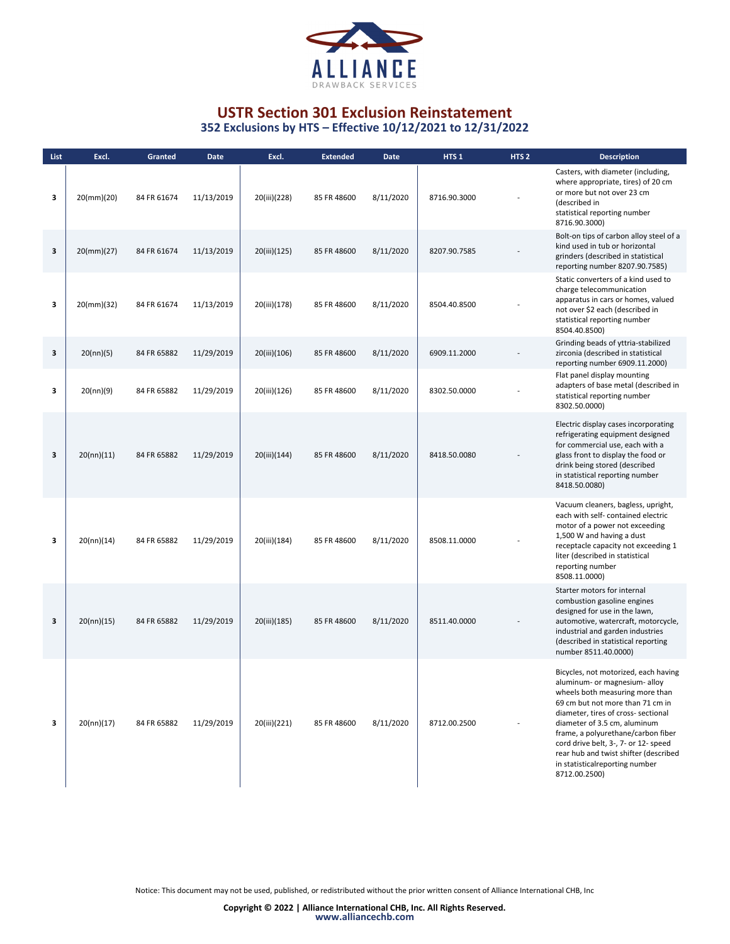

| List | Excl.         | Granted     | <b>Date</b> | Excl.        | <b>Extended</b> | Date      | HTS <sub>1</sub> | HTS <sub>2</sub> | <b>Description</b>                                                                                                                                                                                                                                                                                                                                                                            |
|------|---------------|-------------|-------------|--------------|-----------------|-----------|------------------|------------------|-----------------------------------------------------------------------------------------------------------------------------------------------------------------------------------------------------------------------------------------------------------------------------------------------------------------------------------------------------------------------------------------------|
| з    | $20$ (mm)(20) | 84 FR 61674 | 11/13/2019  | 20(iii)(228) | 85 FR 48600     | 8/11/2020 | 8716.90.3000     |                  | Casters, with diameter (including,<br>where appropriate, tires) of 20 cm<br>or more but not over 23 cm<br>(described in<br>statistical reporting number<br>8716.90.3000)                                                                                                                                                                                                                      |
| 3    | $20$ (mm)(27) | 84 FR 61674 | 11/13/2019  | 20(iii)(125) | 85 FR 48600     | 8/11/2020 | 8207.90.7585     |                  | Bolt-on tips of carbon alloy steel of a<br>kind used in tub or horizontal<br>grinders (described in statistical<br>reporting number 8207.90.7585)                                                                                                                                                                                                                                             |
| з    | $20$ (mm)(32) | 84 FR 61674 | 11/13/2019  | 20(iii)(178) | 85 FR 48600     | 8/11/2020 | 8504.40.8500     |                  | Static converters of a kind used to<br>charge telecommunication<br>apparatus in cars or homes, valued<br>not over \$2 each (described in<br>statistical reporting number<br>8504.40.8500)                                                                                                                                                                                                     |
| 3    | 20(nn)(5)     | 84 FR 65882 | 11/29/2019  | 20(iii)(106) | 85 FR 48600     | 8/11/2020 | 6909.11.2000     |                  | Grinding beads of yttria-stabilized<br>zirconia (described in statistical<br>reporting number 6909.11.2000)                                                                                                                                                                                                                                                                                   |
| з    | 20(nn)(9)     | 84 FR 65882 | 11/29/2019  | 20(iii)(126) | 85 FR 48600     | 8/11/2020 | 8302.50.0000     |                  | Flat panel display mounting<br>adapters of base metal (described in<br>statistical reporting number<br>8302.50.0000)                                                                                                                                                                                                                                                                          |
| 3    | 20(nn)(11)    | 84 FR 65882 | 11/29/2019  | 20(iii)(144) | 85 FR 48600     | 8/11/2020 | 8418.50.0080     |                  | Electric display cases incorporating<br>refrigerating equipment designed<br>for commercial use, each with a<br>glass front to display the food or<br>drink being stored (described<br>in statistical reporting number<br>8418.50.0080)                                                                                                                                                        |
| з    | 20(nn)(14)    | 84 FR 65882 | 11/29/2019  | 20(iii)(184) | 85 FR 48600     | 8/11/2020 | 8508.11.0000     |                  | Vacuum cleaners, bagless, upright,<br>each with self- contained electric<br>motor of a power not exceeding<br>1,500 W and having a dust<br>receptacle capacity not exceeding 1<br>liter (described in statistical<br>reporting number<br>8508.11.0000)                                                                                                                                        |
| 3    | 20(nn)(15)    | 84 FR 65882 | 11/29/2019  | 20(iii)(185) | 85 FR 48600     | 8/11/2020 | 8511.40.0000     |                  | Starter motors for internal<br>combustion gasoline engines<br>designed for use in the lawn,<br>automotive, watercraft, motorcycle,<br>industrial and garden industries<br>(described in statistical reporting<br>number 8511.40.0000)                                                                                                                                                         |
| з    | 20(nn)(17)    | 84 FR 65882 | 11/29/2019  | 20(iii)(221) | 85 FR 48600     | 8/11/2020 | 8712.00.2500     |                  | Bicycles, not motorized, each having<br>aluminum- or magnesium- alloy<br>wheels both measuring more than<br>69 cm but not more than 71 cm in<br>diameter, tires of cross- sectional<br>diameter of 3.5 cm, aluminum<br>frame, a polyurethane/carbon fiber<br>cord drive belt, 3-, 7- or 12- speed<br>rear hub and twist shifter (described<br>in statisticalreporting number<br>8712.00.2500) |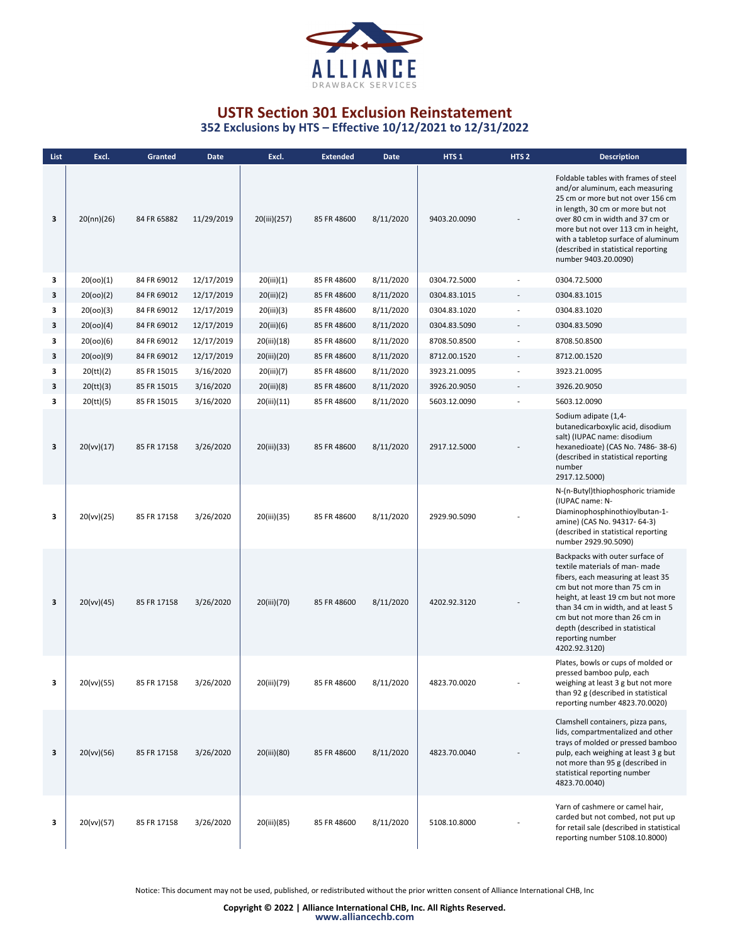

| List | Excl.      | Granted     | <b>Date</b> | Excl.        | <b>Extended</b> | <b>Date</b> | HTS <sub>1</sub> | HTS <sub>2</sub>         | <b>Description</b>                                                                                                                                                                                                                                                                                                                |
|------|------------|-------------|-------------|--------------|-----------------|-------------|------------------|--------------------------|-----------------------------------------------------------------------------------------------------------------------------------------------------------------------------------------------------------------------------------------------------------------------------------------------------------------------------------|
| 3    | 20(nn)(26) | 84 FR 65882 | 11/29/2019  | 20(iii)(257) | 85 FR 48600     | 8/11/2020   | 9403.20.0090     |                          | Foldable tables with frames of steel<br>and/or aluminum, each measuring<br>25 cm or more but not over 156 cm<br>in length, 30 cm or more but not<br>over 80 cm in width and 37 cm or<br>more but not over 113 cm in height,<br>with a tabletop surface of aluminum<br>(described in statistical reporting<br>number 9403.20.0090) |
| 3    | 20(00)(1)  | 84 FR 69012 | 12/17/2019  | 20(iii)(1)   | 85 FR 48600     | 8/11/2020   | 0304.72.5000     |                          | 0304.72.5000                                                                                                                                                                                                                                                                                                                      |
| 3    | 20(00)(2)  | 84 FR 69012 | 12/17/2019  | 20(iii)(2)   | 85 FR 48600     | 8/11/2020   | 0304.83.1015     | $\overline{a}$           | 0304.83.1015                                                                                                                                                                                                                                                                                                                      |
| 3    | 20(00)(3)  | 84 FR 69012 | 12/17/2019  | 20(iii)(3)   | 85 FR 48600     | 8/11/2020   | 0304.83.1020     |                          | 0304.83.1020                                                                                                                                                                                                                                                                                                                      |
| 3    | 20(00)(4)  | 84 FR 69012 | 12/17/2019  | 20(iii)(6)   | 85 FR 48600     | 8/11/2020   | 0304.83.5090     |                          | 0304.83.5090                                                                                                                                                                                                                                                                                                                      |
| 3    | 20(00)(6)  | 84 FR 69012 | 12/17/2019  | 20(iii)(18)  | 85 FR 48600     | 8/11/2020   | 8708.50.8500     |                          | 8708.50.8500                                                                                                                                                                                                                                                                                                                      |
| 3    | 20(00)(9)  | 84 FR 69012 | 12/17/2019  | 20(iii)(20)  | 85 FR 48600     | 8/11/2020   | 8712.00.1520     |                          | 8712.00.1520                                                                                                                                                                                                                                                                                                                      |
| 3    | 20 (tt)(2) | 85 FR 15015 | 3/16/2020   | 20(iii)(7)   | 85 FR 48600     | 8/11/2020   | 3923.21.0095     |                          | 3923.21.0095                                                                                                                                                                                                                                                                                                                      |
| 3    | 20 (tt)(3) | 85 FR 15015 | 3/16/2020   | 20(iii)(8)   | 85 FR 48600     | 8/11/2020   | 3926.20.9050     | $\overline{\phantom{a}}$ | 3926.20.9050                                                                                                                                                                                                                                                                                                                      |
| 3    | 20 (tt)(5) | 85 FR 15015 | 3/16/2020   | 20(iii)(11)  | 85 FR 48600     | 8/11/2020   | 5603.12.0090     |                          | 5603.12.0090                                                                                                                                                                                                                                                                                                                      |
| 3    | 20(vv)(17) | 85 FR 17158 | 3/26/2020   | 20(iii)(33)  | 85 FR 48600     | 8/11/2020   | 2917.12.5000     |                          | Sodium adipate (1,4-<br>butanedicarboxylic acid, disodium<br>salt) (IUPAC name: disodium<br>hexanedioate) (CAS No. 7486-38-6)<br>(described in statistical reporting<br>number<br>2917.12.5000)                                                                                                                                   |
| з    | 20(vv)(25) | 85 FR 17158 | 3/26/2020   | 20(iii)(35)  | 85 FR 48600     | 8/11/2020   | 2929.90.5090     |                          | N-(n-Butyl)thiophosphoric triamide<br>(IUPAC name: N-<br>Diaminophosphinothioylbutan-1-<br>amine) (CAS No. 94317-64-3)<br>(described in statistical reporting<br>number 2929.90.5090)                                                                                                                                             |
| 3    | 20(vv)(45) | 85 FR 17158 | 3/26/2020   | 20(iii)(70)  | 85 FR 48600     | 8/11/2020   | 4202.92.3120     |                          | Backpacks with outer surface of<br>textile materials of man-made<br>fibers, each measuring at least 35<br>cm but not more than 75 cm in<br>height, at least 19 cm but not more<br>than 34 cm in width, and at least 5<br>cm but not more than 26 cm in<br>depth (described in statistical<br>reporting number<br>4202.92.3120)    |
|      | 20(vv)(55) | 85 FR 17158 | 3/26/2020   | 20(iii)(79)  | 85 FR 48600     | 8/11/2020   | 4823.70.0020     |                          | Plates, bowls or cups of molded or<br>pressed bamboo pulp, each<br>weighing at least 3 g but not more<br>than 92 g (described in statistical<br>reporting number 4823.70.0020)                                                                                                                                                    |
| 3    | 20(vv)(56) | 85 FR 17158 | 3/26/2020   | 20(iii)(80)  | 85 FR 48600     | 8/11/2020   | 4823.70.0040     |                          | Clamshell containers, pizza pans,<br>lids, compartmentalized and other<br>trays of molded or pressed bamboo<br>pulp, each weighing at least 3 g but<br>not more than 95 g (described in<br>statistical reporting number<br>4823.70.0040)                                                                                          |
| 3    | 20(vv)(57) | 85 FR 17158 | 3/26/2020   | 20(iii)(85)  | 85 FR 48600     | 8/11/2020   | 5108.10.8000     |                          | Yarn of cashmere or camel hair,<br>carded but not combed, not put up<br>for retail sale (described in statistical<br>reporting number 5108.10.8000)                                                                                                                                                                               |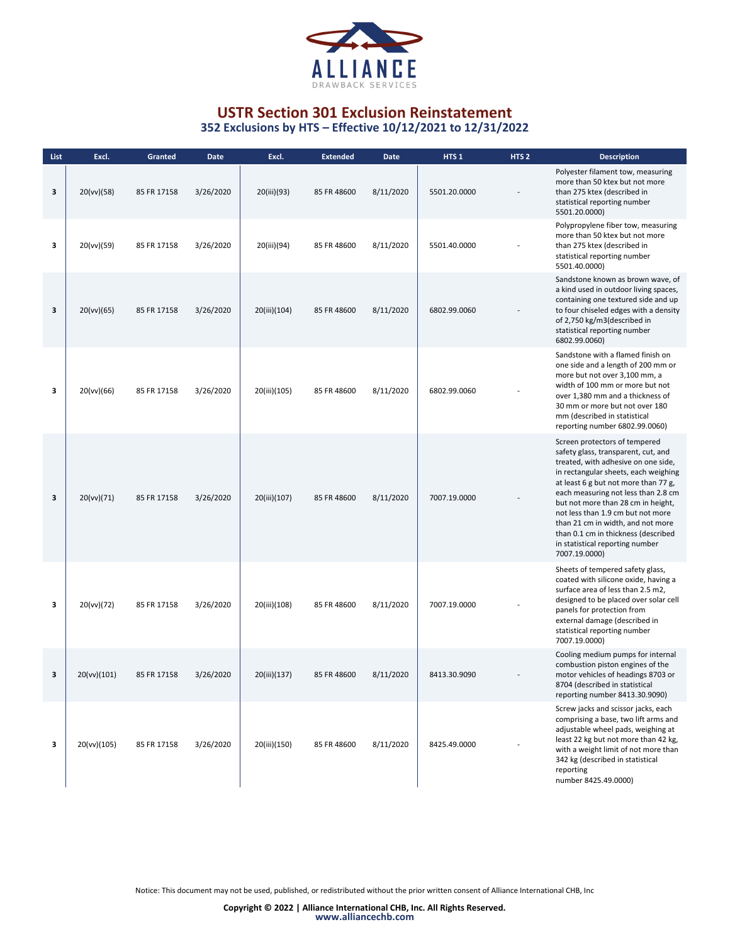

| List | Excl.       | Granted     | <b>Date</b> | Excl.        | <b>Extended</b> | Date      | HTS <sub>1</sub> | HTS <sub>2</sub> | <b>Description</b>                                                                                                                                                                                                                                                                                                                                                                                                                            |
|------|-------------|-------------|-------------|--------------|-----------------|-----------|------------------|------------------|-----------------------------------------------------------------------------------------------------------------------------------------------------------------------------------------------------------------------------------------------------------------------------------------------------------------------------------------------------------------------------------------------------------------------------------------------|
| 3    | 20(vv)(58)  | 85 FR 17158 | 3/26/2020   | 20(iii)(93)  | 85 FR 48600     | 8/11/2020 | 5501.20.0000     |                  | Polyester filament tow, measuring<br>more than 50 ktex but not more<br>than 275 ktex (described in<br>statistical reporting number<br>5501.20.0000)                                                                                                                                                                                                                                                                                           |
| 3    | 20(vv)(59)  | 85 FR 17158 | 3/26/2020   | 20(iii)(94)  | 85 FR 48600     | 8/11/2020 | 5501.40.0000     |                  | Polypropylene fiber tow, measuring<br>more than 50 ktex but not more<br>than 275 ktex (described in<br>statistical reporting number<br>5501.40.0000)                                                                                                                                                                                                                                                                                          |
| 3    | 20(vv)(65)  | 85 FR 17158 | 3/26/2020   | 20(iii)(104) | 85 FR 48600     | 8/11/2020 | 6802.99.0060     |                  | Sandstone known as brown wave, of<br>a kind used in outdoor living spaces,<br>containing one textured side and up<br>to four chiseled edges with a density<br>of 2,750 kg/m3(described in<br>statistical reporting number<br>6802.99.0060)                                                                                                                                                                                                    |
| з    | 20(vv)(66)  | 85 FR 17158 | 3/26/2020   | 20(iii)(105) | 85 FR 48600     | 8/11/2020 | 6802.99.0060     |                  | Sandstone with a flamed finish on<br>one side and a length of 200 mm or<br>more but not over 3,100 mm, a<br>width of 100 mm or more but not<br>over 1,380 mm and a thickness of<br>30 mm or more but not over 180<br>mm (described in statistical<br>reporting number 6802.99.0060)                                                                                                                                                           |
| 3    | 20(vv)(71)  | 85 FR 17158 | 3/26/2020   | 20(iii)(107) | 85 FR 48600     | 8/11/2020 | 7007.19.0000     |                  | Screen protectors of tempered<br>safety glass, transparent, cut, and<br>treated, with adhesive on one side,<br>in rectangular sheets, each weighing<br>at least 6 g but not more than 77 g,<br>each measuring not less than 2.8 cm<br>but not more than 28 cm in height,<br>not less than 1.9 cm but not more<br>than 21 cm in width, and not more<br>than 0.1 cm in thickness (described<br>in statistical reporting number<br>7007.19.0000) |
| з    | 20(vv)(72)  | 85 FR 17158 | 3/26/2020   | 20(iii)(108) | 85 FR 48600     | 8/11/2020 | 7007.19.0000     |                  | Sheets of tempered safety glass,<br>coated with silicone oxide, having a<br>surface area of less than 2.5 m2,<br>designed to be placed over solar cell<br>panels for protection from<br>external damage (described in<br>statistical reporting number<br>7007.19.0000)                                                                                                                                                                        |
| 3    | 20(vv)(101) | 85 FR 17158 | 3/26/2020   | 20(iii)(137) | 85 FR 48600     | 8/11/2020 | 8413.30.9090     |                  | Cooling medium pumps for internal<br>combustion piston engines of the<br>motor vehicles of headings 8703 or<br>8704 (described in statistical<br>reporting number 8413.30.9090)                                                                                                                                                                                                                                                               |
| з    | 20(vv)(105) | 85 FR 17158 | 3/26/2020   | 20(iii)(150) | 85 FR 48600     | 8/11/2020 | 8425.49.0000     |                  | Screw jacks and scissor jacks, each<br>comprising a base, two lift arms and<br>adjustable wheel pads, weighing at<br>least 22 kg but not more than 42 kg,<br>with a weight limit of not more than<br>342 kg (described in statistical<br>reporting<br>number 8425.49.0000)                                                                                                                                                                    |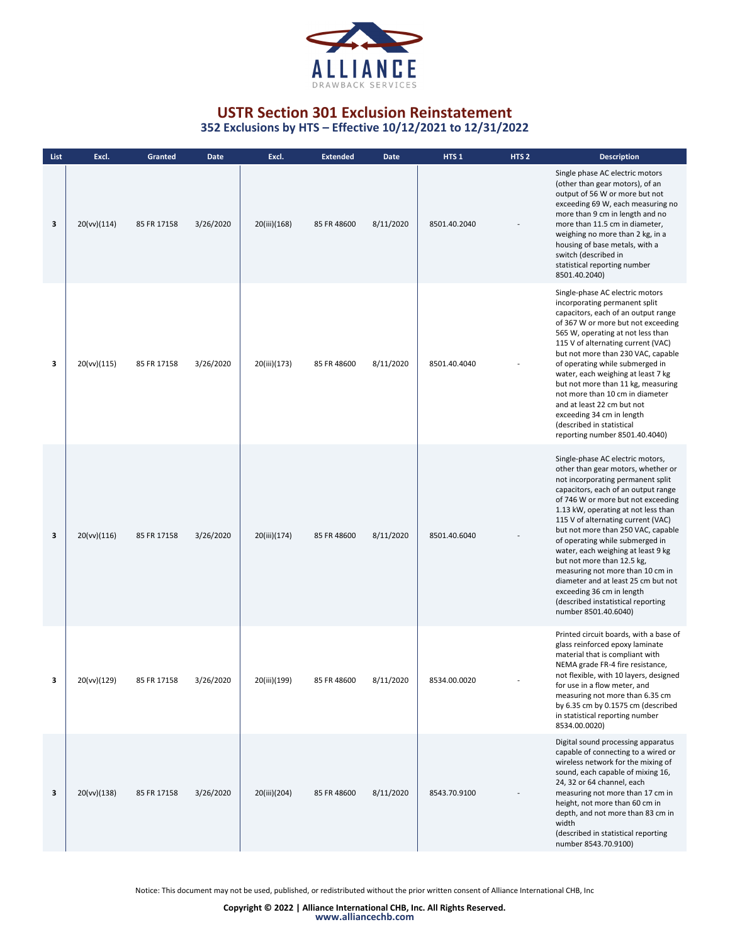

**352 Exclusions by HTS – Effective 10/12/2021 to 12/31/2022**

| List | Excl.       | Granted     | Date      | Excl.        | <b>Extended</b> | Date      | HTS <sub>1</sub> | HTS <sub>2</sub> | <b>Description</b>                                                                                                                                                                                                                                                                                                                                                                                                                                                                                                                                                                       |
|------|-------------|-------------|-----------|--------------|-----------------|-----------|------------------|------------------|------------------------------------------------------------------------------------------------------------------------------------------------------------------------------------------------------------------------------------------------------------------------------------------------------------------------------------------------------------------------------------------------------------------------------------------------------------------------------------------------------------------------------------------------------------------------------------------|
| 3    | 20(vv)(114) | 85 FR 17158 | 3/26/2020 | 20(iii)(168) | 85 FR 48600     | 8/11/2020 | 8501.40.2040     |                  | Single phase AC electric motors<br>(other than gear motors), of an<br>output of 56 W or more but not<br>exceeding 69 W, each measuring no<br>more than 9 cm in length and no<br>more than 11.5 cm in diameter,<br>weighing no more than 2 kg, in a<br>housing of base metals, with a<br>switch (described in<br>statistical reporting number<br>8501.40.2040)                                                                                                                                                                                                                            |
| 3    | 20(vv)(115) | 85 FR 17158 | 3/26/2020 | 20(iii)(173) | 85 FR 48600     | 8/11/2020 | 8501.40.4040     |                  | Single-phase AC electric motors<br>incorporating permanent split<br>capacitors, each of an output range<br>of 367 W or more but not exceeding<br>565 W, operating at not less than<br>115 V of alternating current (VAC)<br>but not more than 230 VAC, capable<br>of operating while submerged in<br>water, each weighing at least 7 kg<br>but not more than 11 kg, measuring<br>not more than 10 cm in diameter<br>and at least 22 cm but not<br>exceeding 34 cm in length<br>(described in statistical<br>reporting number 8501.40.4040)                                               |
| 3    | 20(vv)(116) | 85 FR 17158 | 3/26/2020 | 20(iii)(174) | 85 FR 48600     | 8/11/2020 | 8501.40.6040     |                  | Single-phase AC electric motors,<br>other than gear motors, whether or<br>not incorporating permanent split<br>capacitors, each of an output range<br>of 746 W or more but not exceeding<br>1.13 kW, operating at not less than<br>115 V of alternating current (VAC)<br>but not more than 250 VAC, capable<br>of operating while submerged in<br>water, each weighing at least 9 kg<br>but not more than 12.5 kg,<br>measuring not more than 10 cm in<br>diameter and at least 25 cm but not<br>exceeding 36 cm in length<br>(described instatistical reporting<br>number 8501.40.6040) |
| 3    | 20(vv)(129) | 85 FR 17158 | 3/26/2020 | 20(iii)(199) | 85 FR 48600     | 8/11/2020 | 8534.00.0020     |                  | Printed circuit boards, with a base of<br>glass reinforced epoxy laminate<br>material that is compliant with<br>NEMA grade FR-4 fire resistance,<br>not flexible, with 10 layers, designed<br>for use in a flow meter, and<br>measuring not more than 6.35 cm<br>by 6.35 cm by 0.1575 cm (described<br>in statistical reporting number<br>8534.00.0020)                                                                                                                                                                                                                                  |
| 3    | 20(vv)(138) | 85 FR 17158 | 3/26/2020 | 20(iii)(204) | 85 FR 48600     | 8/11/2020 | 8543.70.9100     |                  | Digital sound processing apparatus<br>capable of connecting to a wired or<br>wireless network for the mixing of<br>sound, each capable of mixing 16,<br>24, 32 or 64 channel, each<br>measuring not more than 17 cm in<br>height, not more than 60 cm in<br>depth, and not more than 83 cm in<br>width<br>(described in statistical reporting<br>number 8543.70.9100)                                                                                                                                                                                                                    |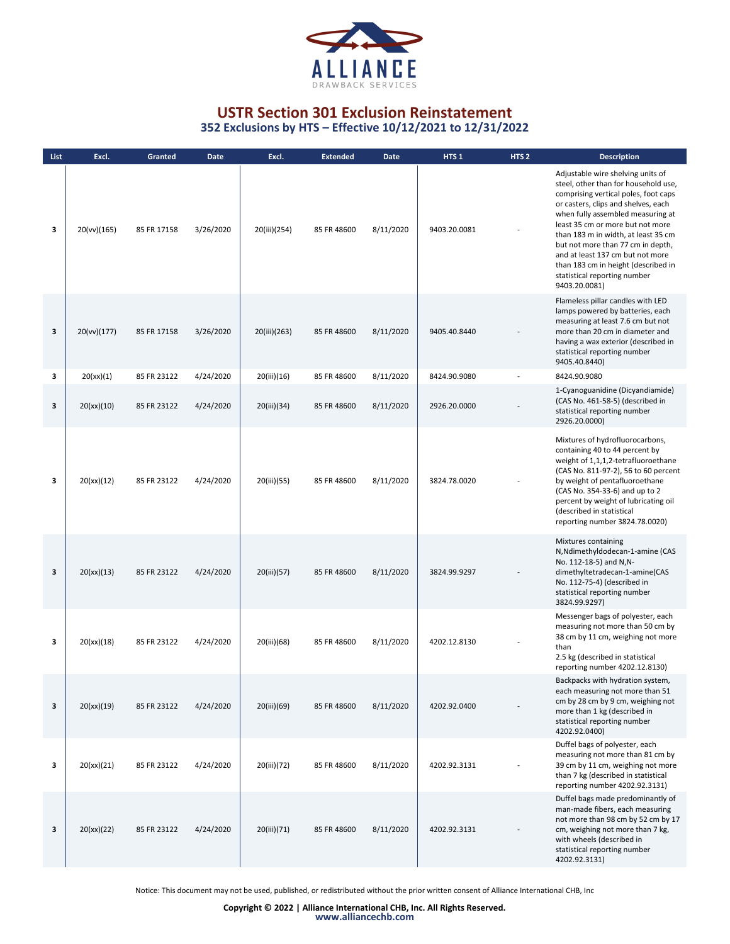

**352 Exclusions by HTS – Effective 10/12/2021 to 12/31/2022**

| List. | Excl.       | Granted     | <b>Date</b> | Excl.        | <b>Extended</b> | <b>Date</b> | HTS <sub>1</sub> | HTS <sub>2</sub> | <b>Description</b>                                                                                                                                                                                                                                                                                                                                                                                                                        |
|-------|-------------|-------------|-------------|--------------|-----------------|-------------|------------------|------------------|-------------------------------------------------------------------------------------------------------------------------------------------------------------------------------------------------------------------------------------------------------------------------------------------------------------------------------------------------------------------------------------------------------------------------------------------|
| 3     | 20(vv)(165) | 85 FR 17158 | 3/26/2020   | 20(iii)(254) | 85 FR 48600     | 8/11/2020   | 9403.20.0081     |                  | Adjustable wire shelving units of<br>steel, other than for household use,<br>comprising vertical poles, foot caps<br>or casters, clips and shelves, each<br>when fully assembled measuring at<br>least 35 cm or more but not more<br>than 183 m in width, at least 35 cm<br>but not more than 77 cm in depth,<br>and at least 137 cm but not more<br>than 183 cm in height (described in<br>statistical reporting number<br>9403.20.0081) |
| 3     | 20(vv)(177) | 85 FR 17158 | 3/26/2020   | 20(iii)(263) | 85 FR 48600     | 8/11/2020   | 9405.40.8440     |                  | Flameless pillar candles with LED<br>lamps powered by batteries, each<br>measuring at least 7.6 cm but not<br>more than 20 cm in diameter and<br>having a wax exterior (described in<br>statistical reporting number<br>9405.40.8440)                                                                                                                                                                                                     |
| з     | 20(xx)(1)   | 85 FR 23122 | 4/24/2020   | 20(iii)(16)  | 85 FR 48600     | 8/11/2020   | 8424.90.9080     |                  | 8424.90.9080                                                                                                                                                                                                                                                                                                                                                                                                                              |
| 3     | 20(xx)(10)  | 85 FR 23122 | 4/24/2020   | 20(iii)(34)  | 85 FR 48600     | 8/11/2020   | 2926.20.0000     |                  | 1-Cyanoguanidine (Dicyandiamide)<br>(CAS No. 461-58-5) (described in<br>statistical reporting number<br>2926.20.0000)                                                                                                                                                                                                                                                                                                                     |
| 3     | 20(xx)(12)  | 85 FR 23122 | 4/24/2020   | 20(iii)(55)  | 85 FR 48600     | 8/11/2020   | 3824.78.0020     |                  | Mixtures of hydrofluorocarbons,<br>containing 40 to 44 percent by<br>weight of 1,1,1,2-tetrafluoroethane<br>(CAS No. 811-97-2), 56 to 60 percent<br>by weight of pentafluoroethane<br>(CAS No. 354-33-6) and up to 2<br>percent by weight of lubricating oil<br>(described in statistical<br>reporting number 3824.78.0020)                                                                                                               |
| 3     | 20(xx)(13)  | 85 FR 23122 | 4/24/2020   | 20(iii)(57)  | 85 FR 48600     | 8/11/2020   | 3824.99.9297     |                  | Mixtures containing<br>N, Ndimethyldodecan-1-amine (CAS<br>No. 112-18-5) and N,N-<br>dimethyltetradecan-1-amine(CAS<br>No. 112-75-4) (described in<br>statistical reporting number<br>3824.99.9297)                                                                                                                                                                                                                                       |
| 3     | 20(xx)(18)  | 85 FR 23122 | 4/24/2020   | 20(iii)(68)  | 85 FR 48600     | 8/11/2020   | 4202.12.8130     |                  | Messenger bags of polyester, each<br>measuring not more than 50 cm by<br>38 cm by 11 cm, weighing not more<br>than<br>2.5 kg (described in statistical<br>reporting number 4202.12.8130)                                                                                                                                                                                                                                                  |
| 3     | 20(xx)(19)  | 85 FR 23122 | 4/24/2020   | 20(iii)(69)  | 85 FR 48600     | 8/11/2020   | 4202.92.0400     |                  | Backpacks with hydration system,<br>each measuring not more than 51<br>cm by 28 cm by 9 cm, weighing not<br>more than 1 kg (described in<br>statistical reporting number<br>4202.92.0400)                                                                                                                                                                                                                                                 |
| 3     | 20(xx)(21)  | 85 FR 23122 | 4/24/2020   | 20(iii)(72)  | 85 FR 48600     | 8/11/2020   | 4202.92.3131     |                  | Duffel bags of polyester, each<br>measuring not more than 81 cm by<br>39 cm by 11 cm, weighing not more<br>than 7 kg (described in statistical<br>reporting number 4202.92.3131)                                                                                                                                                                                                                                                          |
| 3     | 20(xx)(22)  | 85 FR 23122 | 4/24/2020   | 20(iii)(71)  | 85 FR 48600     | 8/11/2020   | 4202.92.3131     |                  | Duffel bags made predominantly of<br>man-made fibers, each measuring<br>not more than 98 cm by 52 cm by 17<br>cm, weighing not more than 7 kg,<br>with wheels (described in<br>statistical reporting number<br>4202.92.3131)                                                                                                                                                                                                              |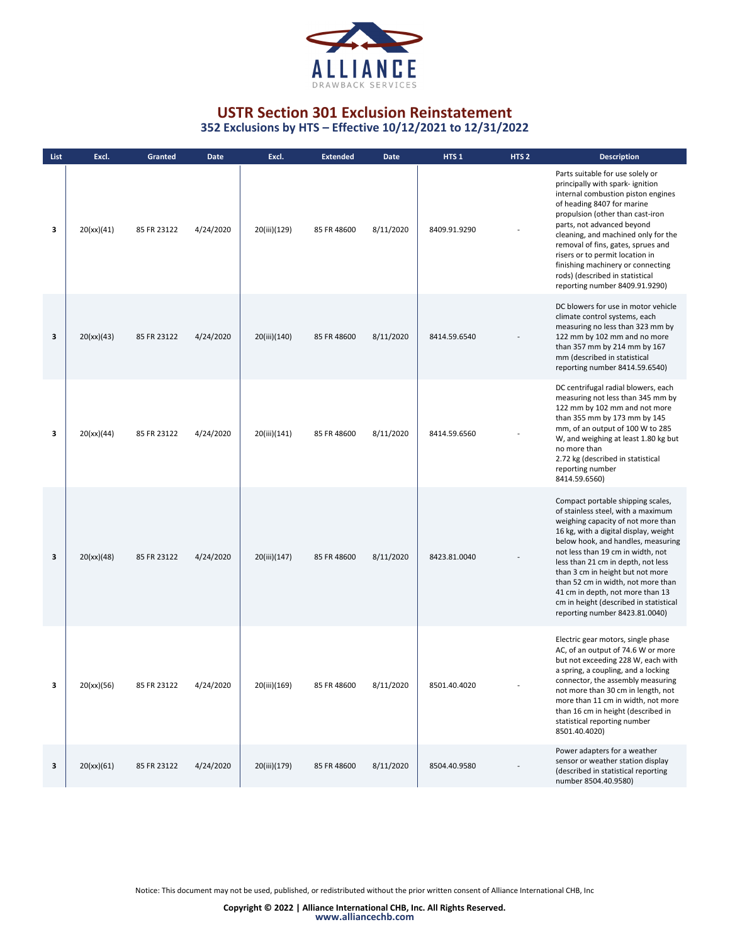

**352 Exclusions by HTS – Effective 10/12/2021 to 12/31/2022**

| List | Excl.      | Granted     | <b>Date</b> | Excl.        | <b>Extended</b> | <b>Date</b> | HTS <sub>1</sub> | HTS <sub>2</sub> | <b>Description</b>                                                                                                                                                                                                                                                                                                                                                                                                                                                |
|------|------------|-------------|-------------|--------------|-----------------|-------------|------------------|------------------|-------------------------------------------------------------------------------------------------------------------------------------------------------------------------------------------------------------------------------------------------------------------------------------------------------------------------------------------------------------------------------------------------------------------------------------------------------------------|
| 3    | 20(xx)(41) | 85 FR 23122 | 4/24/2020   | 20(iii)(129) | 85 FR 48600     | 8/11/2020   | 8409.91.9290     |                  | Parts suitable for use solely or<br>principally with spark-ignition<br>internal combustion piston engines<br>of heading 8407 for marine<br>propulsion (other than cast-iron<br>parts, not advanced beyond<br>cleaning, and machined only for the<br>removal of fins, gates, sprues and<br>risers or to permit location in<br>finishing machinery or connecting<br>rods) (described in statistical<br>reporting number 8409.91.9290)                               |
| 3    | 20(xx)(43) | 85 FR 23122 | 4/24/2020   | 20(iii)(140) | 85 FR 48600     | 8/11/2020   | 8414.59.6540     |                  | DC blowers for use in motor vehicle<br>climate control systems, each<br>measuring no less than 323 mm by<br>122 mm by 102 mm and no more<br>than 357 mm by 214 mm by 167<br>mm (described in statistical<br>reporting number 8414.59.6540)                                                                                                                                                                                                                        |
| 3    | 20(xx)(44) | 85 FR 23122 | 4/24/2020   | 20(iii)(141) | 85 FR 48600     | 8/11/2020   | 8414.59.6560     |                  | DC centrifugal radial blowers, each<br>measuring not less than 345 mm by<br>122 mm by 102 mm and not more<br>than 355 mm by 173 mm by 145<br>mm, of an output of 100 W to 285<br>W, and weighing at least 1.80 kg but<br>no more than<br>2.72 kg (described in statistical<br>reporting number<br>8414.59.6560)                                                                                                                                                   |
| 3    | 20(xx)(48) | 85 FR 23122 | 4/24/2020   | 20(iii)(147) | 85 FR 48600     | 8/11/2020   | 8423.81.0040     |                  | Compact portable shipping scales,<br>of stainless steel, with a maximum<br>weighing capacity of not more than<br>16 kg, with a digital display, weight<br>below hook, and handles, measuring<br>not less than 19 cm in width, not<br>less than 21 cm in depth, not less<br>than 3 cm in height but not more<br>than 52 cm in width, not more than<br>41 cm in depth, not more than 13<br>cm in height (described in statistical<br>reporting number 8423.81.0040) |
|      | 20(xx)(56) | 85 FR 23122 | 4/24/2020   | 20(iii)(169) | 85 FR 48600     | 8/11/2020   | 8501.40.4020     |                  | Electric gear motors, single phase<br>AC, of an output of 74.6 W or more<br>but not exceeding 228 W, each with<br>a spring, a coupling, and a locking<br>connector, the assembly measuring<br>not more than 30 cm in length, not<br>more than 11 cm in width, not more<br>than 16 cm in height (described in<br>statistical reporting number<br>8501.40.4020)                                                                                                     |
| 3    | 20(xx)(61) | 85 FR 23122 | 4/24/2020   | 20(iii)(179) | 85 FR 48600     | 8/11/2020   | 8504.40.9580     |                  | Power adapters for a weather<br>sensor or weather station display<br>(described in statistical reporting<br>number 8504.40.9580)                                                                                                                                                                                                                                                                                                                                  |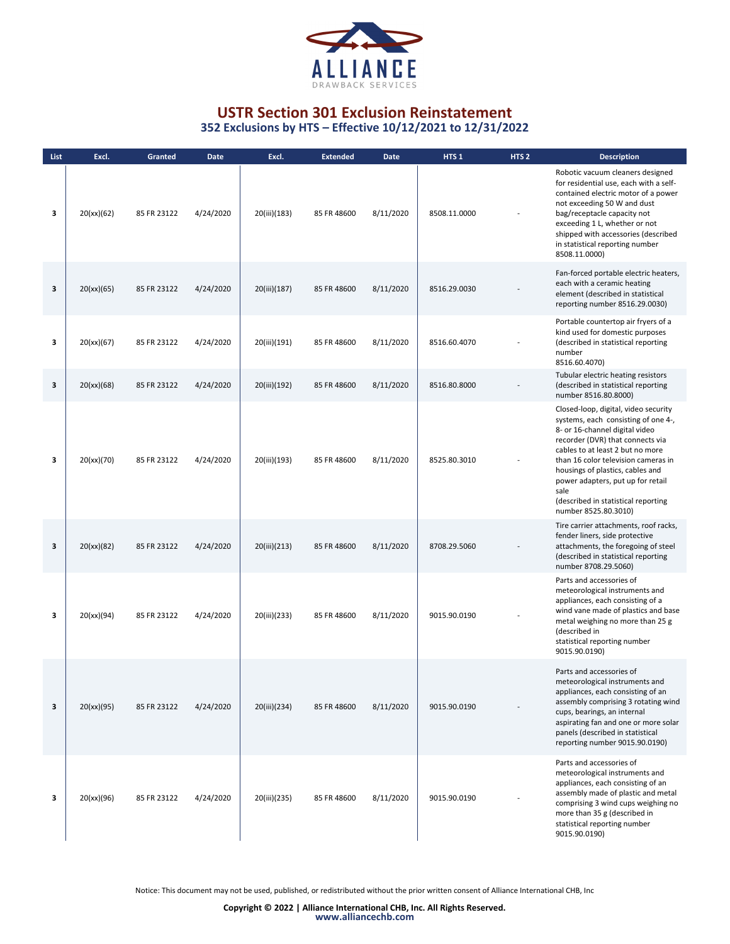

**352 Exclusions by HTS – Effective 10/12/2021 to 12/31/2022**

| List | Excl.      | <b>Granted</b> | <b>Date</b> | Excl.        | <b>Extended</b> | <b>Date</b> | HTS <sub>1</sub> | HTS <sub>2</sub> | <b>Description</b>                                                                                                                                                                                                                                                                                                                                                           |
|------|------------|----------------|-------------|--------------|-----------------|-------------|------------------|------------------|------------------------------------------------------------------------------------------------------------------------------------------------------------------------------------------------------------------------------------------------------------------------------------------------------------------------------------------------------------------------------|
| 3    | 20(xx)(62) | 85 FR 23122    | 4/24/2020   | 20(iii)(183) | 85 FR 48600     | 8/11/2020   | 8508.11.0000     |                  | Robotic vacuum cleaners designed<br>for residential use, each with a self-<br>contained electric motor of a power<br>not exceeding 50 W and dust<br>bag/receptacle capacity not<br>exceeding 1 L, whether or not<br>shipped with accessories (described<br>in statistical reporting number<br>8508.11.0000)                                                                  |
| 3    | 20(xx)(65) | 85 FR 23122    | 4/24/2020   | 20(iii)(187) | 85 FR 48600     | 8/11/2020   | 8516.29.0030     |                  | Fan-forced portable electric heaters,<br>each with a ceramic heating<br>element (described in statistical<br>reporting number 8516.29.0030)                                                                                                                                                                                                                                  |
| 3    | 20(xx)(67) | 85 FR 23122    | 4/24/2020   | 20(iii)(191) | 85 FR 48600     | 8/11/2020   | 8516.60.4070     |                  | Portable countertop air fryers of a<br>kind used for domestic purposes<br>(described in statistical reporting<br>number<br>8516.60.4070)                                                                                                                                                                                                                                     |
| 3    | 20(xx)(68) | 85 FR 23122    | 4/24/2020   | 20(iii)(192) | 85 FR 48600     | 8/11/2020   | 8516.80.8000     |                  | Tubular electric heating resistors<br>(described in statistical reporting<br>number 8516.80.8000)                                                                                                                                                                                                                                                                            |
| 3    | 20(xx)(70) | 85 FR 23122    | 4/24/2020   | 20(iii)(193) | 85 FR 48600     | 8/11/2020   | 8525.80.3010     |                  | Closed-loop, digital, video security<br>systems, each consisting of one 4-,<br>8- or 16-channel digital video<br>recorder (DVR) that connects via<br>cables to at least 2 but no more<br>than 16 color television cameras in<br>housings of plastics, cables and<br>power adapters, put up for retail<br>sale<br>(described in statistical reporting<br>number 8525.80.3010) |
| 3    | 20(xx)(82) | 85 FR 23122    | 4/24/2020   | 20(iii)(213) | 85 FR 48600     | 8/11/2020   | 8708.29.5060     |                  | Tire carrier attachments, roof racks,<br>fender liners, side protective<br>attachments, the foregoing of steel<br>(described in statistical reporting<br>number 8708.29.5060)                                                                                                                                                                                                |
| 3    | 20(xx)(94) | 85 FR 23122    | 4/24/2020   | 20(iii)(233) | 85 FR 48600     | 8/11/2020   | 9015.90.0190     |                  | Parts and accessories of<br>meteorological instruments and<br>appliances, each consisting of a<br>wind vane made of plastics and base<br>metal weighing no more than 25 g<br>(described in<br>statistical reporting number<br>9015.90.0190)                                                                                                                                  |
| 3    | 20(xx)(95) | 85 FR 23122    | 4/24/2020   | 20(iii)(234) | 85 FR 48600     | 8/11/2020   | 9015.90.0190     |                  | Parts and accessories of<br>meteorological instruments and<br>appliances, each consisting of an<br>assembly comprising 3 rotating wind<br>cups, bearings, an internal<br>aspirating fan and one or more solar<br>panels (described in statistical<br>reporting number 9015.90.0190)                                                                                          |
| з    | 20(xx)(96) | 85 FR 23122    | 4/24/2020   | 20(iii)(235) | 85 FR 48600     | 8/11/2020   | 9015.90.0190     |                  | Parts and accessories of<br>meteorological instruments and<br>appliances, each consisting of an<br>assembly made of plastic and metal<br>comprising 3 wind cups weighing no<br>more than 35 g (described in<br>statistical reporting number<br>9015.90.0190)                                                                                                                 |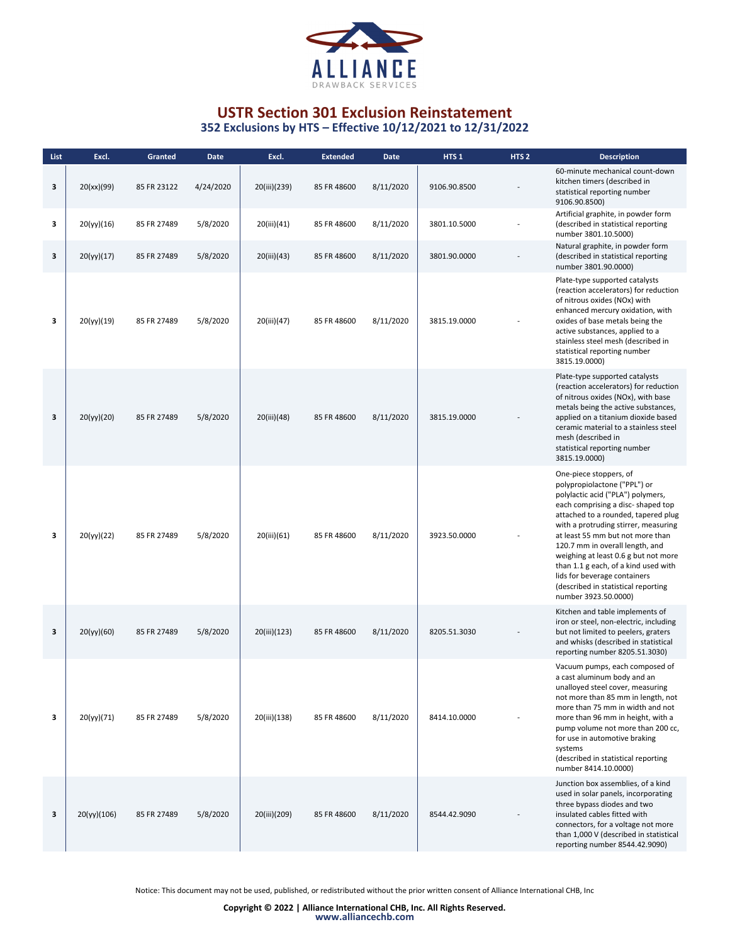

| List | Excl.       | Granted     | <b>Date</b> | Excl.        | <b>Extended</b> | <b>Date</b> | HTS <sub>1</sub> | HTS <sub>2</sub> | <b>Description</b>                                                                                                                                                                                                                                                                                                                                                                                                                                                    |
|------|-------------|-------------|-------------|--------------|-----------------|-------------|------------------|------------------|-----------------------------------------------------------------------------------------------------------------------------------------------------------------------------------------------------------------------------------------------------------------------------------------------------------------------------------------------------------------------------------------------------------------------------------------------------------------------|
| 3    | 20(xx)(99)  | 85 FR 23122 | 4/24/2020   | 20(iii)(239) | 85 FR 48600     | 8/11/2020   | 9106.90.8500     |                  | 60-minute mechanical count-down<br>kitchen timers (described in<br>statistical reporting number<br>9106.90.8500)                                                                                                                                                                                                                                                                                                                                                      |
| 3    | 20(yy)(16)  | 85 FR 27489 | 5/8/2020    | 20(iii)(41)  | 85 FR 48600     | 8/11/2020   | 3801.10.5000     |                  | Artificial graphite, in powder form<br>(described in statistical reporting<br>number 3801.10.5000)                                                                                                                                                                                                                                                                                                                                                                    |
| 3    | 20(yy)(17)  | 85 FR 27489 | 5/8/2020    | 20(iii)(43)  | 85 FR 48600     | 8/11/2020   | 3801.90.0000     |                  | Natural graphite, in powder form<br>(described in statistical reporting<br>number 3801.90.0000)                                                                                                                                                                                                                                                                                                                                                                       |
| з    | 20(yy)(19)  | 85 FR 27489 | 5/8/2020    | 20(iii)(47)  | 85 FR 48600     | 8/11/2020   | 3815.19.0000     |                  | Plate-type supported catalysts<br>(reaction accelerators) for reduction<br>of nitrous oxides (NOx) with<br>enhanced mercury oxidation, with<br>oxides of base metals being the<br>active substances, applied to a<br>stainless steel mesh (described in<br>statistical reporting number<br>3815.19.0000)                                                                                                                                                              |
| 3    | 20(yy)(20)  | 85 FR 27489 | 5/8/2020    | 20(iii)(48)  | 85 FR 48600     | 8/11/2020   | 3815.19.0000     |                  | Plate-type supported catalysts<br>(reaction accelerators) for reduction<br>of nitrous oxides (NOx), with base<br>metals being the active substances,<br>applied on a titanium dioxide based<br>ceramic material to a stainless steel<br>mesh (described in<br>statistical reporting number<br>3815.19.0000)                                                                                                                                                           |
| 3    | 20(yy)(22)  | 85 FR 27489 | 5/8/2020    | 20(iii)(61)  | 85 FR 48600     | 8/11/2020   | 3923.50.0000     |                  | One-piece stoppers, of<br>polypropiolactone ("PPL") or<br>polylactic acid ("PLA") polymers,<br>each comprising a disc-shaped top<br>attached to a rounded, tapered plug<br>with a protruding stirrer, measuring<br>at least 55 mm but not more than<br>120.7 mm in overall length, and<br>weighing at least 0.6 g but not more<br>than 1.1 g each, of a kind used with<br>lids for beverage containers<br>(described in statistical reporting<br>number 3923.50.0000) |
| 3    | 20(yy)(60)  | 85 FR 27489 | 5/8/2020    | 20(iii)(123) | 85 FR 48600     | 8/11/2020   | 8205.51.3030     |                  | Kitchen and table implements of<br>iron or steel, non-electric, including<br>but not limited to peelers, graters<br>and whisks (described in statistical<br>reporting number 8205.51.3030)                                                                                                                                                                                                                                                                            |
| з    | 20(yy)(71)  | 85 FR 27489 | 5/8/2020    | 20(iii)(138) | 85 FR 48600     | 8/11/2020   | 8414.10.0000     |                  | Vacuum pumps, each composed of<br>a cast aluminum body and an<br>unalloyed steel cover, measuring<br>not more than 85 mm in length, not<br>more than 75 mm in width and not<br>more than 96 mm in height, with a<br>pump volume not more than 200 cc,<br>for use in automotive braking<br>systems<br>(described in statistical reporting<br>number 8414.10.0000)                                                                                                      |
| 3    | 20(yy)(106) | 85 FR 27489 | 5/8/2020    | 20(iii)(209) | 85 FR 48600     | 8/11/2020   | 8544.42.9090     |                  | Junction box assemblies, of a kind<br>used in solar panels, incorporating<br>three bypass diodes and two<br>insulated cables fitted with<br>connectors, for a voltage not more<br>than 1,000 V (described in statistical<br>reporting number 8544.42.9090)                                                                                                                                                                                                            |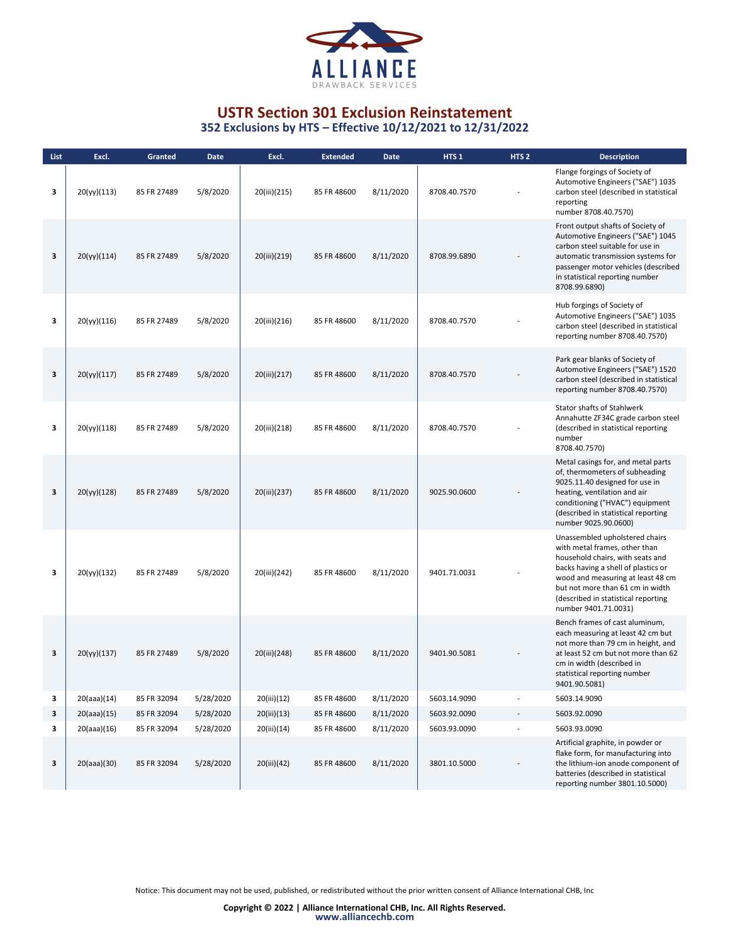

| List | Excl.       | Granted     | <b>Date</b> | Excl.        | <b>Extended</b> | Date      | HTS <sub>1</sub> | HTS <sub>2</sub> | <b>Description</b>                                                                                                                                                                                                                                                                 |
|------|-------------|-------------|-------------|--------------|-----------------|-----------|------------------|------------------|------------------------------------------------------------------------------------------------------------------------------------------------------------------------------------------------------------------------------------------------------------------------------------|
| 3    | 20(yy)(113) | 85 FR 27489 | 5/8/2020    | 20(iii)(215) | 85 FR 48600     | 8/11/2020 | 8708.40.7570     |                  | Flange forgings of Society of<br>Automotive Engineers ("SAE") 1035<br>carbon steel (described in statistical<br>reporting<br>number 8708.40.7570)                                                                                                                                  |
| 3    | 20(yy)(114) | 85 FR 27489 | 5/8/2020    | 20(iii)(219) | 85 FR 48600     | 8/11/2020 | 8708.99.6890     |                  | Front output shafts of Society of<br>Automotive Engineers ("SAE") 1045<br>carbon steel suitable for use in<br>automatic transmission systems for<br>passenger motor vehicles (described<br>in statistical reporting number<br>8708.99.6890)                                        |
| 3    | 20(yy)(116) | 85 FR 27489 | 5/8/2020    | 20(iii)(216) | 85 FR 48600     | 8/11/2020 | 8708.40.7570     |                  | Hub forgings of Society of<br>Automotive Engineers ("SAE") 1035<br>carbon steel (described in statistical<br>reporting number 8708.40.7570)                                                                                                                                        |
| 3    | 20(yy)(117) | 85 FR 27489 | 5/8/2020    | 20(iii)(217) | 85 FR 48600     | 8/11/2020 | 8708.40.7570     |                  | Park gear blanks of Society of<br>Automotive Engineers ("SAE") 1520<br>carbon steel (described in statistical<br>reporting number 8708.40.7570)                                                                                                                                    |
| 3    | 20(yy)(118) | 85 FR 27489 | 5/8/2020    | 20(iii)(218) | 85 FR 48600     | 8/11/2020 | 8708.40.7570     |                  | Stator shafts of Stahlwerk<br>Annahutte ZF34C grade carbon steel<br>(described in statistical reporting<br>number<br>8708.40.7570)                                                                                                                                                 |
| 3    | 20(yy)(128) | 85 FR 27489 | 5/8/2020    | 20(iii)(237) | 85 FR 48600     | 8/11/2020 | 9025.90.0600     |                  | Metal casings for, and metal parts<br>of, thermometers of subheading<br>9025.11.40 designed for use in<br>heating, ventilation and air<br>conditioning ("HVAC") equipment<br>(described in statistical reporting<br>number 9025.90.0600)                                           |
| з    | 20(yy)(132) | 85 FR 27489 | 5/8/2020    | 20(iii)(242) | 85 FR 48600     | 8/11/2020 | 9401.71.0031     |                  | Unassembled upholstered chairs<br>with metal frames, other than<br>household chairs, with seats and<br>backs having a shell of plastics or<br>wood and measuring at least 48 cm<br>but not more than 61 cm in width<br>(described in statistical reporting<br>number 9401.71.0031) |
| 3    | 20(yy)(137) | 85 FR 27489 | 5/8/2020    | 20(iii)(248) | 85 FR 48600     | 8/11/2020 | 9401.90.5081     |                  | Bench frames of cast aluminum,<br>each measuring at least 42 cm but<br>not more than 79 cm in height, and<br>at least 52 cm but not more than 62<br>cm in width (described in<br>statistical reporting number<br>9401.90.5081)                                                     |
| 3    | 20(aaa)(14) | 85 FR 32094 | 5/28/2020   | 20(iii)(12)  | 85 FR 48600     | 8/11/2020 | 5603.14.9090     |                  | 5603.14.9090                                                                                                                                                                                                                                                                       |
| 3    | 20(aaa)(15) | 85 FR 32094 | 5/28/2020   | 20(iii)(13)  | 85 FR 48600     | 8/11/2020 | 5603.92.0090     |                  | 5603.92.0090                                                                                                                                                                                                                                                                       |
| 3    | 20(aaa)(16) | 85 FR 32094 | 5/28/2020   | 20(iii)(14)  | 85 FR 48600     | 8/11/2020 | 5603.93.0090     |                  | 5603.93.0090                                                                                                                                                                                                                                                                       |
| 3    | 20(aaa)(30) | 85 FR 32094 | 5/28/2020   | 20(iii)(42)  | 85 FR 48600     | 8/11/2020 | 3801.10.5000     |                  | Artificial graphite, in powder or<br>flake form, for manufacturing into<br>the lithium-ion anode component of<br>batteries (described in statistical<br>reporting number 3801.10.5000)                                                                                             |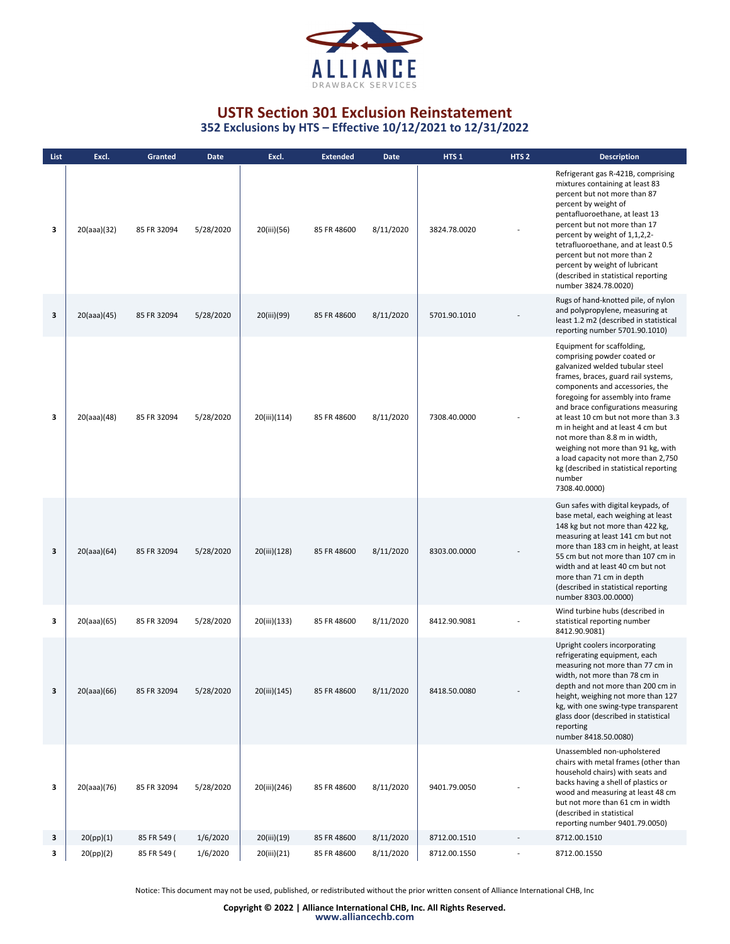

**352 Exclusions by HTS – Effective 10/12/2021 to 12/31/2022**

| List | Excl.       | Granted     | <b>Date</b> | Excl.        | <b>Extended</b> | <b>Date</b> | HTS <sub>1</sub> | HTS <sub>2</sub> | <b>Description</b>                                                                                                                                                                                                                                                                                                                                                                                                                                                                                                |
|------|-------------|-------------|-------------|--------------|-----------------|-------------|------------------|------------------|-------------------------------------------------------------------------------------------------------------------------------------------------------------------------------------------------------------------------------------------------------------------------------------------------------------------------------------------------------------------------------------------------------------------------------------------------------------------------------------------------------------------|
| 3    | 20(aaa)(32) | 85 FR 32094 | 5/28/2020   | 20(iii)(56)  | 85 FR 48600     | 8/11/2020   | 3824.78.0020     |                  | Refrigerant gas R-421B, comprising<br>mixtures containing at least 83<br>percent but not more than 87<br>percent by weight of<br>pentafluoroethane, at least 13<br>percent but not more than 17<br>percent by weight of 1,1,2,2-<br>tetrafluoroethane, and at least 0.5<br>percent but not more than 2<br>percent by weight of lubricant<br>(described in statistical reporting<br>number 3824.78.0020)                                                                                                           |
| 3    | 20(aaa)(45) | 85 FR 32094 | 5/28/2020   | 20(iii)(99)  | 85 FR 48600     | 8/11/2020   | 5701.90.1010     |                  | Rugs of hand-knotted pile, of nylon<br>and polypropylene, measuring at<br>least 1.2 m2 (described in statistical<br>reporting number 5701.90.1010)                                                                                                                                                                                                                                                                                                                                                                |
| 3    | 20(aaa)(48) | 85 FR 32094 | 5/28/2020   | 20(iii)(114) | 85 FR 48600     | 8/11/2020   | 7308.40.0000     |                  | Equipment for scaffolding,<br>comprising powder coated or<br>galvanized welded tubular steel<br>frames, braces, guard rail systems,<br>components and accessories, the<br>foregoing for assembly into frame<br>and brace configurations measuring<br>at least 10 cm but not more than 3.3<br>m in height and at least 4 cm but<br>not more than 8.8 m in width,<br>weighing not more than 91 kg, with<br>a load capacity not more than 2,750<br>kg (described in statistical reporting<br>number<br>7308.40.0000) |
| 3    | 20(aaa)(64) | 85 FR 32094 | 5/28/2020   | 20(iii)(128) | 85 FR 48600     | 8/11/2020   | 8303.00.0000     |                  | Gun safes with digital keypads, of<br>base metal, each weighing at least<br>148 kg but not more than 422 kg,<br>measuring at least 141 cm but not<br>more than 183 cm in height, at least<br>55 cm but not more than 107 cm in<br>width and at least 40 cm but not<br>more than 71 cm in depth<br>(described in statistical reporting<br>number 8303.00.0000)                                                                                                                                                     |
| 3    | 20(aaa)(65) | 85 FR 32094 | 5/28/2020   | 20(iii)(133) | 85 FR 48600     | 8/11/2020   | 8412.90.9081     |                  | Wind turbine hubs (described in<br>statistical reporting number<br>8412.90.9081)                                                                                                                                                                                                                                                                                                                                                                                                                                  |
| 3    | 20(aaa)(66) | 85 FR 32094 | 5/28/2020   | 20(iii)(145) | 85 FR 48600     | 8/11/2020   | 8418.50.0080     |                  | Upright coolers incorporating<br>refrigerating equipment, each<br>measuring not more than 77 cm in<br>width, not more than 78 cm in<br>depth and not more than 200 cm in<br>height, weighing not more than 127<br>kg, with one swing-type transparent<br>glass door (described in statistical<br>reporting<br>number 8418.50.0080)                                                                                                                                                                                |
| з    | 20(aaa)(76) | 85 FR 32094 | 5/28/2020   | 20(iii)(246) | 85 FR 48600     | 8/11/2020   | 9401.79.0050     |                  | Unassembled non-upholstered<br>chairs with metal frames (other than<br>household chairs) with seats and<br>backs having a shell of plastics or<br>wood and measuring at least 48 cm<br>but not more than 61 cm in width<br>(described in statistical<br>reporting number 9401.79.0050)                                                                                                                                                                                                                            |
| 3    | 20(pp)(1)   | 85 FR 549 ( | 1/6/2020    | 20(iii)(19)  | 85 FR 48600     | 8/11/2020   | 8712.00.1510     |                  | 8712.00.1510                                                                                                                                                                                                                                                                                                                                                                                                                                                                                                      |
| 3    | 20(pp)(2)   | 85 FR 549 ( | 1/6/2020    | 20(iii)(21)  | 85 FR 48600     | 8/11/2020   | 8712.00.1550     |                  | 8712.00.1550                                                                                                                                                                                                                                                                                                                                                                                                                                                                                                      |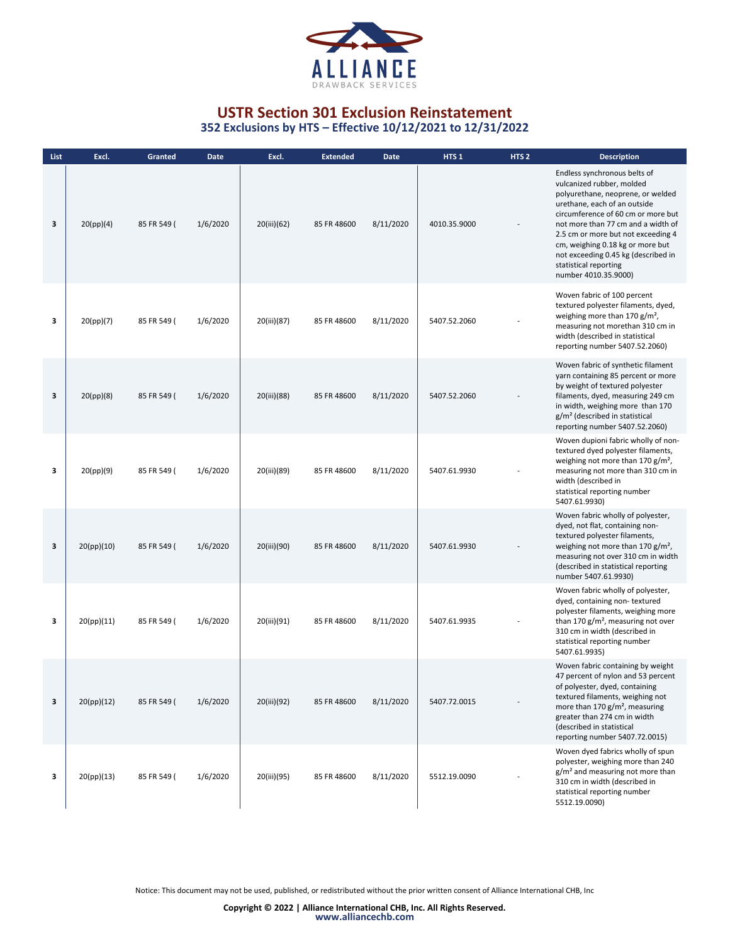

**352 Exclusions by HTS – Effective 10/12/2021 to 12/31/2022**

| List | Excl.      | Granted     | Date     | Excl.       | <b>Extended</b> | <b>Date</b> | HTS <sub>1</sub> | HTS <sub>2</sub> | <b>Description</b>                                                                                                                                                                                                                                                                                                                                                           |
|------|------------|-------------|----------|-------------|-----------------|-------------|------------------|------------------|------------------------------------------------------------------------------------------------------------------------------------------------------------------------------------------------------------------------------------------------------------------------------------------------------------------------------------------------------------------------------|
| 3    | 20(pp)(4)  | 85 FR 549 ( | 1/6/2020 | 20(iii)(62) | 85 FR 48600     | 8/11/2020   | 4010.35.9000     |                  | Endless synchronous belts of<br>vulcanized rubber, molded<br>polyurethane, neoprene, or welded<br>urethane, each of an outside<br>circumference of 60 cm or more but<br>not more than 77 cm and a width of<br>2.5 cm or more but not exceeding 4<br>cm, weighing 0.18 kg or more but<br>not exceeding 0.45 kg (described in<br>statistical reporting<br>number 4010.35.9000) |
| 3    | 20(pp)(7)  | 85 FR 549 ( | 1/6/2020 | 20(iii)(87) | 85 FR 48600     | 8/11/2020   | 5407.52.2060     |                  | Woven fabric of 100 percent<br>textured polyester filaments, dyed,<br>weighing more than $170 g/m^2$ ,<br>measuring not morethan 310 cm in<br>width (described in statistical<br>reporting number 5407.52.2060)                                                                                                                                                              |
| 3    | 20(pp)(8)  | 85 FR 549 ( | 1/6/2020 | 20(iii)(88) | 85 FR 48600     | 8/11/2020   | 5407.52.2060     |                  | Woven fabric of synthetic filament<br>yarn containing 85 percent or more<br>by weight of textured polyester<br>filaments, dyed, measuring 249 cm<br>in width, weighing more than 170<br>g/m <sup>2</sup> (described in statistical<br>reporting number 5407.52.2060)                                                                                                         |
| 3    | 20(pp)(9)  | 85 FR 549 ( | 1/6/2020 | 20(iii)(89) | 85 FR 48600     | 8/11/2020   | 5407.61.9930     |                  | Woven dupioni fabric wholly of non-<br>textured dyed polyester filaments,<br>weighing not more than 170 $g/m^2$ ,<br>measuring not more than 310 cm in<br>width (described in<br>statistical reporting number<br>5407.61.9930)                                                                                                                                               |
| 3    | 20(pp)(10) | 85 FR 549 ( | 1/6/2020 | 20(iii)(90) | 85 FR 48600     | 8/11/2020   | 5407.61.9930     |                  | Woven fabric wholly of polyester,<br>dyed, not flat, containing non-<br>textured polyester filaments,<br>weighing not more than 170 g/m <sup>2</sup> ,<br>measuring not over 310 cm in width<br>(described in statistical reporting<br>number 5407.61.9930)                                                                                                                  |
| 3    | 20(pp)(11) | 85 FR 549 ( | 1/6/2020 | 20(iii)(91) | 85 FR 48600     | 8/11/2020   | 5407.61.9935     |                  | Woven fabric wholly of polyester,<br>dyed, containing non-textured<br>polyester filaments, weighing more<br>than 170 $g/m^2$ , measuring not over<br>310 cm in width (described in<br>statistical reporting number<br>5407.61.9935)                                                                                                                                          |
| 3    | 20(pp)(12) | 85 FR 549 ( | 1/6/2020 | 20(iii)(92) | 85 FR 48600     | 8/11/2020   | 5407.72.0015     |                  | Woven fabric containing by weight<br>47 percent of nylon and 53 percent<br>of polyester, dyed, containing<br>textured filaments, weighing not<br>more than 170 g/m <sup>2</sup> , measuring<br>greater than 274 cm in width<br>(described in statistical<br>reporting number 5407.72.0015)                                                                                   |
| з    | 20(pp)(13) | 85 FR 549 ( | 1/6/2020 | 20(iii)(95) | 85 FR 48600     | 8/11/2020   | 5512.19.0090     |                  | Woven dyed fabrics wholly of spun<br>polyester, weighing more than 240<br>g/m <sup>2</sup> and measuring not more than<br>310 cm in width (described in<br>statistical reporting number<br>5512.19.0090)                                                                                                                                                                     |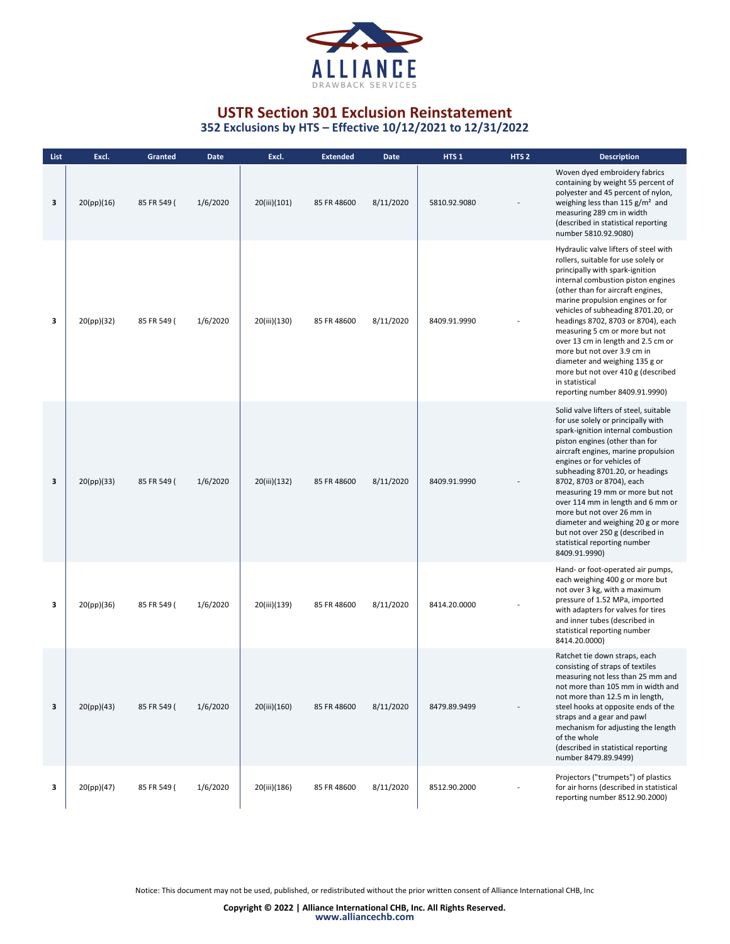

| List | Excl.      | Granted     | Date     | Excl.        | <b>Extended</b> | Date      | HTS <sub>1</sub> | HTS <sub>2</sub> | <b>Description</b>                                                                                                                                                                                                                                                                                                                                                                                                                                                                                                                            |
|------|------------|-------------|----------|--------------|-----------------|-----------|------------------|------------------|-----------------------------------------------------------------------------------------------------------------------------------------------------------------------------------------------------------------------------------------------------------------------------------------------------------------------------------------------------------------------------------------------------------------------------------------------------------------------------------------------------------------------------------------------|
| 3    | 20(pp)(16) | 85 FR 549 ( | 1/6/2020 | 20(iii)(101) | 85 FR 48600     | 8/11/2020 | 5810.92.9080     |                  | Woven dyed embroidery fabrics<br>containing by weight 55 percent of<br>polyester and 45 percent of nylon,<br>weighing less than 115 $g/m^2$ and<br>measuring 289 cm in width<br>(described in statistical reporting<br>number 5810.92.9080)                                                                                                                                                                                                                                                                                                   |
| 3    | 20(pp)(32) | 85 FR 549 ( | 1/6/2020 | 20(iii)(130) | 85 FR 48600     | 8/11/2020 | 8409.91.9990     |                  | Hydraulic valve lifters of steel with<br>rollers, suitable for use solely or<br>principally with spark-ignition<br>internal combustion piston engines<br>(other than for aircraft engines,<br>marine propulsion engines or for<br>vehicles of subheading 8701.20, or<br>headings 8702, 8703 or 8704), each<br>measuring 5 cm or more but not<br>over 13 cm in length and 2.5 cm or<br>more but not over 3.9 cm in<br>diameter and weighing 135 g or<br>more but not over 410 g (described<br>in statistical<br>reporting number 8409.91.9990) |
| 3    | 20(pp)(33) | 85 FR 549 ( | 1/6/2020 | 20(iii)(132) | 85 FR 48600     | 8/11/2020 | 8409.91.9990     |                  | Solid valve lifters of steel, suitable<br>for use solely or principally with<br>spark-ignition internal combustion<br>piston engines (other than for<br>aircraft engines, marine propulsion<br>engines or for vehicles of<br>subheading 8701.20, or headings<br>8702, 8703 or 8704), each<br>measuring 19 mm or more but not<br>over 114 mm in length and 6 mm or<br>more but not over 26 mm in<br>diameter and weighing 20 g or more<br>but not over 250 g (described in<br>statistical reporting number<br>8409.91.9990)                    |
| 3    | 20(pp)(36) | 85 FR 549 ( | 1/6/2020 | 20(iii)(139) | 85 FR 48600     | 8/11/2020 | 8414.20.0000     |                  | Hand- or foot-operated air pumps,<br>each weighing 400 g or more but<br>not over 3 kg, with a maximum<br>pressure of 1.52 MPa, imported<br>with adapters for valves for tires<br>and inner tubes (described in<br>statistical reporting number<br>8414.20.0000)                                                                                                                                                                                                                                                                               |
| 3    | 20(pp)(43) | 85 FR 549 ( | 1/6/2020 | 20(iii)(160) | 85 FR 48600     | 8/11/2020 | 8479.89.9499     |                  | Ratchet tie down straps, each<br>consisting of straps of textiles<br>measuring not less than 25 mm and<br>not more than 105 mm in width and<br>not more than 12.5 m in length,<br>steel hooks at opposite ends of the<br>straps and a gear and pawl<br>mechanism for adjusting the length<br>of the whole<br>(described in statistical reporting<br>number 8479.89.9499)                                                                                                                                                                      |
| 3    | 20(pp)(47) | 85 FR 549 ( | 1/6/2020 | 20(iii)(186) | 85 FR 48600     | 8/11/2020 | 8512.90.2000     |                  | Projectors ("trumpets") of plastics<br>for air horns (described in statistical<br>reporting number 8512.90.2000)                                                                                                                                                                                                                                                                                                                                                                                                                              |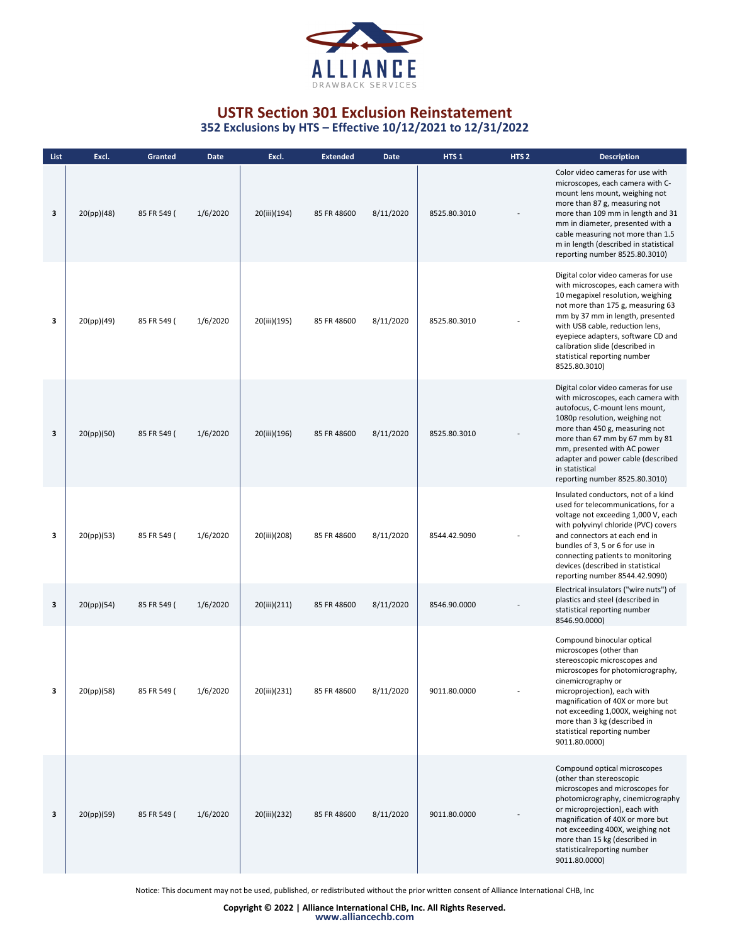

| List | Excl.      | <b>Granted</b> | <b>Date</b> | Excl.        | <b>Extended</b> | <b>Date</b> | HTS <sub>1</sub> | HTS <sub>2</sub> | <b>Description</b>                                                                                                                                                                                                                                                                                                                                   |
|------|------------|----------------|-------------|--------------|-----------------|-------------|------------------|------------------|------------------------------------------------------------------------------------------------------------------------------------------------------------------------------------------------------------------------------------------------------------------------------------------------------------------------------------------------------|
| 3    | 20(pp)(48) | 85 FR 549 (    | 1/6/2020    | 20(iii)(194) | 85 FR 48600     | 8/11/2020   | 8525.80.3010     |                  | Color video cameras for use with<br>microscopes, each camera with C-<br>mount lens mount, weighing not<br>more than 87 g, measuring not<br>more than 109 mm in length and 31<br>mm in diameter, presented with a<br>cable measuring not more than 1.5<br>m in length (described in statistical<br>reporting number 8525.80.3010)                     |
| 3    | 20(pp)(49) | 85 FR 549 (    | 1/6/2020    | 20(iii)(195) | 85 FR 48600     | 8/11/2020   | 8525.80.3010     |                  | Digital color video cameras for use<br>with microscopes, each camera with<br>10 megapixel resolution, weighing<br>not more than 175 g, measuring 63<br>mm by 37 mm in length, presented<br>with USB cable, reduction lens,<br>eyepiece adapters, software CD and<br>calibration slide (described in<br>statistical reporting number<br>8525.80.3010) |
| 3    | 20(pp)(50) | 85 FR 549 (    | 1/6/2020    | 20(iii)(196) | 85 FR 48600     | 8/11/2020   | 8525.80.3010     |                  | Digital color video cameras for use<br>with microscopes, each camera with<br>autofocus, C-mount lens mount,<br>1080p resolution, weighing not<br>more than 450 g, measuring not<br>more than 67 mm by 67 mm by 81<br>mm, presented with AC power<br>adapter and power cable (described<br>in statistical<br>reporting number 8525.80.3010)           |
| 3    | 20(pp)(53) | 85 FR 549 (    | 1/6/2020    | 20(iii)(208) | 85 FR 48600     | 8/11/2020   | 8544.42.9090     |                  | Insulated conductors, not of a kind<br>used for telecommunications, for a<br>voltage not exceeding 1,000 V, each<br>with polyvinyl chloride (PVC) covers<br>and connectors at each end in<br>bundles of 3, 5 or 6 for use in<br>connecting patients to monitoring<br>devices (described in statistical<br>reporting number 8544.42.9090)             |
| 3    | 20(pp)(54) | 85 FR 549 (    | 1/6/2020    | 20(iii)(211) | 85 FR 48600     | 8/11/2020   | 8546.90.0000     |                  | Electrical insulators ("wire nuts") of<br>plastics and steel (described in<br>statistical reporting number<br>8546.90.0000)                                                                                                                                                                                                                          |
| 3    | 20(pp)(58) | 85 FR 549 (    | 1/6/2020    | 20(iii)(231) | 85 FR 48600     | 8/11/2020   | 9011.80.0000     |                  | Compound binocular optical<br>microscopes (other than<br>stereoscopic microscopes and<br>microscopes for photomicrography,<br>cinemicrography or<br>microprojection), each with<br>magnification of 40X or more but<br>not exceeding 1,000X, weighing not<br>more than 3 kg (described in<br>statistical reporting number<br>9011.80.0000)           |
| 3    | 20(pp)(59) | 85 FR 549 (    | 1/6/2020    | 20(iii)(232) | 85 FR 48600     | 8/11/2020   | 9011.80.0000     |                  | Compound optical microscopes<br>(other than stereoscopic<br>microscopes and microscopes for<br>photomicrography, cinemicrography<br>or microprojection), each with<br>magnification of 40X or more but<br>not exceeding 400X, weighing not<br>more than 15 kg (described in<br>statisticalreporting number<br>9011.80.0000)                          |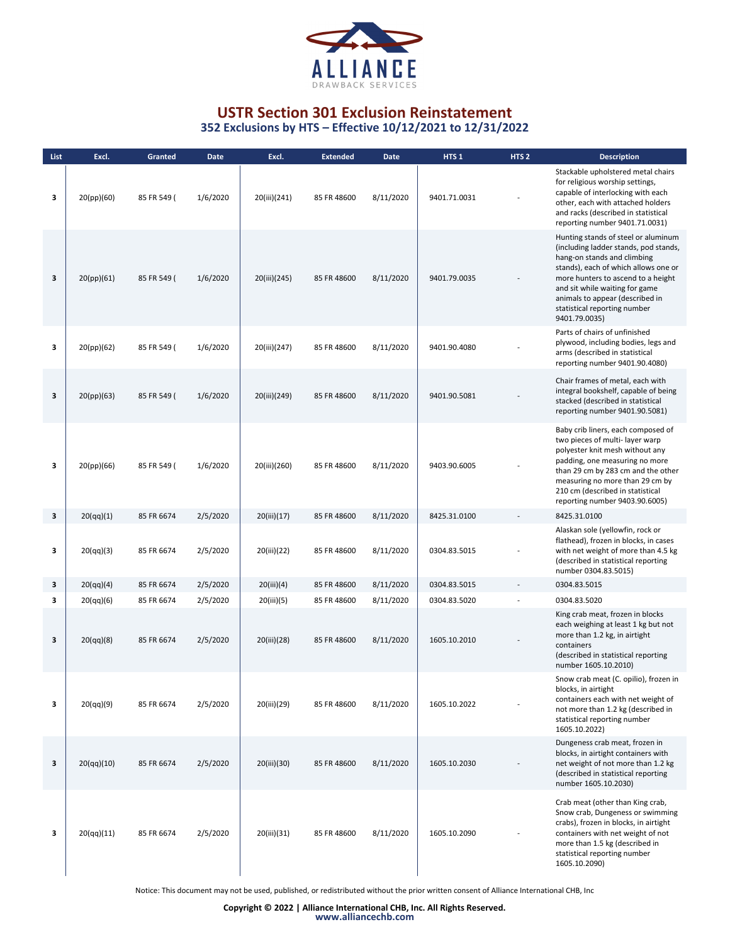

| List | Excl.      | Granted     | <b>Date</b> | Excl.        | <b>Extended</b> | Date      | HTS <sub>1</sub> | HTS <sub>2</sub> | <b>Description</b>                                                                                                                                                                                                                                                                                              |
|------|------------|-------------|-------------|--------------|-----------------|-----------|------------------|------------------|-----------------------------------------------------------------------------------------------------------------------------------------------------------------------------------------------------------------------------------------------------------------------------------------------------------------|
| 3    | 20(pp)(60) | 85 FR 549 ( | 1/6/2020    | 20(iii)(241) | 85 FR 48600     | 8/11/2020 | 9401.71.0031     |                  | Stackable upholstered metal chairs<br>for religious worship settings,<br>capable of interlocking with each<br>other, each with attached holders<br>and racks (described in statistical<br>reporting number 9401.71.0031)                                                                                        |
| 3    | 20(pp)(61) | 85 FR 549 ( | 1/6/2020    | 20(iii)(245) | 85 FR 48600     | 8/11/2020 | 9401.79.0035     |                  | Hunting stands of steel or aluminum<br>(including ladder stands, pod stands,<br>hang-on stands and climbing<br>stands), each of which allows one or<br>more hunters to ascend to a height<br>and sit while waiting for game<br>animals to appear (described in<br>statistical reporting number<br>9401.79.0035) |
| 3    | 20(pp)(62) | 85 FR 549 ( | 1/6/2020    | 20(iii)(247) | 85 FR 48600     | 8/11/2020 | 9401.90.4080     |                  | Parts of chairs of unfinished<br>plywood, including bodies, legs and<br>arms (described in statistical<br>reporting number 9401.90.4080)                                                                                                                                                                        |
| 3    | 20(pp)(63) | 85 FR 549 ( | 1/6/2020    | 20(iii)(249) | 85 FR 48600     | 8/11/2020 | 9401.90.5081     |                  | Chair frames of metal, each with<br>integral bookshelf, capable of being<br>stacked (described in statistical<br>reporting number 9401.90.5081)                                                                                                                                                                 |
| 3    | 20(pp)(66) | 85 FR 549 ( | 1/6/2020    | 20(iii)(260) | 85 FR 48600     | 8/11/2020 | 9403.90.6005     |                  | Baby crib liners, each composed of<br>two pieces of multi-layer warp<br>polyester knit mesh without any<br>padding, one measuring no more<br>than 29 cm by 283 cm and the other<br>measuring no more than 29 cm by<br>210 cm (described in statistical<br>reporting number 9403.90.6005)                        |
| 3    | 20(qq)(1)  | 85 FR 6674  | 2/5/2020    | 20(iii)(17)  | 85 FR 48600     | 8/11/2020 | 8425.31.0100     |                  | 8425.31.0100                                                                                                                                                                                                                                                                                                    |
| з    | 20(qq)(3)  | 85 FR 6674  | 2/5/2020    | 20(iii)(22)  | 85 FR 48600     | 8/11/2020 | 0304.83.5015     |                  | Alaskan sole (yellowfin, rock or<br>flathead), frozen in blocks, in cases<br>with net weight of more than 4.5 kg<br>(described in statistical reporting<br>number 0304.83.5015)                                                                                                                                 |
| 3    | 20(qq)(4)  | 85 FR 6674  | 2/5/2020    | 20(iii)(4)   | 85 FR 48600     | 8/11/2020 | 0304.83.5015     |                  | 0304.83.5015                                                                                                                                                                                                                                                                                                    |
| 3    | 20(qq)(6)  | 85 FR 6674  | 2/5/2020    | 20(iii)(5)   | 85 FR 48600     | 8/11/2020 | 0304.83.5020     |                  | 0304.83.5020                                                                                                                                                                                                                                                                                                    |
| 3    | 20(qq)(8)  | 85 FR 6674  | 2/5/2020    | 20(iii)(28)  | 85 FR 48600     | 8/11/2020 | 1605.10.2010     |                  | King crab meat, frozen in blocks<br>each weighing at least 1 kg but not<br>more than 1.2 kg, in airtight<br>containers<br>(described in statistical reporting<br>number 1605.10.2010)                                                                                                                           |
| 3    | 20(qq)(9)  | 85 FR 6674  | 2/5/2020    | 20(iii)(29)  | 85 FR 48600     | 8/11/2020 | 1605.10.2022     |                  | Snow crab meat (C. opilio), frozen in<br>blocks, in airtight<br>containers each with net weight of<br>not more than 1.2 kg (described in<br>statistical reporting number<br>1605.10.2022)                                                                                                                       |
| 3    | 20(qq)(10) | 85 FR 6674  | 2/5/2020    | 20(iii)(30)  | 85 FR 48600     | 8/11/2020 | 1605.10.2030     |                  | Dungeness crab meat, frozen in<br>blocks, in airtight containers with<br>net weight of not more than 1.2 kg<br>(described in statistical reporting<br>number 1605.10.2030)                                                                                                                                      |
| з    | 20(qq)(11) | 85 FR 6674  | 2/5/2020    | 20(iii)(31)  | 85 FR 48600     | 8/11/2020 | 1605.10.2090     |                  | Crab meat (other than King crab,<br>Snow crab, Dungeness or swimming<br>crabs), frozen in blocks, in airtight<br>containers with net weight of not<br>more than 1.5 kg (described in<br>statistical reporting number<br>1605.10.2090)                                                                           |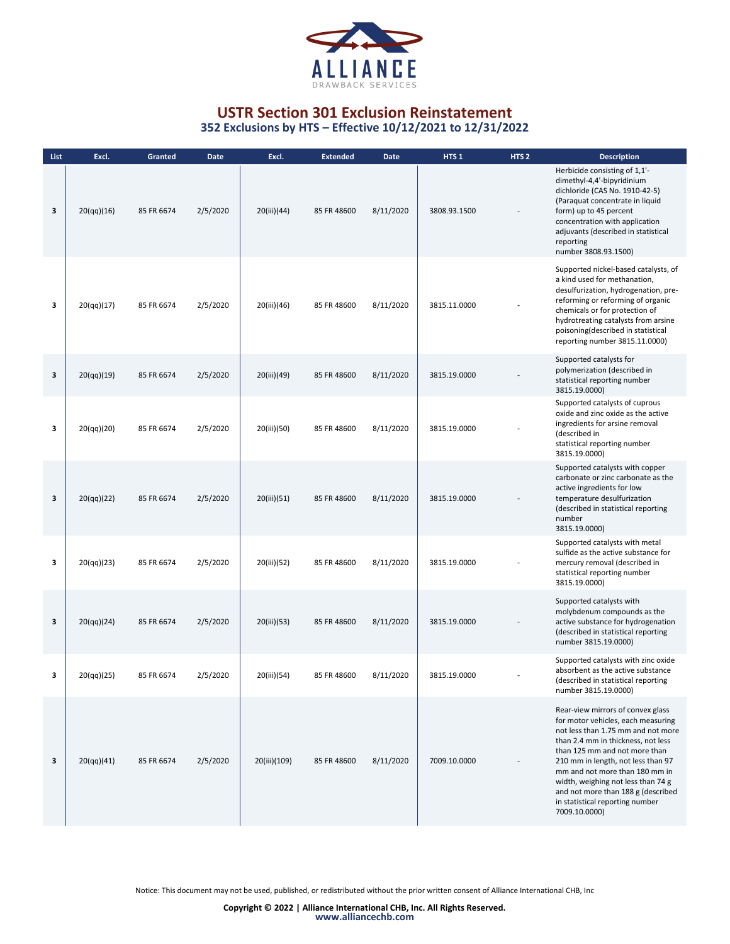

| List | Excl.      | Granted    | Date     | Excl.        | <b>Extended</b> | Date      | HTS <sub>1</sub> | HTS <sub>2</sub> | <b>Description</b>                                                                                                                                                                                                                                                                                                                                                                           |
|------|------------|------------|----------|--------------|-----------------|-----------|------------------|------------------|----------------------------------------------------------------------------------------------------------------------------------------------------------------------------------------------------------------------------------------------------------------------------------------------------------------------------------------------------------------------------------------------|
| 3    | 20(qq)(16) | 85 FR 6674 | 2/5/2020 | 20(iii)(44)  | 85 FR 48600     | 8/11/2020 | 3808.93.1500     |                  | Herbicide consisting of 1,1'-<br>dimethyl-4,4'-bipyridinium<br>dichloride (CAS No. 1910-42-5)<br>(Paraquat concentrate in liquid<br>form) up to 45 percent<br>concentration with application<br>adjuvants (described in statistical<br>reporting<br>number 3808.93.1500)                                                                                                                     |
| з    | 20(qq)(17) | 85 FR 6674 | 2/5/2020 | 20(iii)(46)  | 85 FR 48600     | 8/11/2020 | 3815.11.0000     |                  | Supported nickel-based catalysts, of<br>a kind used for methanation,<br>desulfurization, hydrogenation, pre-<br>reforming or reforming of organic<br>chemicals or for protection of<br>hydrotreating catalysts from arsine<br>poisoning(described in statistical<br>reporting number 3815.11.0000)                                                                                           |
| 3    | 20(qq)(19) | 85 FR 6674 | 2/5/2020 | 20(iii)(49)  | 85 FR 48600     | 8/11/2020 | 3815.19.0000     |                  | Supported catalysts for<br>polymerization (described in<br>statistical reporting number<br>3815.19.0000)                                                                                                                                                                                                                                                                                     |
| з    | 20(qq)(20) | 85 FR 6674 | 2/5/2020 | 20(iii)(50)  | 85 FR 48600     | 8/11/2020 | 3815.19.0000     |                  | Supported catalysts of cuprous<br>oxide and zinc oxide as the active<br>ingredients for arsine removal<br>(described in<br>statistical reporting number<br>3815.19.0000)                                                                                                                                                                                                                     |
| 3    | 20(qq)(22) | 85 FR 6674 | 2/5/2020 | 20(iii)(51)  | 85 FR 48600     | 8/11/2020 | 3815.19.0000     |                  | Supported catalysts with copper<br>carbonate or zinc carbonate as the<br>active ingredients for low<br>temperature desulfurization<br>(described in statistical reporting<br>number<br>3815.19.0000)                                                                                                                                                                                         |
| з    | 20(qq)(23) | 85 FR 6674 | 2/5/2020 | 20(iii)(52)  | 85 FR 48600     | 8/11/2020 | 3815.19.0000     |                  | Supported catalysts with metal<br>sulfide as the active substance for<br>mercury removal (described in<br>statistical reporting number<br>3815.19.0000)                                                                                                                                                                                                                                      |
| 3    | 20(qq)(24) | 85 FR 6674 | 2/5/2020 | 20(iii)(53)  | 85 FR 48600     | 8/11/2020 | 3815.19.0000     |                  | Supported catalysts with<br>molybdenum compounds as the<br>active substance for hydrogenation<br>(described in statistical reporting<br>number 3815.19.0000)                                                                                                                                                                                                                                 |
| 3    | 20(qq)(25) | 85 FR 6674 | 2/5/2020 | 20(iii)(54)  | 85 FR 48600     | 8/11/2020 | 3815.19.0000     |                  | Supported catalysts with zinc oxide<br>absorbent as the active substance<br>(described in statistical reporting<br>number 3815.19.0000)                                                                                                                                                                                                                                                      |
| 3    | 20(qq)(41) | 85 FR 6674 | 2/5/2020 | 20(iii)(109) | 85 FR 48600     | 8/11/2020 | 7009.10.0000     |                  | Rear-view mirrors of convex glass<br>for motor vehicles, each measuring<br>not less than 1.75 mm and not more<br>than 2.4 mm in thickness, not less<br>than 125 mm and not more than<br>210 mm in length, not less than 97<br>mm and not more than 180 mm in<br>width, weighing not less than 74 g<br>and not more than 188 g (described<br>in statistical reporting number<br>7009.10.0000) |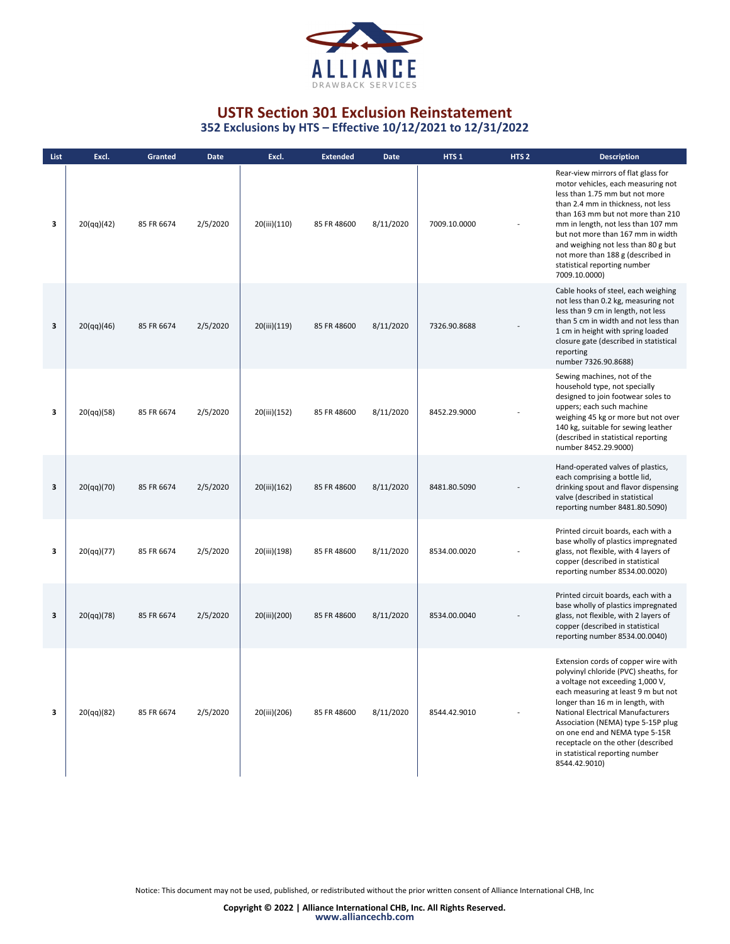

| List | Excl.      | Granted    | <b>Date</b> | Excl.        | <b>Extended</b> | Date      | HTS <sub>1</sub> | HTS <sub>2</sub> | <b>Description</b>                                                                                                                                                                                                                                                                                                                                                                                        |
|------|------------|------------|-------------|--------------|-----------------|-----------|------------------|------------------|-----------------------------------------------------------------------------------------------------------------------------------------------------------------------------------------------------------------------------------------------------------------------------------------------------------------------------------------------------------------------------------------------------------|
| 3    | 20(qq)(42) | 85 FR 6674 | 2/5/2020    | 20(iii)(110) | 85 FR 48600     | 8/11/2020 | 7009.10.0000     |                  | Rear-view mirrors of flat glass for<br>motor vehicles, each measuring not<br>less than 1.75 mm but not more<br>than 2.4 mm in thickness, not less<br>than 163 mm but not more than 210<br>mm in length, not less than 107 mm<br>but not more than 167 mm in width<br>and weighing not less than 80 g but<br>not more than 188 g (described in<br>statistical reporting number<br>7009.10.0000)            |
| 3    | 20(qq)(46) | 85 FR 6674 | 2/5/2020    | 20(iii)(119) | 85 FR 48600     | 8/11/2020 | 7326.90.8688     |                  | Cable hooks of steel, each weighing<br>not less than 0.2 kg, measuring not<br>less than 9 cm in length, not less<br>than 5 cm in width and not less than<br>1 cm in height with spring loaded<br>closure gate (described in statistical<br>reporting<br>number 7326.90.8688)                                                                                                                              |
| 3    | 20(qq)(58) | 85 FR 6674 | 2/5/2020    | 20(iii)(152) | 85 FR 48600     | 8/11/2020 | 8452.29.9000     |                  | Sewing machines, not of the<br>household type, not specially<br>designed to join footwear soles to<br>uppers; each such machine<br>weighing 45 kg or more but not over<br>140 kg, suitable for sewing leather<br>(described in statistical reporting<br>number 8452.29.9000)                                                                                                                              |
| 3    | 20(qq)(70) | 85 FR 6674 | 2/5/2020    | 20(iii)(162) | 85 FR 48600     | 8/11/2020 | 8481.80.5090     |                  | Hand-operated valves of plastics,<br>each comprising a bottle lid,<br>drinking spout and flavor dispensing<br>valve (described in statistical<br>reporting number 8481.80.5090)                                                                                                                                                                                                                           |
| 3    | 20(qq)(77) | 85 FR 6674 | 2/5/2020    | 20(iii)(198) | 85 FR 48600     | 8/11/2020 | 8534.00.0020     |                  | Printed circuit boards, each with a<br>base wholly of plastics impregnated<br>glass, not flexible, with 4 layers of<br>copper (described in statistical<br>reporting number 8534.00.0020)                                                                                                                                                                                                                 |
| 3    | 20(qq)(78) | 85 FR 6674 | 2/5/2020    | 20(iii)(200) | 85 FR 48600     | 8/11/2020 | 8534.00.0040     |                  | Printed circuit boards, each with a<br>base wholly of plastics impregnated<br>glass, not flexible, with 2 layers of<br>copper (described in statistical<br>reporting number 8534.00.0040)                                                                                                                                                                                                                 |
| 3    | 20(qq)(82) | 85 FR 6674 | 2/5/2020    | 20(iii)(206) | 85 FR 48600     | 8/11/2020 | 8544.42.9010     |                  | Extension cords of copper wire with<br>polyvinyl chloride (PVC) sheaths, for<br>a voltage not exceeding 1,000 V,<br>each measuring at least 9 m but not<br>longer than 16 m in length, with<br><b>National Electrical Manufacturers</b><br>Association (NEMA) type 5-15P plug<br>on one end and NEMA type 5-15R<br>receptacle on the other (described<br>in statistical reporting number<br>8544.42.9010) |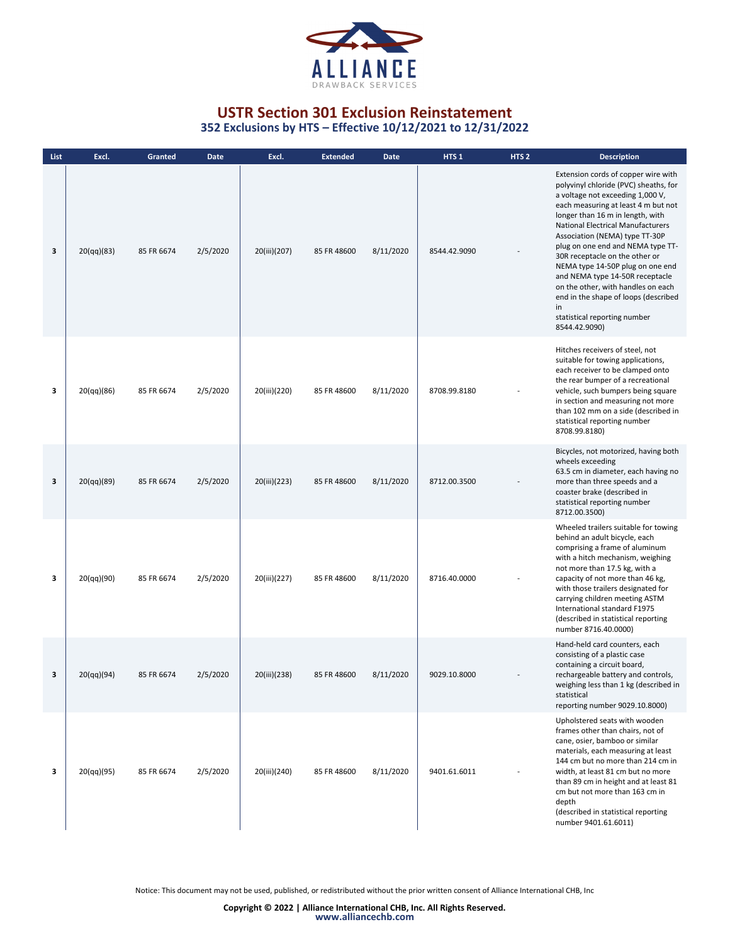

**352 Exclusions by HTS – Effective 10/12/2021 to 12/31/2022**

| List | Excl.      | Granted    | Date     | Excl.        | <b>Extended</b> | <b>Date</b> | HTS <sub>1</sub> | HTS <sub>2</sub> | <b>Description</b>                                                                                                                                                                                                                                                                                                                                                                                                                                                                                                                                           |
|------|------------|------------|----------|--------------|-----------------|-------------|------------------|------------------|--------------------------------------------------------------------------------------------------------------------------------------------------------------------------------------------------------------------------------------------------------------------------------------------------------------------------------------------------------------------------------------------------------------------------------------------------------------------------------------------------------------------------------------------------------------|
| 3    | 20(qq)(83) | 85 FR 6674 | 2/5/2020 | 20(iii)(207) | 85 FR 48600     | 8/11/2020   | 8544.42.9090     |                  | Extension cords of copper wire with<br>polyvinyl chloride (PVC) sheaths, for<br>a voltage not exceeding 1,000 V,<br>each measuring at least 4 m but not<br>longer than 16 m in length, with<br><b>National Electrical Manufacturers</b><br>Association (NEMA) type TT-30P<br>plug on one end and NEMA type TT-<br>30R receptacle on the other or<br>NEMA type 14-50P plug on one end<br>and NEMA type 14-50R receptacle<br>on the other, with handles on each<br>end in the shape of loops (described<br>in<br>statistical reporting number<br>8544.42.9090) |
| 3    | 20(qq)(86) | 85 FR 6674 | 2/5/2020 | 20(iii)(220) | 85 FR 48600     | 8/11/2020   | 8708.99.8180     |                  | Hitches receivers of steel, not<br>suitable for towing applications,<br>each receiver to be clamped onto<br>the rear bumper of a recreational<br>vehicle, such bumpers being square<br>in section and measuring not more<br>than 102 mm on a side (described in<br>statistical reporting number<br>8708.99.8180)                                                                                                                                                                                                                                             |
| 3    | 20(qq)(89) | 85 FR 6674 | 2/5/2020 | 20(iii)(223) | 85 FR 48600     | 8/11/2020   | 8712.00.3500     |                  | Bicycles, not motorized, having both<br>wheels exceeding<br>63.5 cm in diameter, each having no<br>more than three speeds and a<br>coaster brake (described in<br>statistical reporting number<br>8712.00.3500)                                                                                                                                                                                                                                                                                                                                              |
| 3    | 20(qq)(90) | 85 FR 6674 | 2/5/2020 | 20(iii)(227) | 85 FR 48600     | 8/11/2020   | 8716.40.0000     |                  | Wheeled trailers suitable for towing<br>behind an adult bicycle, each<br>comprising a frame of aluminum<br>with a hitch mechanism, weighing<br>not more than 17.5 kg, with a<br>capacity of not more than 46 kg,<br>with those trailers designated for<br>carrying children meeting ASTM<br>International standard F1975<br>(described in statistical reporting<br>number 8716.40.0000)                                                                                                                                                                      |
| 3    | 20(qq)(94) | 85 FR 6674 | 2/5/2020 | 20(iii)(238) | 85 FR 48600     | 8/11/2020   | 9029.10.8000     |                  | Hand-held card counters, each<br>consisting of a plastic case<br>containing a circuit board,<br>rechargeable battery and controls,<br>weighing less than 1 kg (described in<br>statistical<br>reporting number 9029.10.8000)                                                                                                                                                                                                                                                                                                                                 |
| 3    | 20(qq)(95) | 85 FR 6674 | 2/5/2020 | 20(iii)(240) | 85 FR 48600     | 8/11/2020   | 9401.61.6011     |                  | Upholstered seats with wooden<br>frames other than chairs, not of<br>cane, osier, bamboo or similar<br>materials, each measuring at least<br>144 cm but no more than 214 cm in<br>width, at least 81 cm but no more<br>than 89 cm in height and at least 81<br>cm but not more than 163 cm in<br>depth<br>(described in statistical reporting<br>number 9401.61.6011)                                                                                                                                                                                        |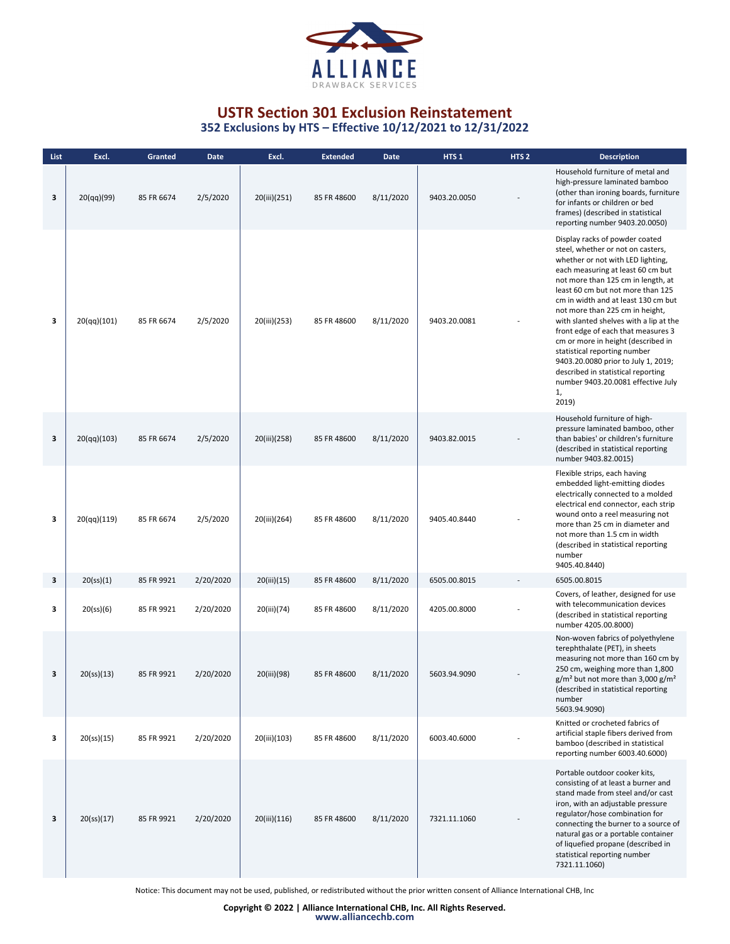

| List | Excl.                   | Granted    | <b>Date</b> | Excl.        | <b>Extended</b> | Date      | HTS <sub>1</sub> | HTS <sub>2</sub> | <b>Description</b>                                                                                                                                                                                                                                                                                                                                                                                                                                                                                                                                                                         |
|------|-------------------------|------------|-------------|--------------|-----------------|-----------|------------------|------------------|--------------------------------------------------------------------------------------------------------------------------------------------------------------------------------------------------------------------------------------------------------------------------------------------------------------------------------------------------------------------------------------------------------------------------------------------------------------------------------------------------------------------------------------------------------------------------------------------|
| 3    | 20(qq)(99)              | 85 FR 6674 | 2/5/2020    | 20(iii)(251) | 85 FR 48600     | 8/11/2020 | 9403.20.0050     |                  | Household furniture of metal and<br>high-pressure laminated bamboo<br>(other than ironing boards, furniture<br>for infants or children or bed<br>frames) (described in statistical<br>reporting number 9403.20.0050)                                                                                                                                                                                                                                                                                                                                                                       |
| з    | 20(qq)(101)             | 85 FR 6674 | 2/5/2020    | 20(iii)(253) | 85 FR 48600     | 8/11/2020 | 9403.20.0081     |                  | Display racks of powder coated<br>steel, whether or not on casters,<br>whether or not with LED lighting,<br>each measuring at least 60 cm but<br>not more than 125 cm in length, at<br>least 60 cm but not more than 125<br>cm in width and at least 130 cm but<br>not more than 225 cm in height,<br>with slanted shelves with a lip at the<br>front edge of each that measures 3<br>cm or more in height (described in<br>statistical reporting number<br>9403.20.0080 prior to July 1, 2019;<br>described in statistical reporting<br>number 9403.20.0081 effective July<br>1,<br>2019) |
| 3    | 20(qq)(103)             | 85 FR 6674 | 2/5/2020    | 20(iii)(258) | 85 FR 48600     | 8/11/2020 | 9403.82.0015     |                  | Household furniture of high-<br>pressure laminated bamboo, other<br>than babies' or children's furniture<br>(described in statistical reporting<br>number 9403.82.0015)                                                                                                                                                                                                                                                                                                                                                                                                                    |
| з    | 20(qq)(119)             | 85 FR 6674 | 2/5/2020    | 20(iii)(264) | 85 FR 48600     | 8/11/2020 | 9405.40.8440     |                  | Flexible strips, each having<br>embedded light-emitting diodes<br>electrically connected to a molded<br>electrical end connector, each strip<br>wound onto a reel measuring not<br>more than 25 cm in diameter and<br>not more than 1.5 cm in width<br>(described in statistical reporting<br>number<br>9405.40.8440)                                                                                                                                                                                                                                                                      |
| 3    | 20(s <sub>S</sub> )(1)  | 85 FR 9921 | 2/20/2020   | 20(iii)(15)  | 85 FR 48600     | 8/11/2020 | 6505.00.8015     |                  | 6505.00.8015                                                                                                                                                                                                                                                                                                                                                                                                                                                                                                                                                                               |
| 3    | 20(s <sub>5</sub> )(6)  | 85 FR 9921 | 2/20/2020   | 20(iii)(74)  | 85 FR 48600     | 8/11/2020 | 4205.00.8000     |                  | Covers, of leather, designed for use<br>with telecommunication devices<br>(described in statistical reporting<br>number 4205.00.8000)                                                                                                                                                                                                                                                                                                                                                                                                                                                      |
| 3    | 20(s <sub>5</sub> )(13) | 85 FR 9921 | 2/20/2020   | 20(iii)(98)  | 85 FR 48600     | 8/11/2020 | 5603.94.9090     |                  | Non-woven fabrics of polyethylene<br>terephthalate (PET), in sheets<br>measuring not more than 160 cm by<br>250 cm, weighing more than 1,800<br>$g/m2$ but not more than 3,000 $g/m2$<br>(described in statistical reporting<br>number<br>5603.94.9090)                                                                                                                                                                                                                                                                                                                                    |
| 3    | 20(s <sub>5</sub> )(15) | 85 FR 9921 | 2/20/2020   | 20(iii)(103) | 85 FR 48600     | 8/11/2020 | 6003.40.6000     |                  | Knitted or crocheted fabrics of<br>artificial staple fibers derived from<br>bamboo (described in statistical<br>reporting number 6003.40.6000)                                                                                                                                                                                                                                                                                                                                                                                                                                             |
| 3    | 20(s <sub>S</sub> )(17) | 85 FR 9921 | 2/20/2020   | 20(iii)(116) | 85 FR 48600     | 8/11/2020 | 7321.11.1060     |                  | Portable outdoor cooker kits,<br>consisting of at least a burner and<br>stand made from steel and/or cast<br>iron, with an adjustable pressure<br>regulator/hose combination for<br>connecting the burner to a source of<br>natural gas or a portable container<br>of liquefied propane (described in<br>statistical reporting number<br>7321.11.1060)                                                                                                                                                                                                                                     |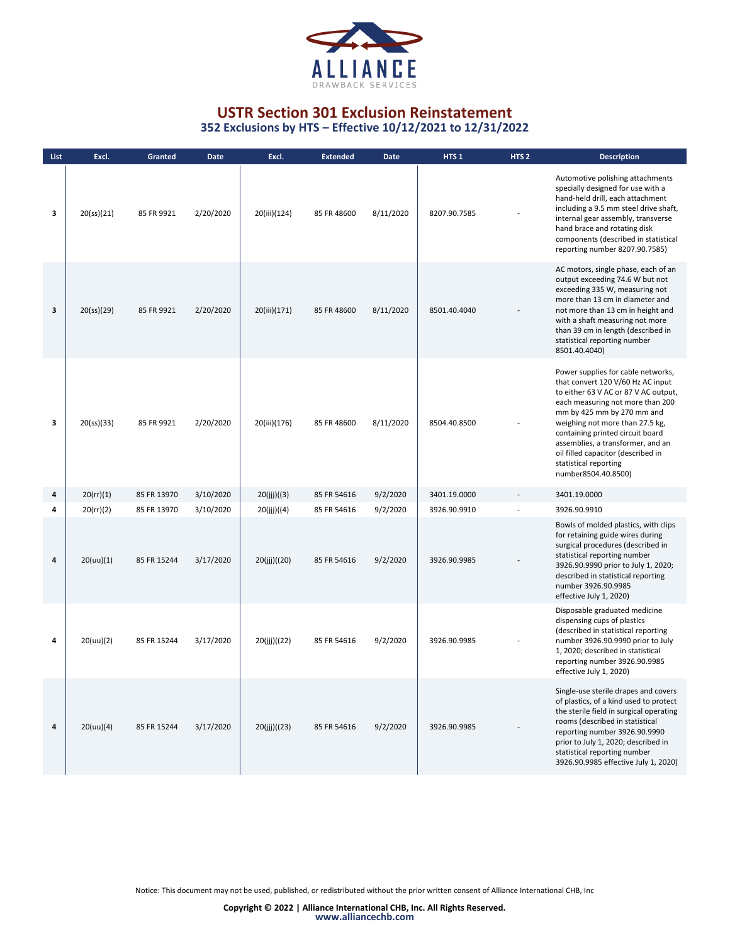

**352 Exclusions by HTS – Effective 10/12/2021 to 12/31/2022**

| List | Excl.                   | Granted     | <b>Date</b> | Excl.        | <b>Extended</b> | <b>Date</b> | HTS <sub>1</sub> | HTS <sub>2</sub> | <b>Description</b>                                                                                                                                                                                                                                                                                                                                                                  |
|------|-------------------------|-------------|-------------|--------------|-----------------|-------------|------------------|------------------|-------------------------------------------------------------------------------------------------------------------------------------------------------------------------------------------------------------------------------------------------------------------------------------------------------------------------------------------------------------------------------------|
| 3    | 20(s <sub>S</sub> )(21) | 85 FR 9921  | 2/20/2020   | 20(iii)(124) | 85 FR 48600     | 8/11/2020   | 8207.90.7585     |                  | Automotive polishing attachments<br>specially designed for use with a<br>hand-held drill, each attachment<br>including a 9.5 mm steel drive shaft,<br>internal gear assembly, transverse<br>hand brace and rotating disk<br>components (described in statistical<br>reporting number 8207.90.7585)                                                                                  |
| 3    | 20(s <sub>S</sub> )(29) | 85 FR 9921  | 2/20/2020   | 20(iii)(171) | 85 FR 48600     | 8/11/2020   | 8501.40.4040     |                  | AC motors, single phase, each of an<br>output exceeding 74.6 W but not<br>exceeding 335 W, measuring not<br>more than 13 cm in diameter and<br>not more than 13 cm in height and<br>with a shaft measuring not more<br>than 39 cm in length (described in<br>statistical reporting number<br>8501.40.4040)                                                                          |
| 3    | 20(s <sub>5</sub> )(33) | 85 FR 9921  | 2/20/2020   | 20(iii)(176) | 85 FR 48600     | 8/11/2020   | 8504.40.8500     |                  | Power supplies for cable networks,<br>that convert 120 V/60 Hz AC input<br>to either 63 V AC or 87 V AC output,<br>each measuring not more than 200<br>mm by 425 mm by 270 mm and<br>weighing not more than 27.5 kg,<br>containing printed circuit board<br>assemblies, a transformer, and an<br>oil filled capacitor (described in<br>statistical reporting<br>number8504.40.8500) |
| 4    | 20 (rr)(1)              | 85 FR 13970 | 3/10/2020   | 20(ijj)((3)  | 85 FR 54616     | 9/2/2020    | 3401.19.0000     |                  | 3401.19.0000                                                                                                                                                                                                                                                                                                                                                                        |
| 4    | 20 (rr)(2)              | 85 FR 13970 | 3/10/2020   | 20(ijj)((4)  | 85 FR 54616     | 9/2/2020    | 3926.90.9910     |                  | 3926.90.9910                                                                                                                                                                                                                                                                                                                                                                        |
| 4    | 20(uu)(1)               | 85 FR 15244 | 3/17/2020   | 20(ijj)((20) | 85 FR 54616     | 9/2/2020    | 3926.90.9985     |                  | Bowls of molded plastics, with clips<br>for retaining guide wires during<br>surgical procedures (described in<br>statistical reporting number<br>3926.90.9990 prior to July 1, 2020;<br>described in statistical reporting<br>number 3926.90.9985<br>effective July 1, 2020)                                                                                                        |
| 4    | 20(uu)(2)               | 85 FR 15244 | 3/17/2020   | 20(jjj)((22) | 85 FR 54616     | 9/2/2020    | 3926.90.9985     |                  | Disposable graduated medicine<br>dispensing cups of plastics<br>(described in statistical reporting<br>number 3926.90.9990 prior to July<br>1, 2020; described in statistical<br>reporting number 3926.90.9985<br>effective July 1, 2020)                                                                                                                                           |
| 4    | 20(uu)(4)               | 85 FR 15244 | 3/17/2020   | 20(ijj)((23) | 85 FR 54616     | 9/2/2020    | 3926.90.9985     |                  | Single-use sterile drapes and covers<br>of plastics, of a kind used to protect<br>the sterile field in surgical operating<br>rooms (described in statistical<br>reporting number 3926.90.9990<br>prior to July 1, 2020; described in<br>statistical reporting number<br>3926.90.9985 effective July 1, 2020)                                                                        |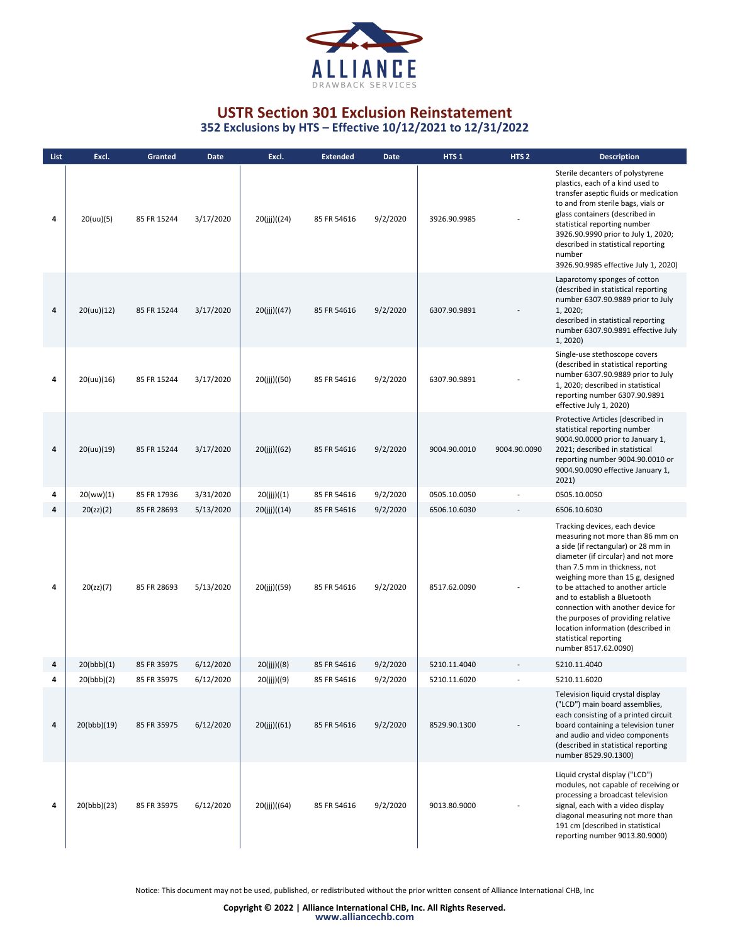

**352 Exclusions by HTS – Effective 10/12/2021 to 12/31/2022**

| List | Excl.       | Granted     | <b>Date</b> | Excl.        | <b>Extended</b> | Date     | HTS <sub>1</sub> | HTS <sub>2</sub> | <b>Description</b>                                                                                                                                                                                                                                                                                                                                                                                                                                            |
|------|-------------|-------------|-------------|--------------|-----------------|----------|------------------|------------------|---------------------------------------------------------------------------------------------------------------------------------------------------------------------------------------------------------------------------------------------------------------------------------------------------------------------------------------------------------------------------------------------------------------------------------------------------------------|
| 4    | 20(uu)(5)   | 85 FR 15244 | 3/17/2020   | 20(jjj)((24) | 85 FR 54616     | 9/2/2020 | 3926.90.9985     |                  | Sterile decanters of polystyrene<br>plastics, each of a kind used to<br>transfer aseptic fluids or medication<br>to and from sterile bags, vials or<br>glass containers (described in<br>statistical reporting number<br>3926.90.9990 prior to July 1, 2020;<br>described in statistical reporting<br>number<br>3926.90.9985 effective July 1, 2020)                                                                                                          |
| 4    | 20(uu)(12)  | 85 FR 15244 | 3/17/2020   | 20(iii)((47) | 85 FR 54616     | 9/2/2020 | 6307.90.9891     |                  | Laparotomy sponges of cotton<br>(described in statistical reporting<br>number 6307.90.9889 prior to July<br>1, 2020;<br>described in statistical reporting<br>number 6307.90.9891 effective July<br>1, 2020)                                                                                                                                                                                                                                                  |
| 4    | 20(uu)(16)  | 85 FR 15244 | 3/17/2020   | 20(jjj)((50) | 85 FR 54616     | 9/2/2020 | 6307.90.9891     |                  | Single-use stethoscope covers<br>(described in statistical reporting<br>number 6307.90.9889 prior to July<br>1, 2020; described in statistical<br>reporting number 6307.90.9891<br>effective July 1, 2020)                                                                                                                                                                                                                                                    |
| 4    | 20(uu)(19)  | 85 FR 15244 | 3/17/2020   | 20(ijj)((62) | 85 FR 54616     | 9/2/2020 | 9004.90.0010     | 9004.90.0090     | Protective Articles (described in<br>statistical reporting number<br>9004.90.0000 prior to January 1,<br>2021; described in statistical<br>reporting number 9004.90.0010 or<br>9004.90.0090 effective January 1,<br>2021)                                                                                                                                                                                                                                     |
| 4    | 20(ww)(1)   | 85 FR 17936 | 3/31/2020   | 20(jjj)((1)  | 85 FR 54616     | 9/2/2020 | 0505.10.0050     |                  | 0505.10.0050                                                                                                                                                                                                                                                                                                                                                                                                                                                  |
| 4    | 20(zz)(2)   | 85 FR 28693 | 5/13/2020   | 20(ijj)((14) | 85 FR 54616     | 9/2/2020 | 6506.10.6030     |                  | 6506.10.6030                                                                                                                                                                                                                                                                                                                                                                                                                                                  |
| 4    | 20(zz)(7)   | 85 FR 28693 | 5/13/2020   | 20(jjj)((59) | 85 FR 54616     | 9/2/2020 | 8517.62.0090     |                  | Tracking devices, each device<br>measuring not more than 86 mm on<br>a side (if rectangular) or 28 mm in<br>diameter (if circular) and not more<br>than 7.5 mm in thickness, not<br>weighing more than 15 g, designed<br>to be attached to another article<br>and to establish a Bluetooth<br>connection with another device for<br>the purposes of providing relative<br>location information (described in<br>statistical reporting<br>number 8517.62.0090) |
| 4    | 20(bbb)(1)  | 85 FR 35975 | 6/12/2020   | 20(jjj)((8)  | 85 FR 54616     | 9/2/2020 | 5210.11.4040     |                  | 5210.11.4040                                                                                                                                                                                                                                                                                                                                                                                                                                                  |
| 4    | 20(bbb)(2)  | 85 FR 35975 | 6/12/2020   | 20(jjj)((9)  | 85 FR 54616     | 9/2/2020 | 5210.11.6020     |                  | 5210.11.6020                                                                                                                                                                                                                                                                                                                                                                                                                                                  |
| 4    | 20(bbb)(19) | 85 FR 35975 | 6/12/2020   | 20(ijj)((61) | 85 FR 54616     | 9/2/2020 | 8529.90.1300     |                  | Television liquid crystal display<br>("LCD") main board assemblies,<br>each consisting of a printed circuit<br>board containing a television tuner<br>and audio and video components<br>(described in statistical reporting<br>number 8529.90.1300)                                                                                                                                                                                                           |
| 4    | 20(bbb)(23) | 85 FR 35975 | 6/12/2020   | 20(jjj)((64) | 85 FR 54616     | 9/2/2020 | 9013.80.9000     |                  | Liquid crystal display ("LCD")<br>modules, not capable of receiving or<br>processing a broadcast television<br>signal, each with a video display<br>diagonal measuring not more than<br>191 cm (described in statistical<br>reporting number 9013.80.9000)                                                                                                                                                                                                    |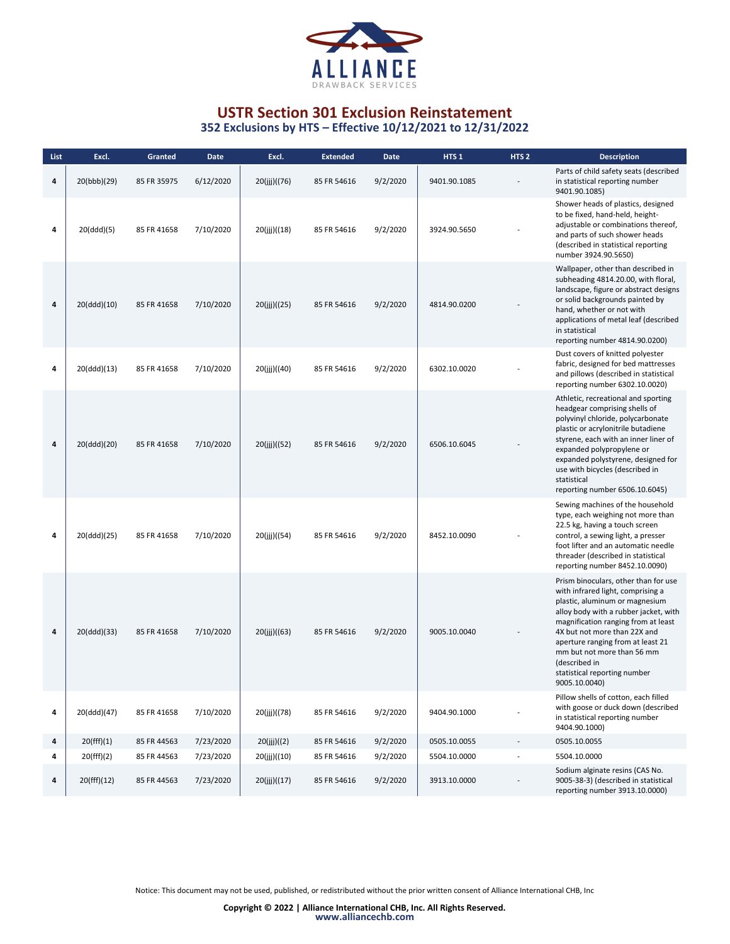

| List | Excl.       | Granted     | <b>Date</b> | Excl.        | <b>Extended</b> | Date     | HTS <sub>1</sub> | HTS <sub>2</sub> | <b>Description</b>                                                                                                                                                                                                                                                                                                                                               |
|------|-------------|-------------|-------------|--------------|-----------------|----------|------------------|------------------|------------------------------------------------------------------------------------------------------------------------------------------------------------------------------------------------------------------------------------------------------------------------------------------------------------------------------------------------------------------|
| 4    | 20(bbb)(29) | 85 FR 35975 | 6/12/2020   | 20(jjj)((76) | 85 FR 54616     | 9/2/2020 | 9401.90.1085     |                  | Parts of child safety seats (described<br>in statistical reporting number<br>9401.90.1085)                                                                                                                                                                                                                                                                       |
| 4    | 20(ddd)(5)  | 85 FR 41658 | 7/10/2020   | 20(ijj)((18) | 85 FR 54616     | 9/2/2020 | 3924.90.5650     |                  | Shower heads of plastics, designed<br>to be fixed, hand-held, height-<br>adjustable or combinations thereof,<br>and parts of such shower heads<br>(described in statistical reporting<br>number 3924.90.5650)                                                                                                                                                    |
| 4    | 20(ddd)(10) | 85 FR 41658 | 7/10/2020   | 20(jij)((25) | 85 FR 54616     | 9/2/2020 | 4814.90.0200     |                  | Wallpaper, other than described in<br>subheading 4814.20.00, with floral,<br>landscape, figure or abstract designs<br>or solid backgrounds painted by<br>hand, whether or not with<br>applications of metal leaf (described<br>in statistical<br>reporting number 4814.90.0200)                                                                                  |
| 4    | 20(ddd)(13) | 85 FR 41658 | 7/10/2020   | 20(jjj)((40) | 85 FR 54616     | 9/2/2020 | 6302.10.0020     |                  | Dust covers of knitted polyester<br>fabric, designed for bed mattresses<br>and pillows (described in statistical<br>reporting number 6302.10.0020)                                                                                                                                                                                                               |
| 4    | 20(ddd)(20) | 85 FR 41658 | 7/10/2020   | 20(jjj)((52) | 85 FR 54616     | 9/2/2020 | 6506.10.6045     |                  | Athletic, recreational and sporting<br>headgear comprising shells of<br>polyvinyl chloride, polycarbonate<br>plastic or acrylonitrile butadiene<br>styrene, each with an inner liner of<br>expanded polypropylene or<br>expanded polystyrene, designed for<br>use with bicycles (described in<br>statistical<br>reporting number 6506.10.6045)                   |
| 4    | 20(ddd)(25) | 85 FR 41658 | 7/10/2020   | 20(jjj)((54) | 85 FR 54616     | 9/2/2020 | 8452.10.0090     |                  | Sewing machines of the household<br>type, each weighing not more than<br>22.5 kg, having a touch screen<br>control, a sewing light, a presser<br>foot lifter and an automatic needle<br>threader (described in statistical<br>reporting number 8452.10.0090)                                                                                                     |
| 4    | 20(ddd)(33) | 85 FR 41658 | 7/10/2020   | 20(ijj)((63) | 85 FR 54616     | 9/2/2020 | 9005.10.0040     |                  | Prism binoculars, other than for use<br>with infrared light, comprising a<br>plastic, aluminum or magnesium<br>alloy body with a rubber jacket, with<br>magnification ranging from at least<br>4X but not more than 22X and<br>aperture ranging from at least 21<br>mm but not more than 56 mm<br>(described in<br>statistical reporting number<br>9005.10.0040) |
| 4    | 20(ddd)(47) | 85 FR 41658 | 7/10/2020   | 20(jjj)((78) | 85 FR 54616     | 9/2/2020 | 9404.90.1000     |                  | Pillow shells of cotton, each filled<br>with goose or duck down (described<br>in statistical reporting number<br>9404.90.1000)                                                                                                                                                                                                                                   |
| 4    | 20(fff)(1)  | 85 FR 44563 | 7/23/2020   | 20(ijj)((2)  | 85 FR 54616     | 9/2/2020 | 0505.10.0055     | ÷,               | 0505.10.0055                                                                                                                                                                                                                                                                                                                                                     |
| 4    | 20(fff)(2)  | 85 FR 44563 | 7/23/2020   | 20(jjj)((10) | 85 FR 54616     | 9/2/2020 | 5504.10.0000     |                  | 5504.10.0000                                                                                                                                                                                                                                                                                                                                                     |
| 4    | 20(fff)(12) | 85 FR 44563 | 7/23/2020   | 20(jjj)((17) | 85 FR 54616     | 9/2/2020 | 3913.10.0000     |                  | Sodium alginate resins (CAS No.<br>9005-38-3) (described in statistical<br>reporting number 3913.10.0000)                                                                                                                                                                                                                                                        |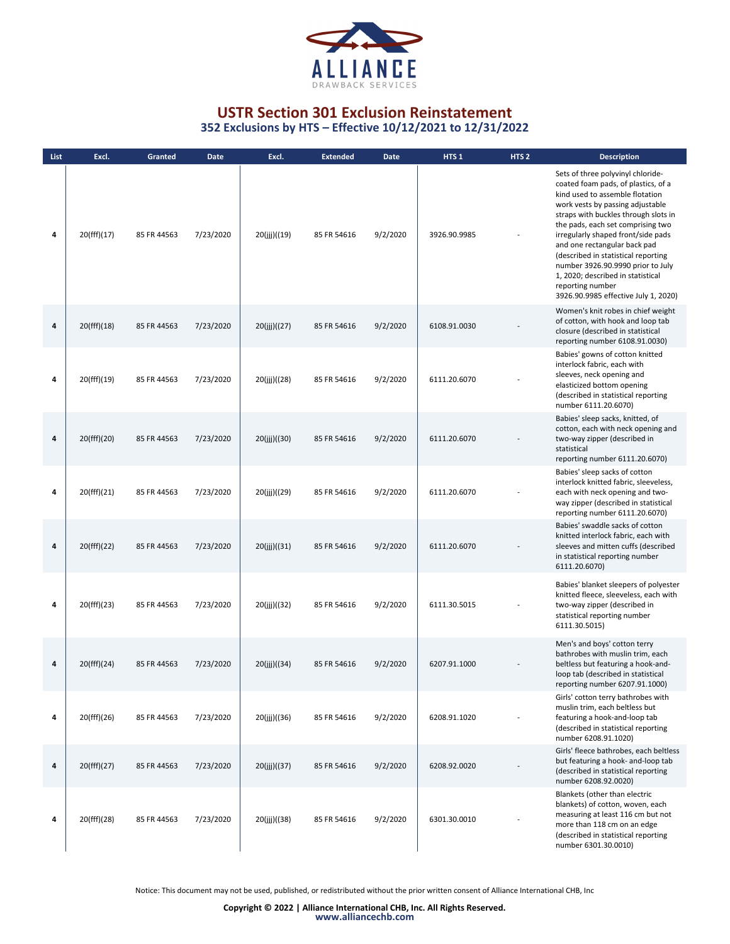

**352 Exclusions by HTS – Effective 10/12/2021 to 12/31/2022**

| List | Excl.       | Granted     | <b>Date</b> | Excl.         | <b>Extended</b> | <b>Date</b> | HTS <sub>1</sub> | HTS <sub>2</sub> | <b>Description</b>                                                                                                                                                                                                                                                                                                                                                                                                                                                              |
|------|-------------|-------------|-------------|---------------|-----------------|-------------|------------------|------------------|---------------------------------------------------------------------------------------------------------------------------------------------------------------------------------------------------------------------------------------------------------------------------------------------------------------------------------------------------------------------------------------------------------------------------------------------------------------------------------|
| 4    | 20(fff)(17) | 85 FR 44563 | 7/23/2020   | 20(jii)((19)  | 85 FR 54616     | 9/2/2020    | 3926.90.9985     |                  | Sets of three polyvinyl chloride-<br>coated foam pads, of plastics, of a<br>kind used to assemble flotation<br>work vests by passing adjustable<br>straps with buckles through slots in<br>the pads, each set comprising two<br>irregularly shaped front/side pads<br>and one rectangular back pad<br>(described in statistical reporting<br>number 3926.90.9990 prior to July<br>1, 2020; described in statistical<br>reporting number<br>3926.90.9985 effective July 1, 2020) |
| 4    | 20(fff)(18) | 85 FR 44563 | 7/23/2020   | 20(ijj)((27)  | 85 FR 54616     | 9/2/2020    | 6108.91.0030     |                  | Women's knit robes in chief weight<br>of cotton, with hook and loop tab<br>closure (described in statistical<br>reporting number 6108.91.0030)                                                                                                                                                                                                                                                                                                                                  |
| 4    | 20(fff)(19) | 85 FR 44563 | 7/23/2020   | 20(jjj)((28)  | 85 FR 54616     | 9/2/2020    | 6111.20.6070     |                  | Babies' gowns of cotton knitted<br>interlock fabric, each with<br>sleeves, neck opening and<br>elasticized bottom opening<br>(described in statistical reporting<br>number 6111.20.6070)                                                                                                                                                                                                                                                                                        |
| 4    | 20(fff)(20) | 85 FR 44563 | 7/23/2020   | 20(ijj)((30)  | 85 FR 54616     | 9/2/2020    | 6111.20.6070     |                  | Babies' sleep sacks, knitted, of<br>cotton, each with neck opening and<br>two-way zipper (described in<br>statistical<br>reporting number 6111.20.6070)                                                                                                                                                                                                                                                                                                                         |
| 4    | 20(fff)(21) | 85 FR 44563 | 7/23/2020   | 20(jjj)((29)  | 85 FR 54616     | 9/2/2020    | 6111.20.6070     |                  | Babies' sleep sacks of cotton<br>interlock knitted fabric, sleeveless,<br>each with neck opening and two-<br>way zipper (described in statistical<br>reporting number 6111.20.6070)                                                                                                                                                                                                                                                                                             |
| 4    | 20(fff)(22) | 85 FR 44563 | 7/23/2020   | 20(ijj)((31)  | 85 FR 54616     | 9/2/2020    | 6111.20.6070     |                  | Babies' swaddle sacks of cotton<br>knitted interlock fabric, each with<br>sleeves and mitten cuffs (described<br>in statistical reporting number<br>6111.20.6070)                                                                                                                                                                                                                                                                                                               |
| 4    | 20(fff)(23) | 85 FR 44563 | 7/23/2020   | 20(ijj)((32)  | 85 FR 54616     | 9/2/2020    | 6111.30.5015     |                  | Babies' blanket sleepers of polyester<br>knitted fleece, sleeveless, each with<br>two-way zipper (described in<br>statistical reporting number<br>6111.30.5015)                                                                                                                                                                                                                                                                                                                 |
| 4    | 20(fff)(24) | 85 FR 44563 | 7/23/2020   | 20(ijj)((34)  | 85 FR 54616     | 9/2/2020    | 6207.91.1000     |                  | Men's and boys' cotton terry<br>bathrobes with muslin trim, each<br>beltless but featuring a hook-and-<br>loop tab (described in statistical<br>reporting number 6207.91.1000)                                                                                                                                                                                                                                                                                                  |
| 4    | 20(fff)(26) | 85 FR 44563 | 7/23/2020   | 20(jjj)((36)  | 85 FR 54616     | 9/2/2020    | 6208.91.1020     |                  | Girls' cotton terry bathrobes with<br>muslin trim, each beltless but<br>featuring a hook-and-loop tab<br>(described in statistical reporting<br>number 6208.91.1020)                                                                                                                                                                                                                                                                                                            |
| 4    | 20(fff)(27) | 85 FR 44563 | 7/23/2020   | 20(ijj)((37)) | 85 FR 54616     | 9/2/2020    | 6208.92.0020     |                  | Girls' fleece bathrobes, each beltless<br>but featuring a hook- and-loop tab<br>(described in statistical reporting<br>number 6208.92.0020)                                                                                                                                                                                                                                                                                                                                     |
| 4    | 20(fff)(28) | 85 FR 44563 | 7/23/2020   | 20(ijj)((38)  | 85 FR 54616     | 9/2/2020    | 6301.30.0010     |                  | Blankets (other than electric<br>blankets) of cotton, woven, each<br>measuring at least 116 cm but not<br>more than 118 cm on an edge<br>(described in statistical reporting<br>number 6301.30.0010)                                                                                                                                                                                                                                                                            |